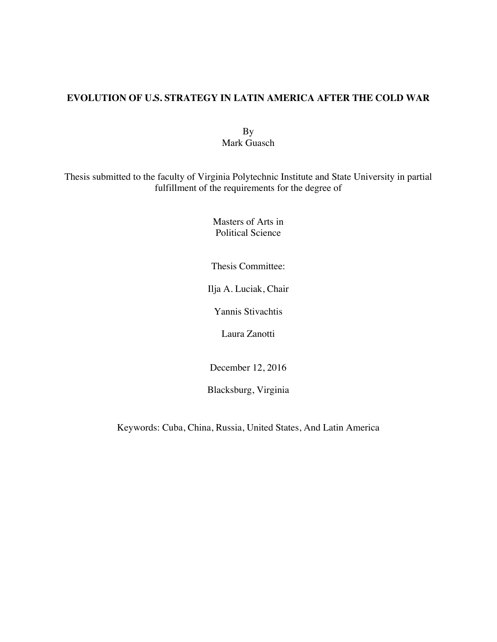### **EVOLUTION OF U.S. STRATEGY IN LATIN AMERICA AFTER THE COLD WAR**

By Mark Guasch

Thesis submitted to the faculty of Virginia Polytechnic Institute and State University in partial fulfillment of the requirements for the degree of

> Masters of Arts in Political Science

Thesis Committee:

Ilja A. Luciak, Chair

Yannis Stivachtis

Laura Zanotti

December 12, 2016

Blacksburg, Virginia

Keywords: Cuba, China, Russia, United States, And Latin America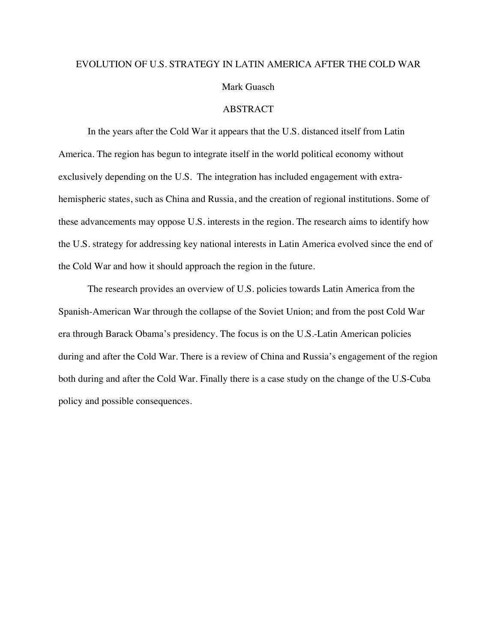# EVOLUTION OF U.S. STRATEGY IN LATIN AMERICA AFTER THE COLD WAR Mark Guasch

ABSTRACT

In the years after the Cold War it appears that the U.S. distanced itself from Latin America. The region has begun to integrate itself in the world political economy without exclusively depending on the U.S. The integration has included engagement with extrahemispheric states, such as China and Russia, and the creation of regional institutions. Some of these advancements may oppose U.S. interests in the region. The research aims to identify how the U.S. strategy for addressing key national interests in Latin America evolved since the end of the Cold War and how it should approach the region in the future.

The research provides an overview of U.S. policies towards Latin America from the Spanish-American War through the collapse of the Soviet Union; and from the post Cold War era through Barack Obama's presidency. The focus is on the U.S.-Latin American policies during and after the Cold War. There is a review of China and Russia's engagement of the region both during and after the Cold War. Finally there is a case study on the change of the U.S-Cuba policy and possible consequences.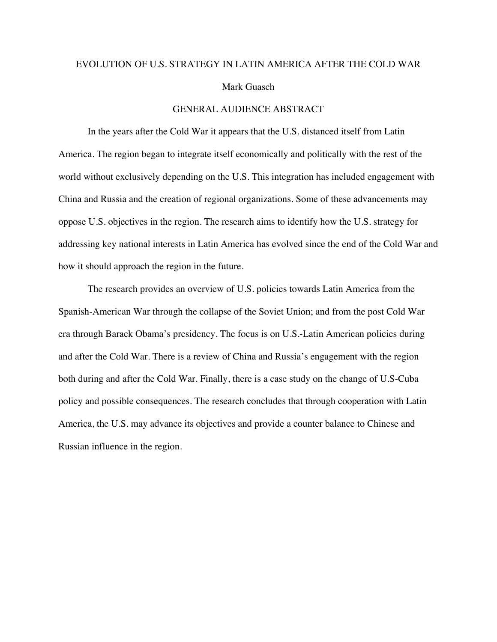# EVOLUTION OF U.S. STRATEGY IN LATIN AMERICA AFTER THE COLD WAR Mark Guasch

#### GENERAL AUDIENCE ABSTRACT

In the years after the Cold War it appears that the U.S. distanced itself from Latin America. The region began to integrate itself economically and politically with the rest of the world without exclusively depending on the U.S. This integration has included engagement with China and Russia and the creation of regional organizations. Some of these advancements may oppose U.S. objectives in the region. The research aims to identify how the U.S. strategy for addressing key national interests in Latin America has evolved since the end of the Cold War and how it should approach the region in the future.

The research provides an overview of U.S. policies towards Latin America from the Spanish-American War through the collapse of the Soviet Union; and from the post Cold War era through Barack Obama's presidency. The focus is on U.S.-Latin American policies during and after the Cold War. There is a review of China and Russia's engagement with the region both during and after the Cold War. Finally, there is a case study on the change of U.S-Cuba policy and possible consequences. The research concludes that through cooperation with Latin America, the U.S. may advance its objectives and provide a counter balance to Chinese and Russian influence in the region.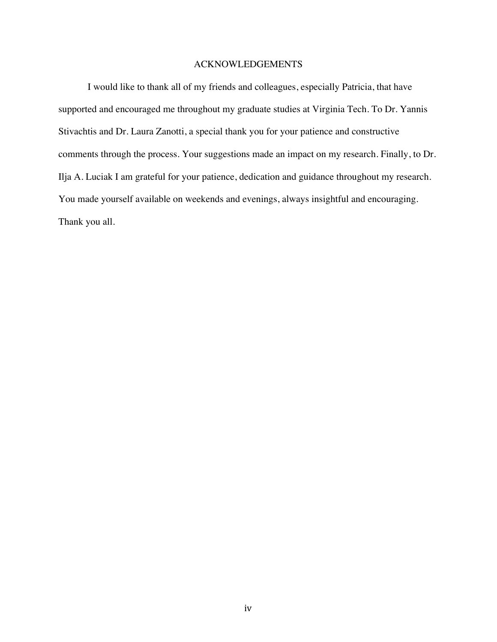#### ACKNOWLEDGEMENTS

I would like to thank all of my friends and colleagues, especially Patricia, that have supported and encouraged me throughout my graduate studies at Virginia Tech. To Dr. Yannis Stivachtis and Dr. Laura Zanotti, a special thank you for your patience and constructive comments through the process. Your suggestions made an impact on my research. Finally, to Dr. Ilja A. Luciak I am grateful for your patience, dedication and guidance throughout my research. You made yourself available on weekends and evenings, always insightful and encouraging. Thank you all.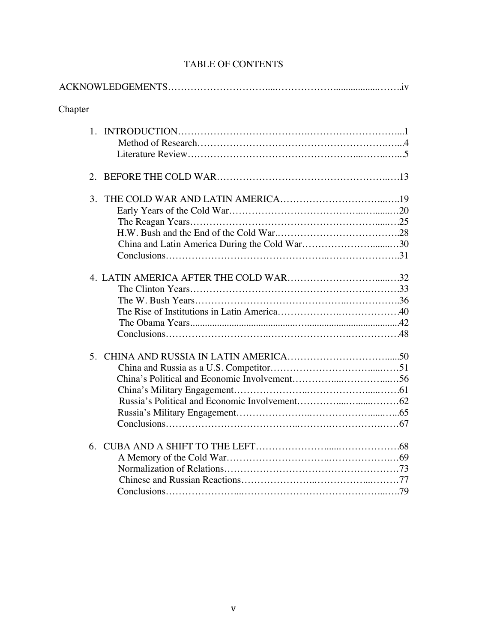| Chapter |
|---------|
|         |
|         |
| 3.      |
|         |
|         |
|         |

## TABLE OF CONTENTS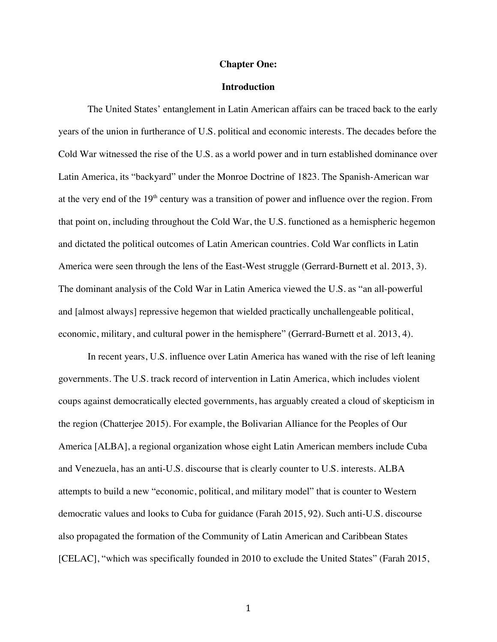#### **Chapter One:**

#### **Introduction**

The United States' entanglement in Latin American affairs can be traced back to the early years of the union in furtherance of U.S. political and economic interests. The decades before the Cold War witnessed the rise of the U.S. as a world power and in turn established dominance over Latin America, its "backyard" under the Monroe Doctrine of 1823. The Spanish-American war at the very end of the  $19<sup>th</sup>$  century was a transition of power and influence over the region. From that point on, including throughout the Cold War, the U.S. functioned as a hemispheric hegemon and dictated the political outcomes of Latin American countries. Cold War conflicts in Latin America were seen through the lens of the East-West struggle (Gerrard-Burnett et al. 2013, 3). The dominant analysis of the Cold War in Latin America viewed the U.S. as "an all-powerful and [almost always] repressive hegemon that wielded practically unchallengeable political, economic, military, and cultural power in the hemisphere" (Gerrard-Burnett et al. 2013, 4).

In recent years, U.S. influence over Latin America has waned with the rise of left leaning governments. The U.S. track record of intervention in Latin America, which includes violent coups against democratically elected governments, has arguably created a cloud of skepticism in the region (Chatterjee 2015). For example, the Bolivarian Alliance for the Peoples of Our America [ALBA], a regional organization whose eight Latin American members include Cuba and Venezuela, has an anti-U.S. discourse that is clearly counter to U.S. interests. ALBA attempts to build a new "economic, political, and military model" that is counter to Western democratic values and looks to Cuba for guidance (Farah 2015, 92). Such anti-U.S. discourse also propagated the formation of the Community of Latin American and Caribbean States [CELAC], "which was specifically founded in 2010 to exclude the United States" (Farah 2015,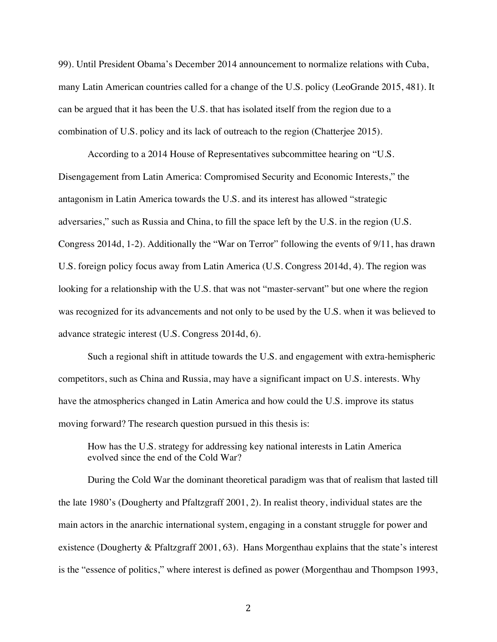99). Until President Obama's December 2014 announcement to normalize relations with Cuba, many Latin American countries called for a change of the U.S. policy (LeoGrande 2015, 481). It can be argued that it has been the U.S. that has isolated itself from the region due to a combination of U.S. policy and its lack of outreach to the region (Chatterjee 2015).

According to a 2014 House of Representatives subcommittee hearing on "U.S. Disengagement from Latin America: Compromised Security and Economic Interests," the antagonism in Latin America towards the U.S. and its interest has allowed "strategic adversaries," such as Russia and China, to fill the space left by the U.S. in the region (U.S. Congress 2014d, 1-2). Additionally the "War on Terror" following the events of 9/11, has drawn U.S. foreign policy focus away from Latin America (U.S. Congress 2014d, 4). The region was looking for a relationship with the U.S. that was not "master-servant" but one where the region was recognized for its advancements and not only to be used by the U.S. when it was believed to advance strategic interest (U.S. Congress 2014d, 6).

Such a regional shift in attitude towards the U.S. and engagement with extra-hemispheric competitors, such as China and Russia, may have a significant impact on U.S. interests. Why have the atmospherics changed in Latin America and how could the U.S. improve its status moving forward? The research question pursued in this thesis is:

How has the U.S. strategy for addressing key national interests in Latin America evolved since the end of the Cold War?

During the Cold War the dominant theoretical paradigm was that of realism that lasted till the late 1980's (Dougherty and Pfaltzgraff 2001, 2). In realist theory, individual states are the main actors in the anarchic international system, engaging in a constant struggle for power and existence (Dougherty & Pfaltzgraff 2001, 63). Hans Morgenthau explains that the state's interest is the "essence of politics," where interest is defined as power (Morgenthau and Thompson 1993,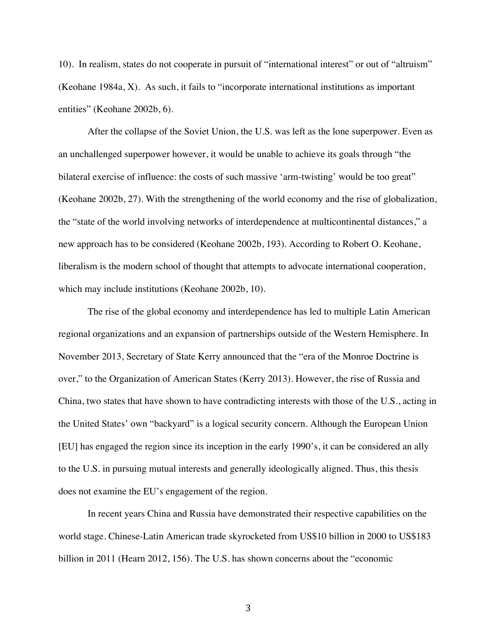10). In realism, states do not cooperate in pursuit of "international interest" or out of "altruism" (Keohane 1984a, X). As such, it fails to "incorporate international institutions as important entities" (Keohane 2002b, 6).

After the collapse of the Soviet Union, the U.S. was left as the lone superpower. Even as an unchallenged superpower however, it would be unable to achieve its goals through "the bilateral exercise of influence: the costs of such massive 'arm-twisting' would be too great" (Keohane 2002b, 27). With the strengthening of the world economy and the rise of globalization, the "state of the world involving networks of interdependence at multicontinental distances," a new approach has to be considered (Keohane 2002b, 193). According to Robert O. Keohane, liberalism is the modern school of thought that attempts to advocate international cooperation, which may include institutions (Keohane 2002b, 10).

The rise of the global economy and interdependence has led to multiple Latin American regional organizations and an expansion of partnerships outside of the Western Hemisphere. In November 2013, Secretary of State Kerry announced that the "era of the Monroe Doctrine is over," to the Organization of American States (Kerry 2013). However, the rise of Russia and China, two states that have shown to have contradicting interests with those of the U.S., acting in the United States' own "backyard" is a logical security concern. Although the European Union [EU] has engaged the region since its inception in the early 1990's, it can be considered an ally to the U.S. in pursuing mutual interests and generally ideologically aligned. Thus, this thesis does not examine the EU's engagement of the region.

In recent years China and Russia have demonstrated their respective capabilities on the world stage. Chinese-Latin American trade skyrocketed from US\$10 billion in 2000 to US\$183 billion in 2011 (Hearn 2012, 156). The U.S. has shown concerns about the "economic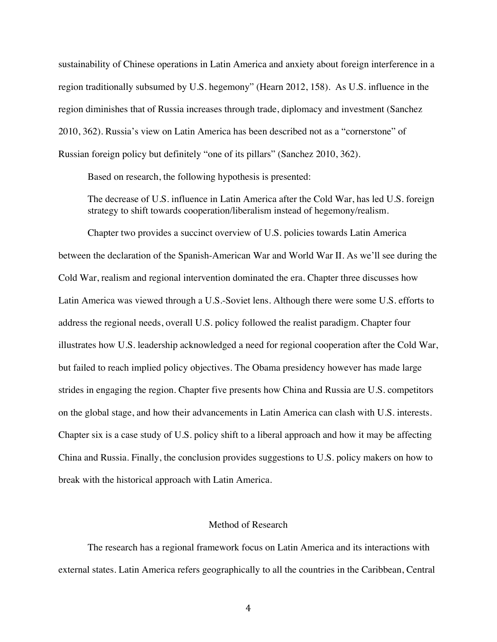sustainability of Chinese operations in Latin America and anxiety about foreign interference in a region traditionally subsumed by U.S. hegemony" (Hearn 2012, 158). As U.S. influence in the region diminishes that of Russia increases through trade, diplomacy and investment (Sanchez 2010, 362). Russia's view on Latin America has been described not as a "cornerstone" of Russian foreign policy but definitely "one of its pillars" (Sanchez 2010, 362).

Based on research, the following hypothesis is presented:

The decrease of U.S. influence in Latin America after the Cold War, has led U.S. foreign strategy to shift towards cooperation/liberalism instead of hegemony/realism.

Chapter two provides a succinct overview of U.S. policies towards Latin America between the declaration of the Spanish-American War and World War II. As we'll see during the Cold War, realism and regional intervention dominated the era. Chapter three discusses how Latin America was viewed through a U.S.-Soviet lens. Although there were some U.S. efforts to address the regional needs, overall U.S. policy followed the realist paradigm. Chapter four illustrates how U.S. leadership acknowledged a need for regional cooperation after the Cold War, but failed to reach implied policy objectives. The Obama presidency however has made large strides in engaging the region. Chapter five presents how China and Russia are U.S. competitors on the global stage, and how their advancements in Latin America can clash with U.S. interests. Chapter six is a case study of U.S. policy shift to a liberal approach and how it may be affecting China and Russia. Finally, the conclusion provides suggestions to U.S. policy makers on how to break with the historical approach with Latin America.

#### Method of Research

The research has a regional framework focus on Latin America and its interactions with external states. Latin America refers geographically to all the countries in the Caribbean, Central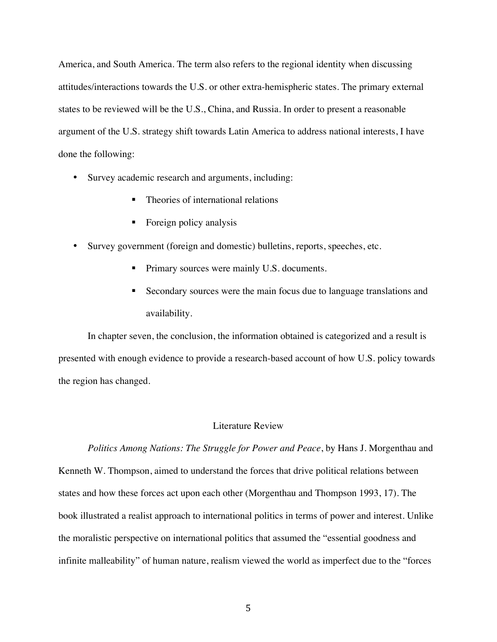America, and South America. The term also refers to the regional identity when discussing attitudes/interactions towards the U.S. or other extra-hemispheric states. The primary external states to be reviewed will be the U.S., China, and Russia. In order to present a reasonable argument of the U.S. strategy shift towards Latin America to address national interests, I have done the following:

- Survey academic research and arguments, including:
	- Theories of international relations
	- **Exercise** Foreign policy analysis
- Survey government (foreign and domestic) bulletins, reports, speeches, etc.
	- ! Primary sources were mainly U.S. documents.
	- ! Secondary sources were the main focus due to language translations and availability.

In chapter seven, the conclusion, the information obtained is categorized and a result is presented with enough evidence to provide a research-based account of how U.S. policy towards the region has changed.

#### Literature Review

*Politics Among Nations: The Struggle for Power and Peace*, by Hans J. Morgenthau and Kenneth W. Thompson, aimed to understand the forces that drive political relations between states and how these forces act upon each other (Morgenthau and Thompson 1993, 17). The book illustrated a realist approach to international politics in terms of power and interest. Unlike the moralistic perspective on international politics that assumed the "essential goodness and infinite malleability" of human nature, realism viewed the world as imperfect due to the "forces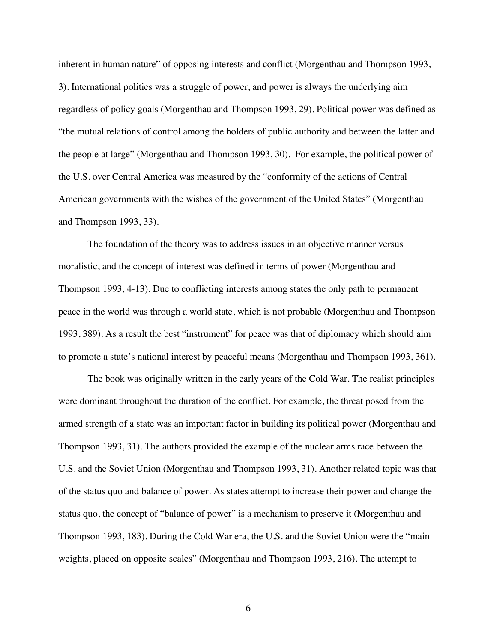inherent in human nature" of opposing interests and conflict (Morgenthau and Thompson 1993, 3). International politics was a struggle of power, and power is always the underlying aim regardless of policy goals (Morgenthau and Thompson 1993, 29). Political power was defined as "the mutual relations of control among the holders of public authority and between the latter and the people at large" (Morgenthau and Thompson 1993, 30). For example, the political power of the U.S. over Central America was measured by the "conformity of the actions of Central American governments with the wishes of the government of the United States" (Morgenthau and Thompson 1993, 33).

The foundation of the theory was to address issues in an objective manner versus moralistic, and the concept of interest was defined in terms of power (Morgenthau and Thompson 1993, 4-13). Due to conflicting interests among states the only path to permanent peace in the world was through a world state, which is not probable (Morgenthau and Thompson 1993, 389). As a result the best "instrument" for peace was that of diplomacy which should aim to promote a state's national interest by peaceful means (Morgenthau and Thompson 1993, 361).

The book was originally written in the early years of the Cold War. The realist principles were dominant throughout the duration of the conflict. For example, the threat posed from the armed strength of a state was an important factor in building its political power (Morgenthau and Thompson 1993, 31). The authors provided the example of the nuclear arms race between the U.S. and the Soviet Union (Morgenthau and Thompson 1993, 31). Another related topic was that of the status quo and balance of power. As states attempt to increase their power and change the status quo, the concept of "balance of power" is a mechanism to preserve it (Morgenthau and Thompson 1993, 183). During the Cold War era, the U.S. and the Soviet Union were the "main weights, placed on opposite scales" (Morgenthau and Thompson 1993, 216). The attempt to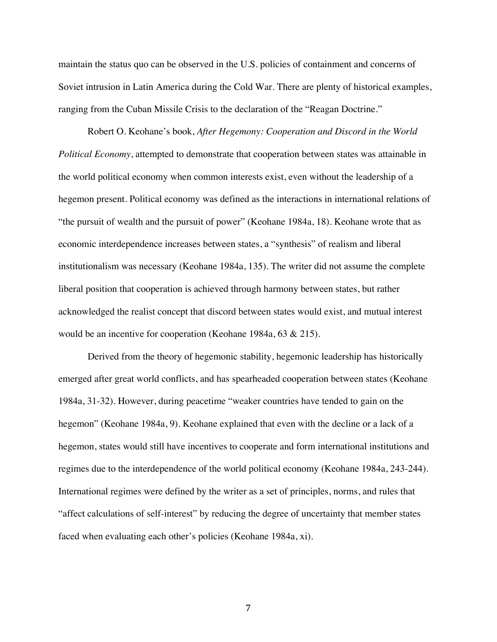maintain the status quo can be observed in the U.S. policies of containment and concerns of Soviet intrusion in Latin America during the Cold War. There are plenty of historical examples, ranging from the Cuban Missile Crisis to the declaration of the "Reagan Doctrine."

Robert O. Keohane's book, *After Hegemony: Cooperation and Discord in the World Political Economy*, attempted to demonstrate that cooperation between states was attainable in the world political economy when common interests exist, even without the leadership of a hegemon present. Political economy was defined as the interactions in international relations of "the pursuit of wealth and the pursuit of power" (Keohane 1984a, 18). Keohane wrote that as economic interdependence increases between states, a "synthesis" of realism and liberal institutionalism was necessary (Keohane 1984a, 135). The writer did not assume the complete liberal position that cooperation is achieved through harmony between states, but rather acknowledged the realist concept that discord between states would exist, and mutual interest would be an incentive for cooperation (Keohane 1984a, 63 & 215).

Derived from the theory of hegemonic stability, hegemonic leadership has historically emerged after great world conflicts, and has spearheaded cooperation between states (Keohane 1984a, 31-32). However, during peacetime "weaker countries have tended to gain on the hegemon" (Keohane 1984a, 9). Keohane explained that even with the decline or a lack of a hegemon, states would still have incentives to cooperate and form international institutions and regimes due to the interdependence of the world political economy (Keohane 1984a, 243-244). International regimes were defined by the writer as a set of principles, norms, and rules that "affect calculations of self-interest" by reducing the degree of uncertainty that member states faced when evaluating each other's policies (Keohane 1984a, xi).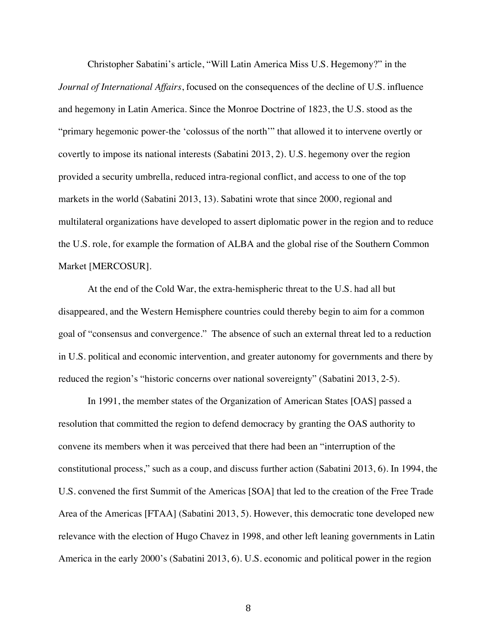Christopher Sabatini's article, "Will Latin America Miss U.S. Hegemony?" in the *Journal of International Affairs*, focused on the consequences of the decline of U.S. influence and hegemony in Latin America. Since the Monroe Doctrine of 1823, the U.S. stood as the "primary hegemonic power-the 'colossus of the north'" that allowed it to intervene overtly or covertly to impose its national interests (Sabatini 2013, 2). U.S. hegemony over the region provided a security umbrella, reduced intra-regional conflict, and access to one of the top markets in the world (Sabatini 2013, 13). Sabatini wrote that since 2000, regional and multilateral organizations have developed to assert diplomatic power in the region and to reduce the U.S. role, for example the formation of ALBA and the global rise of the Southern Common Market [MERCOSUR].

At the end of the Cold War, the extra-hemispheric threat to the U.S. had all but disappeared, and the Western Hemisphere countries could thereby begin to aim for a common goal of "consensus and convergence." The absence of such an external threat led to a reduction in U.S. political and economic intervention, and greater autonomy for governments and there by reduced the region's "historic concerns over national sovereignty" (Sabatini 2013, 2-5).

In 1991, the member states of the Organization of American States [OAS] passed a resolution that committed the region to defend democracy by granting the OAS authority to convene its members when it was perceived that there had been an "interruption of the constitutional process," such as a coup, and discuss further action (Sabatini 2013, 6). In 1994, the U.S. convened the first Summit of the Americas [SOA] that led to the creation of the Free Trade Area of the Americas [FTAA] (Sabatini 2013, 5). However, this democratic tone developed new relevance with the election of Hugo Chavez in 1998, and other left leaning governments in Latin America in the early 2000's (Sabatini 2013, 6). U.S. economic and political power in the region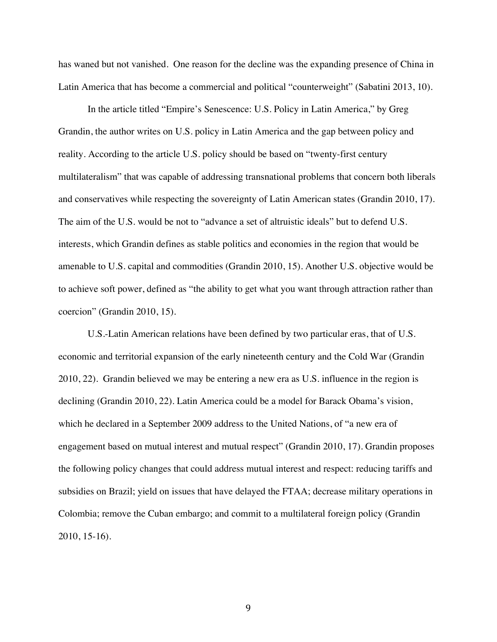has waned but not vanished. One reason for the decline was the expanding presence of China in Latin America that has become a commercial and political "counterweight" (Sabatini 2013, 10).

In the article titled "Empire's Senescence: U.S. Policy in Latin America," by Greg Grandin, the author writes on U.S. policy in Latin America and the gap between policy and reality. According to the article U.S. policy should be based on "twenty-first century multilateralism" that was capable of addressing transnational problems that concern both liberals and conservatives while respecting the sovereignty of Latin American states (Grandin 2010, 17). The aim of the U.S. would be not to "advance a set of altruistic ideals" but to defend U.S. interests, which Grandin defines as stable politics and economies in the region that would be amenable to U.S. capital and commodities (Grandin 2010, 15). Another U.S. objective would be to achieve soft power, defined as "the ability to get what you want through attraction rather than coercion" (Grandin 2010, 15).

U.S.-Latin American relations have been defined by two particular eras, that of U.S. economic and territorial expansion of the early nineteenth century and the Cold War (Grandin 2010, 22). Grandin believed we may be entering a new era as U.S. influence in the region is declining (Grandin 2010, 22). Latin America could be a model for Barack Obama's vision, which he declared in a September 2009 address to the United Nations, of "a new era of engagement based on mutual interest and mutual respect" (Grandin 2010, 17). Grandin proposes the following policy changes that could address mutual interest and respect: reducing tariffs and subsidies on Brazil; yield on issues that have delayed the FTAA; decrease military operations in Colombia; remove the Cuban embargo; and commit to a multilateral foreign policy (Grandin 2010, 15-16).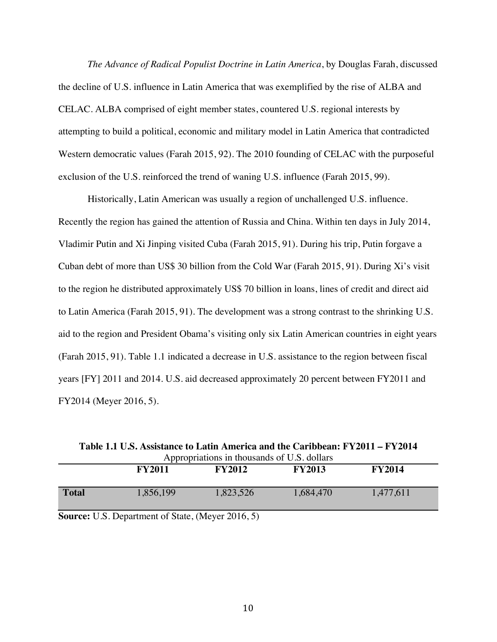*The Advance of Radical Populist Doctrine in Latin America*, by Douglas Farah, discussed the decline of U.S. influence in Latin America that was exemplified by the rise of ALBA and CELAC. ALBA comprised of eight member states, countered U.S. regional interests by attempting to build a political, economic and military model in Latin America that contradicted Western democratic values (Farah 2015, 92). The 2010 founding of CELAC with the purposeful exclusion of the U.S. reinforced the trend of waning U.S. influence (Farah 2015, 99).

Historically, Latin American was usually a region of unchallenged U.S. influence. Recently the region has gained the attention of Russia and China. Within ten days in July 2014, Vladimir Putin and Xi Jinping visited Cuba (Farah 2015, 91). During his trip, Putin forgave a Cuban debt of more than US\$ 30 billion from the Cold War (Farah 2015, 91). During Xi's visit to the region he distributed approximately US\$ 70 billion in loans, lines of credit and direct aid to Latin America (Farah 2015, 91). The development was a strong contrast to the shrinking U.S. aid to the region and President Obama's visiting only six Latin American countries in eight years (Farah 2015, 91). Table 1.1 indicated a decrease in U.S. assistance to the region between fiscal years [FY] 2011 and 2014. U.S. aid decreased approximately 20 percent between FY2011 and FY2014 (Meyer 2016, 5).

| Appropriations in thousands of U.S. dollars |               |               |               |               |  |
|---------------------------------------------|---------------|---------------|---------------|---------------|--|
|                                             | <b>FY2011</b> | <b>FY2012</b> | <b>FY2013</b> | <b>FY2014</b> |  |
| <b>Total</b>                                | 1,856,199     | 1,823,526     | 1,684,470     | 1,477,611     |  |
|                                             |               |               |               |               |  |

**Table 1.1 U.S. Assistance to Latin America and the Caribbean: FY2011 – FY2014**

**Source:** U.S. Department of State, (Meyer 2016, 5)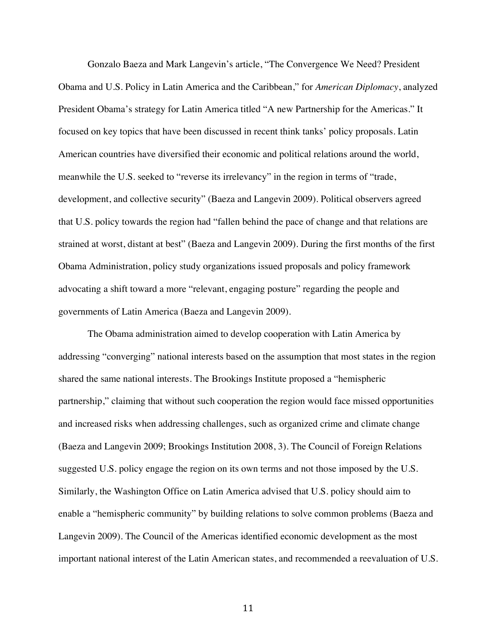Gonzalo Baeza and Mark Langevin's article, "The Convergence We Need? President Obama and U.S. Policy in Latin America and the Caribbean," for *American Diplomacy*, analyzed President Obama's strategy for Latin America titled "A new Partnership for the Americas." It focused on key topics that have been discussed in recent think tanks' policy proposals. Latin American countries have diversified their economic and political relations around the world, meanwhile the U.S. seeked to "reverse its irrelevancy" in the region in terms of "trade, development, and collective security" (Baeza and Langevin 2009). Political observers agreed that U.S. policy towards the region had "fallen behind the pace of change and that relations are strained at worst, distant at best" (Baeza and Langevin 2009). During the first months of the first Obama Administration, policy study organizations issued proposals and policy framework advocating a shift toward a more "relevant, engaging posture" regarding the people and governments of Latin America (Baeza and Langevin 2009).

The Obama administration aimed to develop cooperation with Latin America by addressing "converging" national interests based on the assumption that most states in the region shared the same national interests. The Brookings Institute proposed a "hemispheric partnership," claiming that without such cooperation the region would face missed opportunities and increased risks when addressing challenges, such as organized crime and climate change (Baeza and Langevin 2009; Brookings Institution 2008, 3). The Council of Foreign Relations suggested U.S. policy engage the region on its own terms and not those imposed by the U.S. Similarly, the Washington Office on Latin America advised that U.S. policy should aim to enable a "hemispheric community" by building relations to solve common problems (Baeza and Langevin 2009). The Council of the Americas identified economic development as the most important national interest of the Latin American states, and recommended a reevaluation of U.S.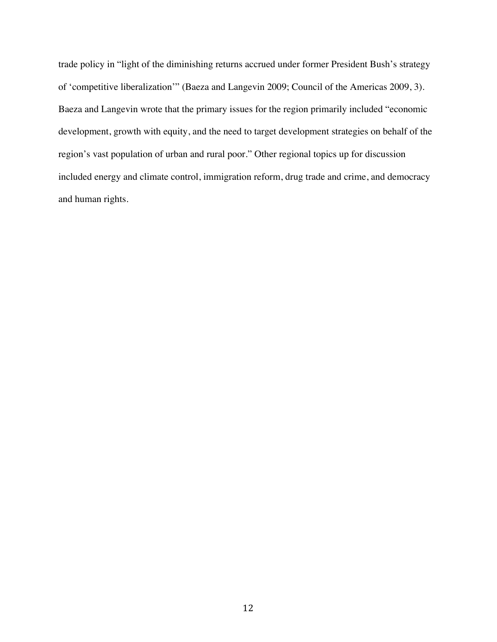trade policy in "light of the diminishing returns accrued under former President Bush's strategy of 'competitive liberalization'" (Baeza and Langevin 2009; Council of the Americas 2009, 3). Baeza and Langevin wrote that the primary issues for the region primarily included "economic development, growth with equity, and the need to target development strategies on behalf of the region's vast population of urban and rural poor." Other regional topics up for discussion included energy and climate control, immigration reform, drug trade and crime, and democracy and human rights.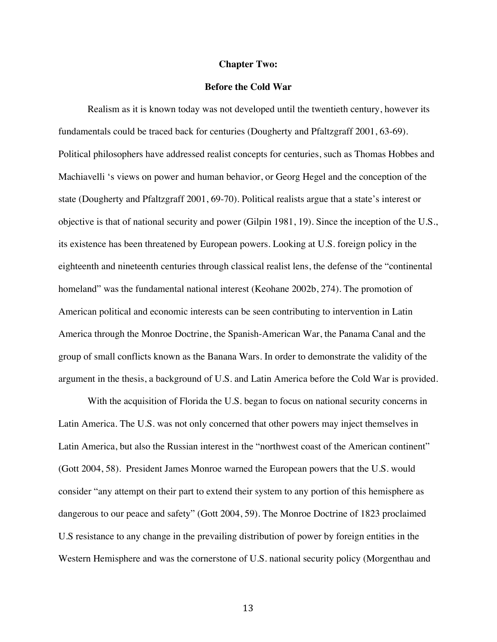#### **Chapter Two:**

#### **Before the Cold War**

Realism as it is known today was not developed until the twentieth century, however its fundamentals could be traced back for centuries (Dougherty and Pfaltzgraff 2001, 63-69). Political philosophers have addressed realist concepts for centuries, such as Thomas Hobbes and Machiavelli 's views on power and human behavior, or Georg Hegel and the conception of the state (Dougherty and Pfaltzgraff 2001, 69-70). Political realists argue that a state's interest or objective is that of national security and power (Gilpin 1981, 19). Since the inception of the U.S., its existence has been threatened by European powers. Looking at U.S. foreign policy in the eighteenth and nineteenth centuries through classical realist lens, the defense of the "continental homeland" was the fundamental national interest (Keohane 2002b, 274). The promotion of American political and economic interests can be seen contributing to intervention in Latin America through the Monroe Doctrine, the Spanish-American War, the Panama Canal and the group of small conflicts known as the Banana Wars. In order to demonstrate the validity of the argument in the thesis, a background of U.S. and Latin America before the Cold War is provided.

With the acquisition of Florida the U.S. began to focus on national security concerns in Latin America. The U.S. was not only concerned that other powers may inject themselves in Latin America, but also the Russian interest in the "northwest coast of the American continent" (Gott 2004, 58). President James Monroe warned the European powers that the U.S. would consider "any attempt on their part to extend their system to any portion of this hemisphere as dangerous to our peace and safety" (Gott 2004, 59). The Monroe Doctrine of 1823 proclaimed U.S resistance to any change in the prevailing distribution of power by foreign entities in the Western Hemisphere and was the cornerstone of U.S. national security policy (Morgenthau and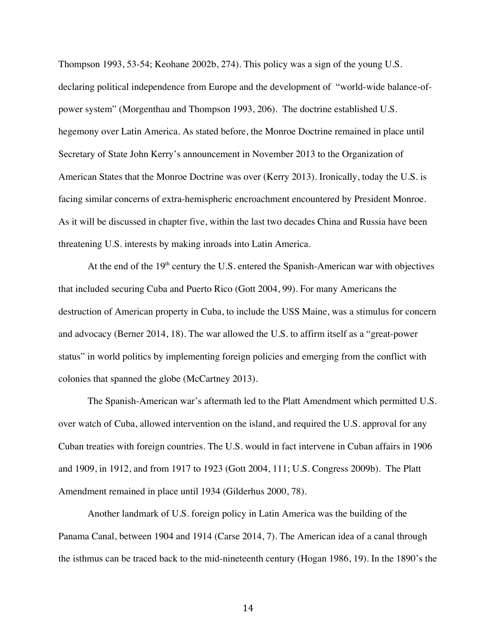Thompson 1993, 53-54; Keohane 2002b, 274). This policy was a sign of the young U.S. declaring political independence from Europe and the development of "world-wide balance-ofpower system" (Morgenthau and Thompson 1993, 206). The doctrine established U.S. hegemony over Latin America. As stated before, the Monroe Doctrine remained in place until Secretary of State John Kerry's announcement in November 2013 to the Organization of American States that the Monroe Doctrine was over (Kerry 2013). Ironically, today the U.S. is facing similar concerns of extra-hemispheric encroachment encountered by President Monroe. As it will be discussed in chapter five, within the last two decades China and Russia have been threatening U.S. interests by making inroads into Latin America.

At the end of the  $19<sup>th</sup>$  century the U.S. entered the Spanish-American war with objectives that included securing Cuba and Puerto Rico (Gott 2004, 99). For many Americans the destruction of American property in Cuba, to include the USS Maine, was a stimulus for concern and advocacy (Berner 2014, 18). The war allowed the U.S. to affirm itself as a "great-power status" in world politics by implementing foreign policies and emerging from the conflict with colonies that spanned the globe (McCartney 2013).

The Spanish-American war's aftermath led to the Platt Amendment which permitted U.S. over watch of Cuba, allowed intervention on the island, and required the U.S. approval for any Cuban treaties with foreign countries. The U.S. would in fact intervene in Cuban affairs in 1906 and 1909, in 1912, and from 1917 to 1923 (Gott 2004, 111; U.S. Congress 2009b). The Platt Amendment remained in place until 1934 (Gilderhus 2000, 78).

Another landmark of U.S. foreign policy in Latin America was the building of the Panama Canal, between 1904 and 1914 (Carse 2014, 7). The American idea of a canal through the isthmus can be traced back to the mid-nineteenth century (Hogan 1986, 19). In the 1890's the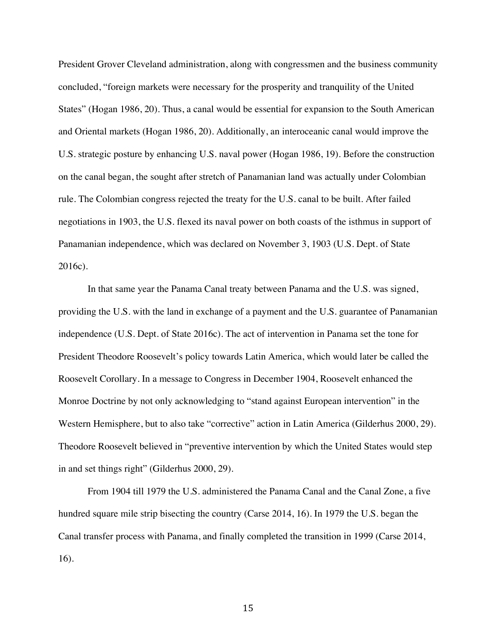President Grover Cleveland administration, along with congressmen and the business community concluded, "foreign markets were necessary for the prosperity and tranquility of the United States" (Hogan 1986, 20). Thus, a canal would be essential for expansion to the South American and Oriental markets (Hogan 1986, 20). Additionally, an interoceanic canal would improve the U.S. strategic posture by enhancing U.S. naval power (Hogan 1986, 19). Before the construction on the canal began, the sought after stretch of Panamanian land was actually under Colombian rule. The Colombian congress rejected the treaty for the U.S. canal to be built. After failed negotiations in 1903, the U.S. flexed its naval power on both coasts of the isthmus in support of Panamanian independence, which was declared on November 3, 1903 (U.S. Dept. of State 2016c).

In that same year the Panama Canal treaty between Panama and the U.S. was signed, providing the U.S. with the land in exchange of a payment and the U.S. guarantee of Panamanian independence (U.S. Dept. of State 2016c). The act of intervention in Panama set the tone for President Theodore Roosevelt's policy towards Latin America, which would later be called the Roosevelt Corollary. In a message to Congress in December 1904, Roosevelt enhanced the Monroe Doctrine by not only acknowledging to "stand against European intervention" in the Western Hemisphere, but to also take "corrective" action in Latin America (Gilderhus 2000, 29). Theodore Roosevelt believed in "preventive intervention by which the United States would step in and set things right" (Gilderhus 2000, 29).

From 1904 till 1979 the U.S. administered the Panama Canal and the Canal Zone, a five hundred square mile strip bisecting the country (Carse 2014, 16). In 1979 the U.S. began the Canal transfer process with Panama, and finally completed the transition in 1999 (Carse 2014, 16).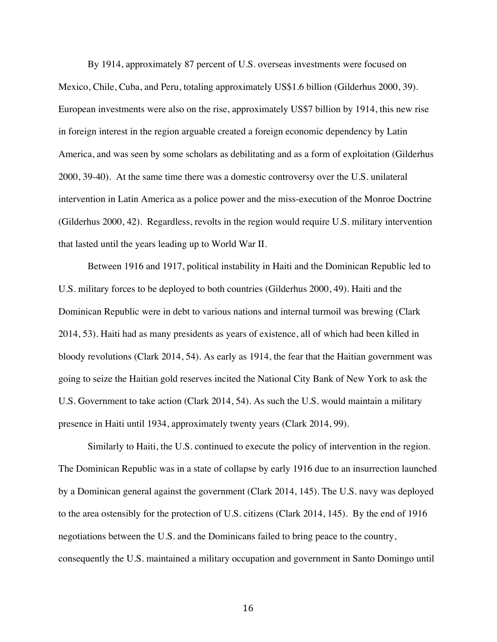By 1914, approximately 87 percent of U.S. overseas investments were focused on Mexico, Chile, Cuba, and Peru, totaling approximately US\$1.6 billion (Gilderhus 2000, 39). European investments were also on the rise, approximately US\$7 billion by 1914, this new rise in foreign interest in the region arguable created a foreign economic dependency by Latin America, and was seen by some scholars as debilitating and as a form of exploitation (Gilderhus 2000, 39-40). At the same time there was a domestic controversy over the U.S. unilateral intervention in Latin America as a police power and the miss-execution of the Monroe Doctrine (Gilderhus 2000, 42). Regardless, revolts in the region would require U.S. military intervention that lasted until the years leading up to World War II.

Between 1916 and 1917, political instability in Haiti and the Dominican Republic led to U.S. military forces to be deployed to both countries (Gilderhus 2000, 49). Haiti and the Dominican Republic were in debt to various nations and internal turmoil was brewing (Clark 2014, 53). Haiti had as many presidents as years of existence, all of which had been killed in bloody revolutions (Clark 2014, 54). As early as 1914, the fear that the Haitian government was going to seize the Haitian gold reserves incited the National City Bank of New York to ask the U.S. Government to take action (Clark 2014, 54). As such the U.S. would maintain a military presence in Haiti until 1934, approximately twenty years (Clark 2014, 99).

Similarly to Haiti, the U.S. continued to execute the policy of intervention in the region. The Dominican Republic was in a state of collapse by early 1916 due to an insurrection launched by a Dominican general against the government (Clark 2014, 145). The U.S. navy was deployed to the area ostensibly for the protection of U.S. citizens (Clark 2014, 145). By the end of 1916 negotiations between the U.S. and the Dominicans failed to bring peace to the country, consequently the U.S. maintained a military occupation and government in Santo Domingo until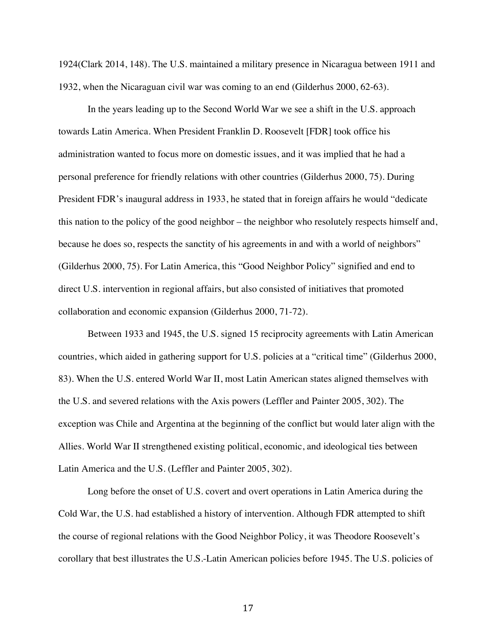1924(Clark 2014, 148). The U.S. maintained a military presence in Nicaragua between 1911 and 1932, when the Nicaraguan civil war was coming to an end (Gilderhus 2000, 62-63).

In the years leading up to the Second World War we see a shift in the U.S. approach towards Latin America. When President Franklin D. Roosevelt [FDR] took office his administration wanted to focus more on domestic issues, and it was implied that he had a personal preference for friendly relations with other countries (Gilderhus 2000, 75). During President FDR's inaugural address in 1933, he stated that in foreign affairs he would "dedicate this nation to the policy of the good neighbor – the neighbor who resolutely respects himself and, because he does so, respects the sanctity of his agreements in and with a world of neighbors" (Gilderhus 2000, 75). For Latin America, this "Good Neighbor Policy" signified and end to direct U.S. intervention in regional affairs, but also consisted of initiatives that promoted collaboration and economic expansion (Gilderhus 2000, 71-72).

Between 1933 and 1945, the U.S. signed 15 reciprocity agreements with Latin American countries, which aided in gathering support for U.S. policies at a "critical time" (Gilderhus 2000, 83). When the U.S. entered World War II, most Latin American states aligned themselves with the U.S. and severed relations with the Axis powers (Leffler and Painter 2005, 302). The exception was Chile and Argentina at the beginning of the conflict but would later align with the Allies. World War II strengthened existing political, economic, and ideological ties between Latin America and the U.S. (Leffler and Painter 2005, 302).

Long before the onset of U.S. covert and overt operations in Latin America during the Cold War, the U.S. had established a history of intervention. Although FDR attempted to shift the course of regional relations with the Good Neighbor Policy, it was Theodore Roosevelt's corollary that best illustrates the U.S.-Latin American policies before 1945. The U.S. policies of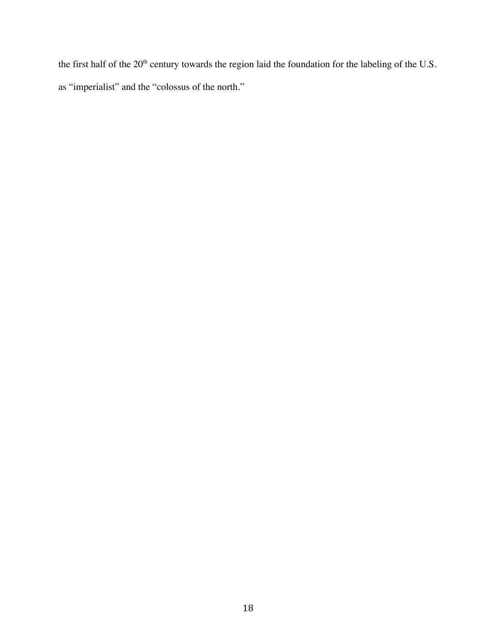the first half of the 20<sup>th</sup> century towards the region laid the foundation for the labeling of the U.S. as "imperialist" and the "colossus of the north."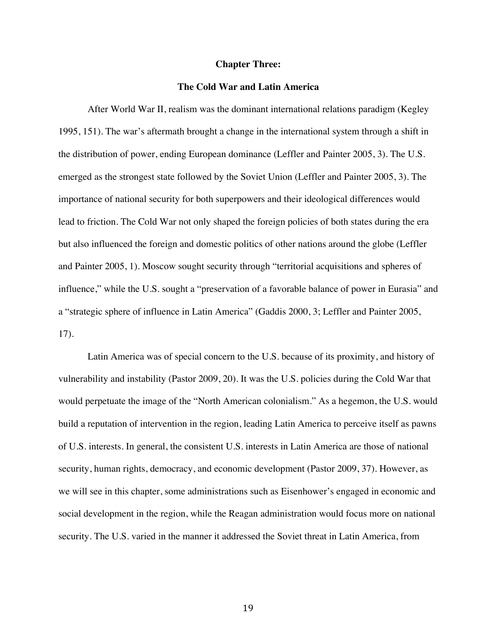#### **Chapter Three:**

#### **The Cold War and Latin America**

After World War II, realism was the dominant international relations paradigm (Kegley 1995, 151). The war's aftermath brought a change in the international system through a shift in the distribution of power, ending European dominance (Leffler and Painter 2005, 3). The U.S. emerged as the strongest state followed by the Soviet Union (Leffler and Painter 2005, 3). The importance of national security for both superpowers and their ideological differences would lead to friction. The Cold War not only shaped the foreign policies of both states during the era but also influenced the foreign and domestic politics of other nations around the globe (Leffler and Painter 2005, 1). Moscow sought security through "territorial acquisitions and spheres of influence," while the U.S. sought a "preservation of a favorable balance of power in Eurasia" and a "strategic sphere of influence in Latin America" (Gaddis 2000, 3; Leffler and Painter 2005, 17).

Latin America was of special concern to the U.S. because of its proximity, and history of vulnerability and instability (Pastor 2009, 20). It was the U.S. policies during the Cold War that would perpetuate the image of the "North American colonialism." As a hegemon, the U.S. would build a reputation of intervention in the region, leading Latin America to perceive itself as pawns of U.S. interests. In general, the consistent U.S. interests in Latin America are those of national security, human rights, democracy, and economic development (Pastor 2009, 37). However, as we will see in this chapter, some administrations such as Eisenhower's engaged in economic and social development in the region, while the Reagan administration would focus more on national security. The U.S. varied in the manner it addressed the Soviet threat in Latin America, from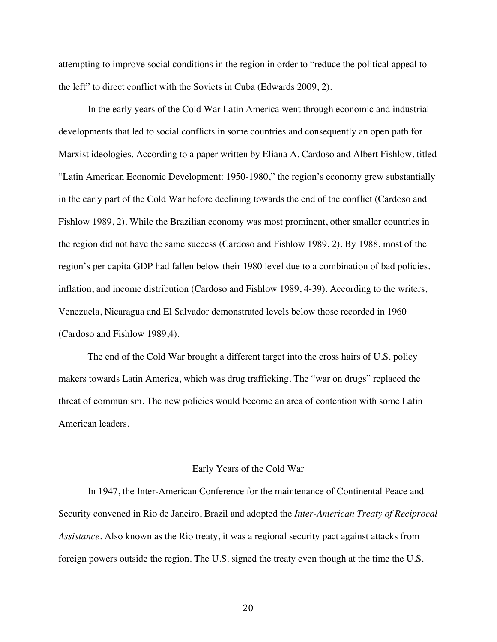attempting to improve social conditions in the region in order to "reduce the political appeal to the left" to direct conflict with the Soviets in Cuba (Edwards 2009, 2).

In the early years of the Cold War Latin America went through economic and industrial developments that led to social conflicts in some countries and consequently an open path for Marxist ideologies. According to a paper written by Eliana A. Cardoso and Albert Fishlow, titled "Latin American Economic Development: 1950-1980," the region's economy grew substantially in the early part of the Cold War before declining towards the end of the conflict (Cardoso and Fishlow 1989, 2). While the Brazilian economy was most prominent, other smaller countries in the region did not have the same success (Cardoso and Fishlow 1989, 2). By 1988, most of the region's per capita GDP had fallen below their 1980 level due to a combination of bad policies, inflation, and income distribution (Cardoso and Fishlow 1989, 4-39). According to the writers, Venezuela, Nicaragua and El Salvador demonstrated levels below those recorded in 1960 (Cardoso and Fishlow 1989,4).

The end of the Cold War brought a different target into the cross hairs of U.S. policy makers towards Latin America, which was drug trafficking. The "war on drugs" replaced the threat of communism. The new policies would become an area of contention with some Latin American leaders.

#### Early Years of the Cold War

In 1947, the Inter-American Conference for the maintenance of Continental Peace and Security convened in Rio de Janeiro, Brazil and adopted the *Inter-American Treaty of Reciprocal Assistance*. Also known as the Rio treaty, it was a regional security pact against attacks from foreign powers outside the region. The U.S. signed the treaty even though at the time the U.S.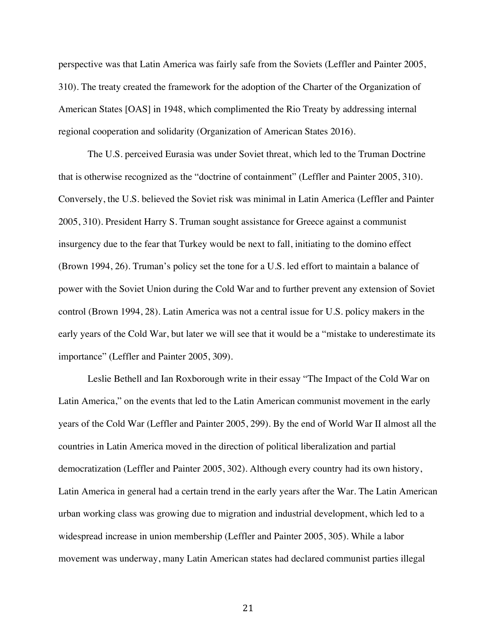perspective was that Latin America was fairly safe from the Soviets (Leffler and Painter 2005, 310). The treaty created the framework for the adoption of the Charter of the Organization of American States [OAS] in 1948, which complimented the Rio Treaty by addressing internal regional cooperation and solidarity (Organization of American States 2016).

The U.S. perceived Eurasia was under Soviet threat, which led to the Truman Doctrine that is otherwise recognized as the "doctrine of containment" (Leffler and Painter 2005, 310). Conversely, the U.S. believed the Soviet risk was minimal in Latin America (Leffler and Painter 2005, 310). President Harry S. Truman sought assistance for Greece against a communist insurgency due to the fear that Turkey would be next to fall, initiating to the domino effect (Brown 1994, 26). Truman's policy set the tone for a U.S. led effort to maintain a balance of power with the Soviet Union during the Cold War and to further prevent any extension of Soviet control (Brown 1994, 28). Latin America was not a central issue for U.S. policy makers in the early years of the Cold War, but later we will see that it would be a "mistake to underestimate its importance" (Leffler and Painter 2005, 309).

Leslie Bethell and Ian Roxborough write in their essay "The Impact of the Cold War on Latin America," on the events that led to the Latin American communist movement in the early years of the Cold War (Leffler and Painter 2005, 299). By the end of World War II almost all the countries in Latin America moved in the direction of political liberalization and partial democratization (Leffler and Painter 2005, 302). Although every country had its own history, Latin America in general had a certain trend in the early years after the War. The Latin American urban working class was growing due to migration and industrial development, which led to a widespread increase in union membership (Leffler and Painter 2005, 305). While a labor movement was underway, many Latin American states had declared communist parties illegal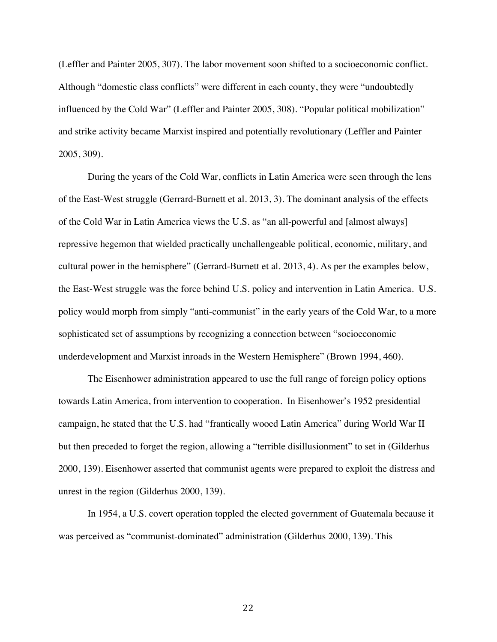(Leffler and Painter 2005, 307). The labor movement soon shifted to a socioeconomic conflict. Although "domestic class conflicts" were different in each county, they were "undoubtedly influenced by the Cold War" (Leffler and Painter 2005, 308). "Popular political mobilization" and strike activity became Marxist inspired and potentially revolutionary (Leffler and Painter 2005, 309).

During the years of the Cold War, conflicts in Latin America were seen through the lens of the East-West struggle (Gerrard-Burnett et al. 2013, 3). The dominant analysis of the effects of the Cold War in Latin America views the U.S. as "an all-powerful and [almost always] repressive hegemon that wielded practically unchallengeable political, economic, military, and cultural power in the hemisphere" (Gerrard-Burnett et al. 2013, 4). As per the examples below, the East-West struggle was the force behind U.S. policy and intervention in Latin America. U.S. policy would morph from simply "anti-communist" in the early years of the Cold War, to a more sophisticated set of assumptions by recognizing a connection between "socioeconomic underdevelopment and Marxist inroads in the Western Hemisphere" (Brown 1994, 460).

The Eisenhower administration appeared to use the full range of foreign policy options towards Latin America, from intervention to cooperation. In Eisenhower's 1952 presidential campaign, he stated that the U.S. had "frantically wooed Latin America" during World War II but then preceded to forget the region, allowing a "terrible disillusionment" to set in (Gilderhus 2000, 139). Eisenhower asserted that communist agents were prepared to exploit the distress and unrest in the region (Gilderhus 2000, 139).

In 1954, a U.S. covert operation toppled the elected government of Guatemala because it was perceived as "communist-dominated" administration (Gilderhus 2000, 139). This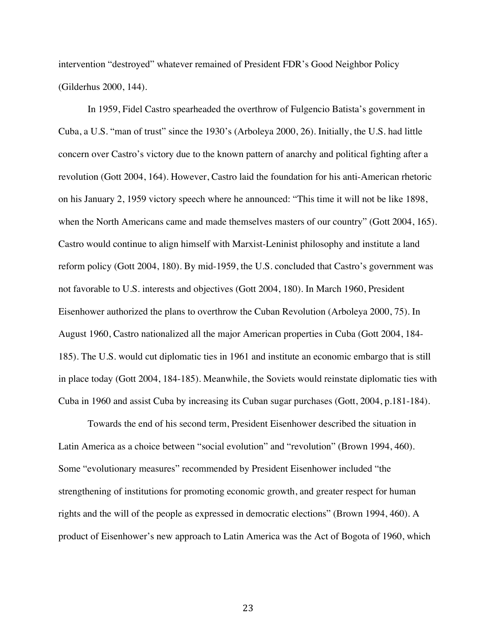intervention "destroyed" whatever remained of President FDR's Good Neighbor Policy (Gilderhus 2000, 144).

In 1959, Fidel Castro spearheaded the overthrow of Fulgencio Batista's government in Cuba, a U.S. "man of trust" since the 1930's (Arboleya 2000, 26). Initially, the U.S. had little concern over Castro's victory due to the known pattern of anarchy and political fighting after a revolution (Gott 2004, 164). However, Castro laid the foundation for his anti-American rhetoric on his January 2, 1959 victory speech where he announced: "This time it will not be like 1898, when the North Americans came and made themselves masters of our country" (Gott 2004, 165). Castro would continue to align himself with Marxist-Leninist philosophy and institute a land reform policy (Gott 2004, 180). By mid-1959, the U.S. concluded that Castro's government was not favorable to U.S. interests and objectives (Gott 2004, 180). In March 1960, President Eisenhower authorized the plans to overthrow the Cuban Revolution (Arboleya 2000, 75). In August 1960, Castro nationalized all the major American properties in Cuba (Gott 2004, 184- 185). The U.S. would cut diplomatic ties in 1961 and institute an economic embargo that is still in place today (Gott 2004, 184-185). Meanwhile, the Soviets would reinstate diplomatic ties with Cuba in 1960 and assist Cuba by increasing its Cuban sugar purchases (Gott, 2004, p.181-184).

Towards the end of his second term, President Eisenhower described the situation in Latin America as a choice between "social evolution" and "revolution" (Brown 1994, 460). Some "evolutionary measures" recommended by President Eisenhower included "the strengthening of institutions for promoting economic growth, and greater respect for human rights and the will of the people as expressed in democratic elections" (Brown 1994, 460). A product of Eisenhower's new approach to Latin America was the Act of Bogota of 1960, which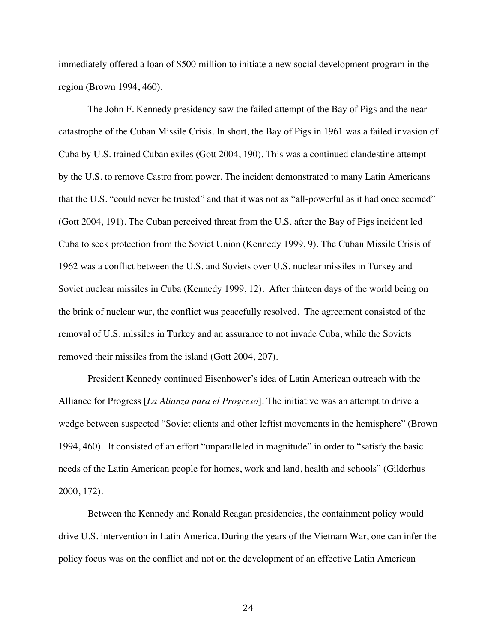immediately offered a loan of \$500 million to initiate a new social development program in the region (Brown 1994, 460).

The John F. Kennedy presidency saw the failed attempt of the Bay of Pigs and the near catastrophe of the Cuban Missile Crisis. In short, the Bay of Pigs in 1961 was a failed invasion of Cuba by U.S. trained Cuban exiles (Gott 2004, 190). This was a continued clandestine attempt by the U.S. to remove Castro from power. The incident demonstrated to many Latin Americans that the U.S. "could never be trusted" and that it was not as "all-powerful as it had once seemed" (Gott 2004, 191). The Cuban perceived threat from the U.S. after the Bay of Pigs incident led Cuba to seek protection from the Soviet Union (Kennedy 1999, 9). The Cuban Missile Crisis of 1962 was a conflict between the U.S. and Soviets over U.S. nuclear missiles in Turkey and Soviet nuclear missiles in Cuba (Kennedy 1999, 12). After thirteen days of the world being on the brink of nuclear war, the conflict was peacefully resolved. The agreement consisted of the removal of U.S. missiles in Turkey and an assurance to not invade Cuba, while the Soviets removed their missiles from the island (Gott 2004, 207).

President Kennedy continued Eisenhower's idea of Latin American outreach with the Alliance for Progress [*La Alianza para el Progreso*]. The initiative was an attempt to drive a wedge between suspected "Soviet clients and other leftist movements in the hemisphere" (Brown 1994, 460). It consisted of an effort "unparalleled in magnitude" in order to "satisfy the basic needs of the Latin American people for homes, work and land, health and schools" (Gilderhus 2000, 172).

Between the Kennedy and Ronald Reagan presidencies, the containment policy would drive U.S. intervention in Latin America. During the years of the Vietnam War, one can infer the policy focus was on the conflict and not on the development of an effective Latin American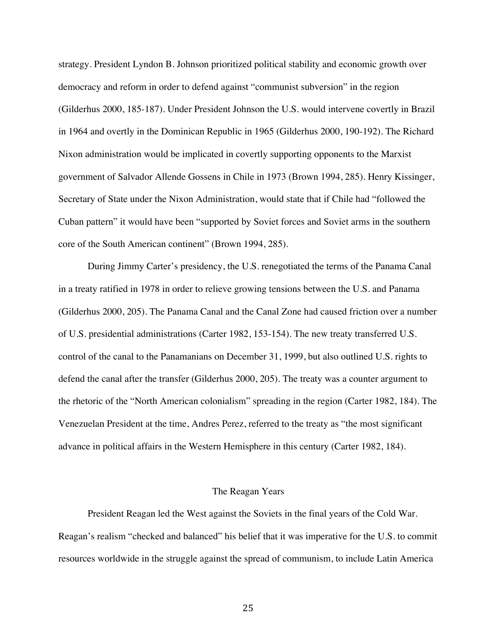strategy. President Lyndon B. Johnson prioritized political stability and economic growth over democracy and reform in order to defend against "communist subversion" in the region (Gilderhus 2000, 185-187). Under President Johnson the U.S. would intervene covertly in Brazil in 1964 and overtly in the Dominican Republic in 1965 (Gilderhus 2000, 190-192). The Richard Nixon administration would be implicated in covertly supporting opponents to the Marxist government of Salvador Allende Gossens in Chile in 1973 (Brown 1994, 285). Henry Kissinger, Secretary of State under the Nixon Administration, would state that if Chile had "followed the Cuban pattern" it would have been "supported by Soviet forces and Soviet arms in the southern core of the South American continent" (Brown 1994, 285).

During Jimmy Carter's presidency, the U.S. renegotiated the terms of the Panama Canal in a treaty ratified in 1978 in order to relieve growing tensions between the U.S. and Panama (Gilderhus 2000, 205). The Panama Canal and the Canal Zone had caused friction over a number of U.S. presidential administrations (Carter 1982, 153-154). The new treaty transferred U.S. control of the canal to the Panamanians on December 31, 1999, but also outlined U.S. rights to defend the canal after the transfer (Gilderhus 2000, 205). The treaty was a counter argument to the rhetoric of the "North American colonialism" spreading in the region (Carter 1982, 184). The Venezuelan President at the time, Andres Perez, referred to the treaty as "the most significant advance in political affairs in the Western Hemisphere in this century (Carter 1982, 184).

#### The Reagan Years

President Reagan led the West against the Soviets in the final years of the Cold War. Reagan's realism "checked and balanced" his belief that it was imperative for the U.S. to commit resources worldwide in the struggle against the spread of communism, to include Latin America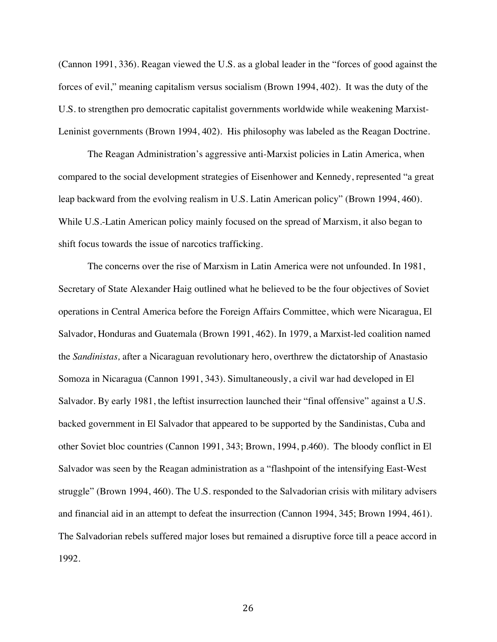(Cannon 1991, 336). Reagan viewed the U.S. as a global leader in the "forces of good against the forces of evil," meaning capitalism versus socialism (Brown 1994, 402). It was the duty of the U.S. to strengthen pro democratic capitalist governments worldwide while weakening Marxist-Leninist governments (Brown 1994, 402). His philosophy was labeled as the Reagan Doctrine.

The Reagan Administration's aggressive anti-Marxist policies in Latin America, when compared to the social development strategies of Eisenhower and Kennedy, represented "a great leap backward from the evolving realism in U.S. Latin American policy" (Brown 1994, 460). While U.S.-Latin American policy mainly focused on the spread of Marxism, it also began to shift focus towards the issue of narcotics trafficking.

The concerns over the rise of Marxism in Latin America were not unfounded. In 1981, Secretary of State Alexander Haig outlined what he believed to be the four objectives of Soviet operations in Central America before the Foreign Affairs Committee, which were Nicaragua, El Salvador, Honduras and Guatemala (Brown 1991, 462). In 1979, a Marxist-led coalition named the *Sandinistas,* after a Nicaraguan revolutionary hero, overthrew the dictatorship of Anastasio Somoza in Nicaragua (Cannon 1991, 343). Simultaneously, a civil war had developed in El Salvador. By early 1981, the leftist insurrection launched their "final offensive" against a U.S. backed government in El Salvador that appeared to be supported by the Sandinistas, Cuba and other Soviet bloc countries (Cannon 1991, 343; Brown, 1994, p.460). The bloody conflict in El Salvador was seen by the Reagan administration as a "flashpoint of the intensifying East-West struggle" (Brown 1994, 460). The U.S. responded to the Salvadorian crisis with military advisers and financial aid in an attempt to defeat the insurrection (Cannon 1994, 345; Brown 1994, 461). The Salvadorian rebels suffered major loses but remained a disruptive force till a peace accord in 1992.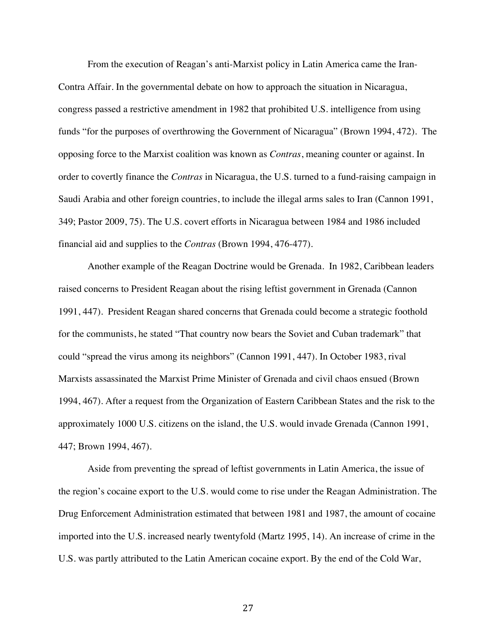From the execution of Reagan's anti-Marxist policy in Latin America came the Iran-Contra Affair. In the governmental debate on how to approach the situation in Nicaragua, congress passed a restrictive amendment in 1982 that prohibited U.S. intelligence from using funds "for the purposes of overthrowing the Government of Nicaragua" (Brown 1994, 472). The opposing force to the Marxist coalition was known as *Contras*, meaning counter or against. In order to covertly finance the *Contras* in Nicaragua, the U.S. turned to a fund-raising campaign in Saudi Arabia and other foreign countries, to include the illegal arms sales to Iran (Cannon 1991, 349; Pastor 2009, 75). The U.S. covert efforts in Nicaragua between 1984 and 1986 included financial aid and supplies to the *Contras* (Brown 1994, 476-477).

Another example of the Reagan Doctrine would be Grenada. In 1982, Caribbean leaders raised concerns to President Reagan about the rising leftist government in Grenada (Cannon 1991, 447). President Reagan shared concerns that Grenada could become a strategic foothold for the communists, he stated "That country now bears the Soviet and Cuban trademark" that could "spread the virus among its neighbors" (Cannon 1991, 447). In October 1983, rival Marxists assassinated the Marxist Prime Minister of Grenada and civil chaos ensued (Brown 1994, 467). After a request from the Organization of Eastern Caribbean States and the risk to the approximately 1000 U.S. citizens on the island, the U.S. would invade Grenada (Cannon 1991, 447; Brown 1994, 467).

Aside from preventing the spread of leftist governments in Latin America, the issue of the region's cocaine export to the U.S. would come to rise under the Reagan Administration. The Drug Enforcement Administration estimated that between 1981 and 1987, the amount of cocaine imported into the U.S. increased nearly twentyfold (Martz 1995, 14). An increase of crime in the U.S. was partly attributed to the Latin American cocaine export. By the end of the Cold War,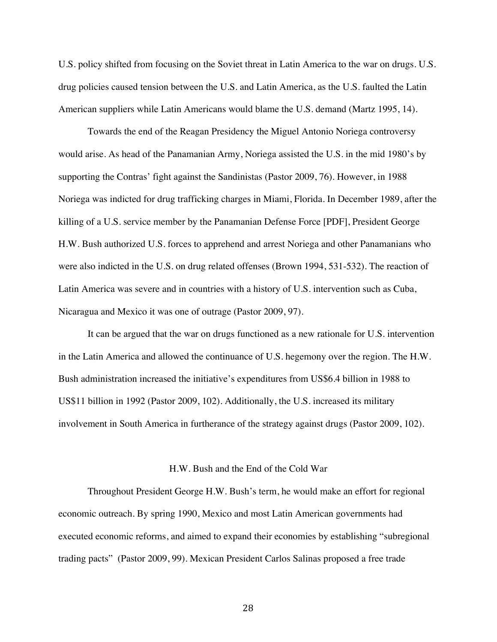U.S. policy shifted from focusing on the Soviet threat in Latin America to the war on drugs. U.S. drug policies caused tension between the U.S. and Latin America, as the U.S. faulted the Latin American suppliers while Latin Americans would blame the U.S. demand (Martz 1995, 14).

Towards the end of the Reagan Presidency the Miguel Antonio Noriega controversy would arise. As head of the Panamanian Army, Noriega assisted the U.S. in the mid 1980's by supporting the Contras' fight against the Sandinistas (Pastor 2009, 76). However, in 1988 Noriega was indicted for drug trafficking charges in Miami, Florida. In December 1989, after the killing of a U.S. service member by the Panamanian Defense Force [PDF], President George H.W. Bush authorized U.S. forces to apprehend and arrest Noriega and other Panamanians who were also indicted in the U.S. on drug related offenses (Brown 1994, 531-532). The reaction of Latin America was severe and in countries with a history of U.S. intervention such as Cuba, Nicaragua and Mexico it was one of outrage (Pastor 2009, 97).

It can be argued that the war on drugs functioned as a new rationale for U.S. intervention in the Latin America and allowed the continuance of U.S. hegemony over the region. The H.W. Bush administration increased the initiative's expenditures from US\$6.4 billion in 1988 to US\$11 billion in 1992 (Pastor 2009, 102). Additionally, the U.S. increased its military involvement in South America in furtherance of the strategy against drugs (Pastor 2009, 102).

#### H.W. Bush and the End of the Cold War

Throughout President George H.W. Bush's term, he would make an effort for regional economic outreach. By spring 1990, Mexico and most Latin American governments had executed economic reforms, and aimed to expand their economies by establishing "subregional trading pacts" (Pastor 2009, 99). Mexican President Carlos Salinas proposed a free trade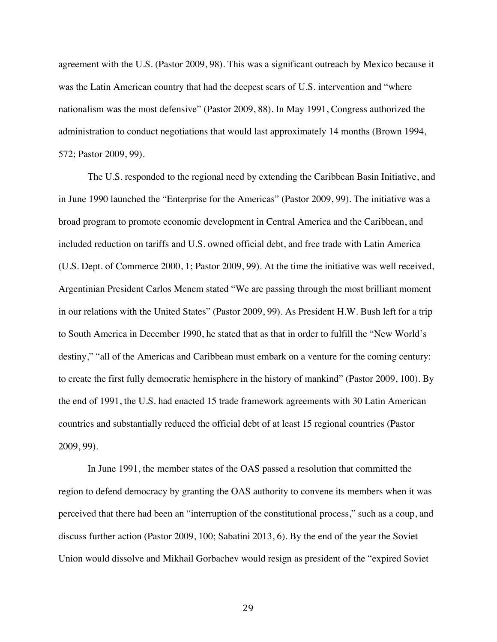agreement with the U.S. (Pastor 2009, 98). This was a significant outreach by Mexico because it was the Latin American country that had the deepest scars of U.S. intervention and "where nationalism was the most defensive" (Pastor 2009, 88). In May 1991, Congress authorized the administration to conduct negotiations that would last approximately 14 months (Brown 1994, 572; Pastor 2009, 99).

The U.S. responded to the regional need by extending the Caribbean Basin Initiative, and in June 1990 launched the "Enterprise for the Americas" (Pastor 2009, 99). The initiative was a broad program to promote economic development in Central America and the Caribbean, and included reduction on tariffs and U.S. owned official debt, and free trade with Latin America (U.S. Dept. of Commerce 2000, 1; Pastor 2009, 99). At the time the initiative was well received, Argentinian President Carlos Menem stated "We are passing through the most brilliant moment in our relations with the United States" (Pastor 2009, 99). As President H.W. Bush left for a trip to South America in December 1990, he stated that as that in order to fulfill the "New World's destiny," "all of the Americas and Caribbean must embark on a venture for the coming century: to create the first fully democratic hemisphere in the history of mankind" (Pastor 2009, 100). By the end of 1991, the U.S. had enacted 15 trade framework agreements with 30 Latin American countries and substantially reduced the official debt of at least 15 regional countries (Pastor 2009, 99).

In June 1991, the member states of the OAS passed a resolution that committed the region to defend democracy by granting the OAS authority to convene its members when it was perceived that there had been an "interruption of the constitutional process," such as a coup, and discuss further action (Pastor 2009, 100; Sabatini 2013, 6). By the end of the year the Soviet Union would dissolve and Mikhail Gorbachev would resign as president of the "expired Soviet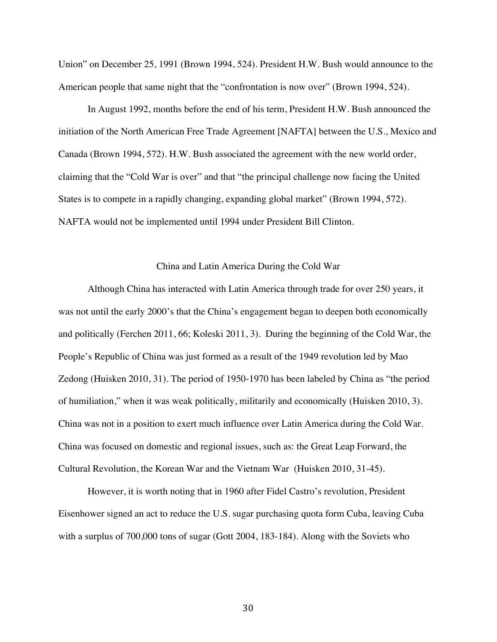Union" on December 25, 1991 (Brown 1994, 524). President H.W. Bush would announce to the American people that same night that the "confrontation is now over" (Brown 1994, 524).

In August 1992, months before the end of his term, President H.W. Bush announced the initiation of the North American Free Trade Agreement [NAFTA] between the U.S., Mexico and Canada (Brown 1994, 572). H.W. Bush associated the agreement with the new world order, claiming that the "Cold War is over" and that "the principal challenge now facing the United States is to compete in a rapidly changing, expanding global market" (Brown 1994, 572). NAFTA would not be implemented until 1994 under President Bill Clinton.

#### China and Latin America During the Cold War

Although China has interacted with Latin America through trade for over 250 years, it was not until the early 2000's that the China's engagement began to deepen both economically and politically (Ferchen 2011, 66; Koleski 2011, 3). During the beginning of the Cold War, the People's Republic of China was just formed as a result of the 1949 revolution led by Mao Zedong (Huisken 2010, 31). The period of 1950-1970 has been labeled by China as "the period of humiliation," when it was weak politically, militarily and economically (Huisken 2010, 3). China was not in a position to exert much influence over Latin America during the Cold War. China was focused on domestic and regional issues, such as: the Great Leap Forward, the Cultural Revolution, the Korean War and the Vietnam War (Huisken 2010, 31-45).

However, it is worth noting that in 1960 after Fidel Castro's revolution, President Eisenhower signed an act to reduce the U.S. sugar purchasing quota form Cuba, leaving Cuba with a surplus of 700,000 tons of sugar (Gott 2004, 183-184). Along with the Soviets who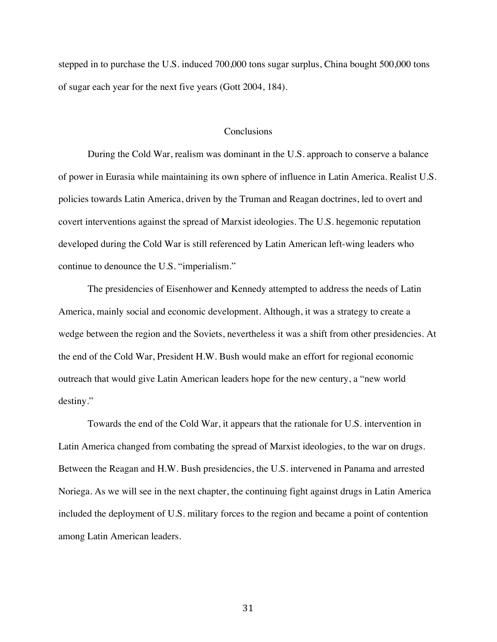stepped in to purchase the U.S. induced 700,000 tons sugar surplus, China bought 500,000 tons of sugar each year for the next five years (Gott 2004, 184).

## **Conclusions**

During the Cold War, realism was dominant in the U.S. approach to conserve a balance of power in Eurasia while maintaining its own sphere of influence in Latin America. Realist U.S. policies towards Latin America, driven by the Truman and Reagan doctrines, led to overt and covert interventions against the spread of Marxist ideologies. The U.S. hegemonic reputation developed during the Cold War is still referenced by Latin American left-wing leaders who continue to denounce the U.S. "imperialism."

The presidencies of Eisenhower and Kennedy attempted to address the needs of Latin America, mainly social and economic development. Although, it was a strategy to create a wedge between the region and the Soviets, nevertheless it was a shift from other presidencies. At the end of the Cold War, President H.W. Bush would make an effort for regional economic outreach that would give Latin American leaders hope for the new century, a "new world destiny."

Towards the end of the Cold War, it appears that the rationale for U.S. intervention in Latin America changed from combating the spread of Marxist ideologies, to the war on drugs. Between the Reagan and H.W. Bush presidencies, the U.S. intervened in Panama and arrested Noriega. As we will see in the next chapter, the continuing fight against drugs in Latin America included the deployment of U.S. military forces to the region and became a point of contention among Latin American leaders.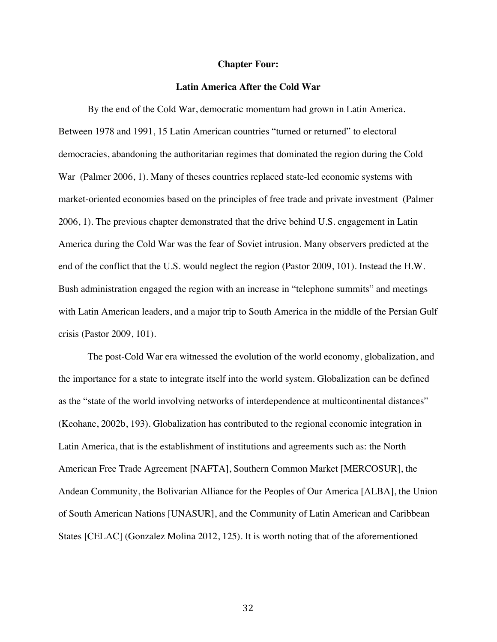#### **Chapter Four:**

## **Latin America After the Cold War**

By the end of the Cold War, democratic momentum had grown in Latin America. Between 1978 and 1991, 15 Latin American countries "turned or returned" to electoral democracies, abandoning the authoritarian regimes that dominated the region during the Cold War (Palmer 2006, 1). Many of theses countries replaced state-led economic systems with market-oriented economies based on the principles of free trade and private investment (Palmer 2006, 1). The previous chapter demonstrated that the drive behind U.S. engagement in Latin America during the Cold War was the fear of Soviet intrusion. Many observers predicted at the end of the conflict that the U.S. would neglect the region (Pastor 2009, 101). Instead the H.W. Bush administration engaged the region with an increase in "telephone summits" and meetings with Latin American leaders, and a major trip to South America in the middle of the Persian Gulf crisis (Pastor 2009, 101).

The post-Cold War era witnessed the evolution of the world economy, globalization, and the importance for a state to integrate itself into the world system. Globalization can be defined as the "state of the world involving networks of interdependence at multicontinental distances" (Keohane, 2002b, 193). Globalization has contributed to the regional economic integration in Latin America, that is the establishment of institutions and agreements such as: the North American Free Trade Agreement [NAFTA], Southern Common Market [MERCOSUR], the Andean Community, the Bolivarian Alliance for the Peoples of Our America [ALBA], the Union of South American Nations [UNASUR], and the Community of Latin American and Caribbean States [CELAC] (Gonzalez Molina 2012, 125). It is worth noting that of the aforementioned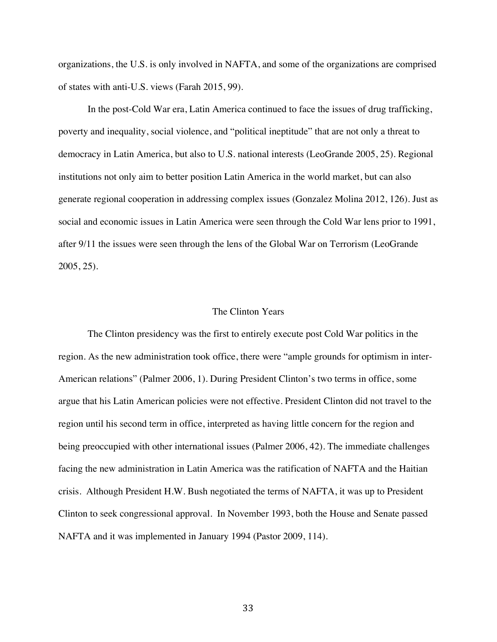organizations, the U.S. is only involved in NAFTA, and some of the organizations are comprised of states with anti-U.S. views (Farah 2015, 99).

In the post-Cold War era, Latin America continued to face the issues of drug trafficking, poverty and inequality, social violence, and "political ineptitude" that are not only a threat to democracy in Latin America, but also to U.S. national interests (LeoGrande 2005, 25). Regional institutions not only aim to better position Latin America in the world market, but can also generate regional cooperation in addressing complex issues (Gonzalez Molina 2012, 126). Just as social and economic issues in Latin America were seen through the Cold War lens prior to 1991, after 9/11 the issues were seen through the lens of the Global War on Terrorism (LeoGrande 2005, 25).

# The Clinton Years

The Clinton presidency was the first to entirely execute post Cold War politics in the region. As the new administration took office, there were "ample grounds for optimism in inter-American relations" (Palmer 2006, 1). During President Clinton's two terms in office, some argue that his Latin American policies were not effective. President Clinton did not travel to the region until his second term in office, interpreted as having little concern for the region and being preoccupied with other international issues (Palmer 2006, 42). The immediate challenges facing the new administration in Latin America was the ratification of NAFTA and the Haitian crisis. Although President H.W. Bush negotiated the terms of NAFTA, it was up to President Clinton to seek congressional approval. In November 1993, both the House and Senate passed NAFTA and it was implemented in January 1994 (Pastor 2009, 114).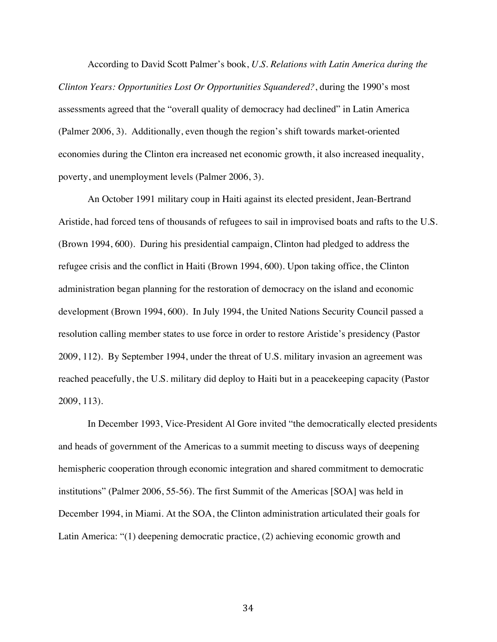According to David Scott Palmer's book, *U.S. Relations with Latin America during the Clinton Years: Opportunities Lost Or Opportunities Squandered?*, during the 1990's most assessments agreed that the "overall quality of democracy had declined" in Latin America (Palmer 2006, 3). Additionally, even though the region's shift towards market-oriented economies during the Clinton era increased net economic growth, it also increased inequality, poverty, and unemployment levels (Palmer 2006, 3).

An October 1991 military coup in Haiti against its elected president, Jean-Bertrand Aristide, had forced tens of thousands of refugees to sail in improvised boats and rafts to the U.S. (Brown 1994, 600). During his presidential campaign, Clinton had pledged to address the refugee crisis and the conflict in Haiti (Brown 1994, 600). Upon taking office, the Clinton administration began planning for the restoration of democracy on the island and economic development (Brown 1994, 600). In July 1994, the United Nations Security Council passed a resolution calling member states to use force in order to restore Aristide's presidency (Pastor 2009, 112). By September 1994, under the threat of U.S. military invasion an agreement was reached peacefully, the U.S. military did deploy to Haiti but in a peacekeeping capacity (Pastor 2009, 113).

In December 1993, Vice-President Al Gore invited "the democratically elected presidents and heads of government of the Americas to a summit meeting to discuss ways of deepening hemispheric cooperation through economic integration and shared commitment to democratic institutions" (Palmer 2006, 55-56). The first Summit of the Americas [SOA] was held in December 1994, in Miami. At the SOA, the Clinton administration articulated their goals for Latin America: "(1) deepening democratic practice, (2) achieving economic growth and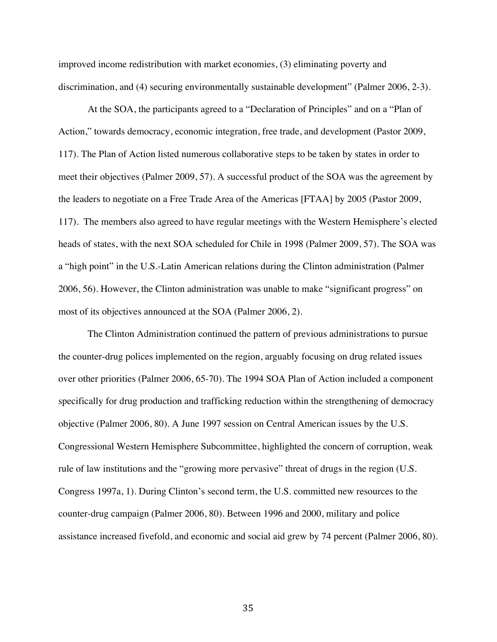improved income redistribution with market economies, (3) eliminating poverty and discrimination, and (4) securing environmentally sustainable development" (Palmer 2006, 2-3).

At the SOA, the participants agreed to a "Declaration of Principles" and on a "Plan of Action," towards democracy, economic integration, free trade, and development (Pastor 2009, 117). The Plan of Action listed numerous collaborative steps to be taken by states in order to meet their objectives (Palmer 2009, 57). A successful product of the SOA was the agreement by the leaders to negotiate on a Free Trade Area of the Americas [FTAA] by 2005 (Pastor 2009, 117). The members also agreed to have regular meetings with the Western Hemisphere's elected heads of states, with the next SOA scheduled for Chile in 1998 (Palmer 2009, 57). The SOA was a "high point" in the U.S.-Latin American relations during the Clinton administration (Palmer 2006, 56). However, the Clinton administration was unable to make "significant progress" on most of its objectives announced at the SOA (Palmer 2006, 2).

The Clinton Administration continued the pattern of previous administrations to pursue the counter-drug polices implemented on the region, arguably focusing on drug related issues over other priorities (Palmer 2006, 65-70). The 1994 SOA Plan of Action included a component specifically for drug production and trafficking reduction within the strengthening of democracy objective (Palmer 2006, 80). A June 1997 session on Central American issues by the U.S. Congressional Western Hemisphere Subcommittee, highlighted the concern of corruption, weak rule of law institutions and the "growing more pervasive" threat of drugs in the region (U.S. Congress 1997a, 1). During Clinton's second term, the U.S. committed new resources to the counter-drug campaign (Palmer 2006, 80). Between 1996 and 2000, military and police assistance increased fivefold, and economic and social aid grew by 74 percent (Palmer 2006, 80).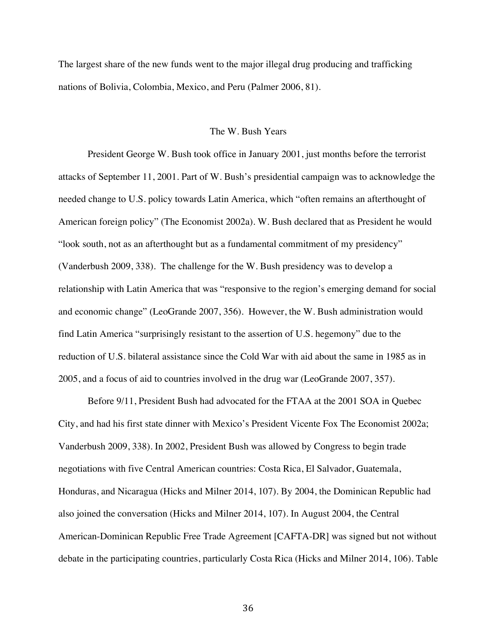The largest share of the new funds went to the major illegal drug producing and trafficking nations of Bolivia, Colombia, Mexico, and Peru (Palmer 2006, 81).

### The W. Bush Years

President George W. Bush took office in January 2001, just months before the terrorist attacks of September 11, 2001. Part of W. Bush's presidential campaign was to acknowledge the needed change to U.S. policy towards Latin America, which "often remains an afterthought of American foreign policy" (The Economist 2002a). W. Bush declared that as President he would "look south, not as an afterthought but as a fundamental commitment of my presidency" (Vanderbush 2009, 338). The challenge for the W. Bush presidency was to develop a relationship with Latin America that was "responsive to the region's emerging demand for social and economic change" (LeoGrande 2007, 356). However, the W. Bush administration would find Latin America "surprisingly resistant to the assertion of U.S. hegemony" due to the reduction of U.S. bilateral assistance since the Cold War with aid about the same in 1985 as in 2005, and a focus of aid to countries involved in the drug war (LeoGrande 2007, 357).

Before 9/11, President Bush had advocated for the FTAA at the 2001 SOA in Quebec City, and had his first state dinner with Mexico's President Vicente Fox The Economist 2002a; Vanderbush 2009, 338). In 2002, President Bush was allowed by Congress to begin trade negotiations with five Central American countries: Costa Rica, El Salvador, Guatemala, Honduras, and Nicaragua (Hicks and Milner 2014, 107). By 2004, the Dominican Republic had also joined the conversation (Hicks and Milner 2014, 107). In August 2004, the Central American-Dominican Republic Free Trade Agreement [CAFTA-DR] was signed but not without debate in the participating countries, particularly Costa Rica (Hicks and Milner 2014, 106). Table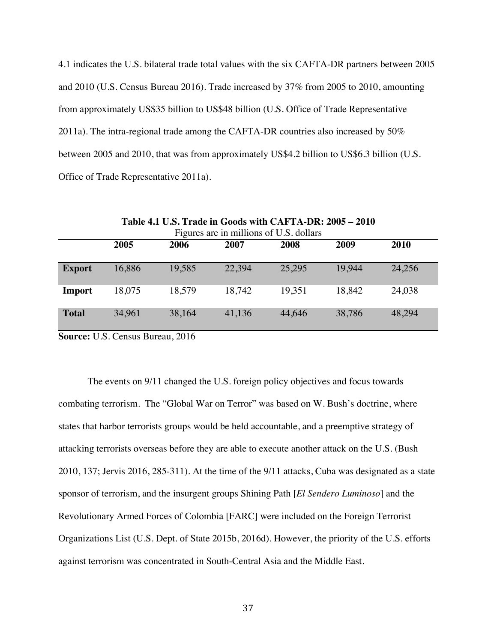4.1 indicates the U.S. bilateral trade total values with the six CAFTA-DR partners between 2005 and 2010 (U.S. Census Bureau 2016). Trade increased by 37% from 2005 to 2010, amounting from approximately US\$35 billion to US\$48 billion (U.S. Office of Trade Representative 2011a). The intra-regional trade among the CAFTA-DR countries also increased by 50% between 2005 and 2010, that was from approximately US\$4.2 billion to US\$6.3 billion (U.S. Office of Trade Representative 2011a).

| <b>Table 4.1 U.S. Trade in Goods with CAFTA-DR: 2005 – 2010</b> |        |        |        |        |        |        |  |  |  |
|-----------------------------------------------------------------|--------|--------|--------|--------|--------|--------|--|--|--|
| Figures are in millions of U.S. dollars                         |        |        |        |        |        |        |  |  |  |
|                                                                 | 2005   | 2006   | 2007   | 2008   | 2009   | 2010   |  |  |  |
|                                                                 |        |        |        |        |        |        |  |  |  |
| <b>Export</b>                                                   | 16,886 | 19,585 | 22,394 | 25,295 | 19.944 | 24,256 |  |  |  |
| <b>Import</b>                                                   | 18,075 | 18,579 | 18,742 | 19,351 | 18.842 | 24,038 |  |  |  |
| <b>Total</b>                                                    | 34,961 | 38,164 | 41,136 | 44,646 | 38,786 | 48,294 |  |  |  |

**Table 4.1 U.S. Trade in Goods with CAFTA-DR: 2005 – 2010**

**Source:** U.S. Census Bureau, 2016

The events on 9/11 changed the U.S. foreign policy objectives and focus towards combating terrorism. The "Global War on Terror" was based on W. Bush's doctrine, where states that harbor terrorists groups would be held accountable, and a preemptive strategy of attacking terrorists overseas before they are able to execute another attack on the U.S. (Bush 2010, 137; Jervis 2016, 285-311). At the time of the 9/11 attacks, Cuba was designated as a state sponsor of terrorism, and the insurgent groups Shining Path [*El Sendero Luminoso*] and the Revolutionary Armed Forces of Colombia [FARC] were included on the Foreign Terrorist Organizations List (U.S. Dept. of State 2015b, 2016d). However, the priority of the U.S. efforts against terrorism was concentrated in South-Central Asia and the Middle East.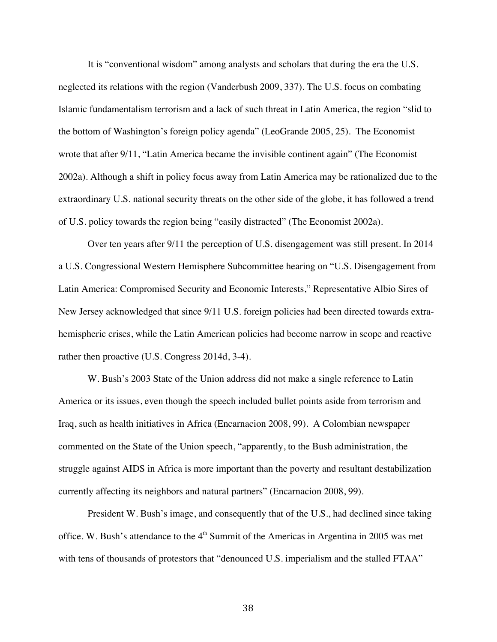It is "conventional wisdom" among analysts and scholars that during the era the U.S. neglected its relations with the region (Vanderbush 2009, 337). The U.S. focus on combating Islamic fundamentalism terrorism and a lack of such threat in Latin America, the region "slid to the bottom of Washington's foreign policy agenda" (LeoGrande 2005, 25). The Economist wrote that after 9/11, "Latin America became the invisible continent again" (The Economist 2002a). Although a shift in policy focus away from Latin America may be rationalized due to the extraordinary U.S. national security threats on the other side of the globe, it has followed a trend of U.S. policy towards the region being "easily distracted" (The Economist 2002a).

Over ten years after 9/11 the perception of U.S. disengagement was still present. In 2014 a U.S. Congressional Western Hemisphere Subcommittee hearing on "U.S. Disengagement from Latin America: Compromised Security and Economic Interests," Representative Albio Sires of New Jersey acknowledged that since 9/11 U.S. foreign policies had been directed towards extrahemispheric crises, while the Latin American policies had become narrow in scope and reactive rather then proactive (U.S. Congress 2014d, 3-4).

W. Bush's 2003 State of the Union address did not make a single reference to Latin America or its issues, even though the speech included bullet points aside from terrorism and Iraq, such as health initiatives in Africa (Encarnacion 2008, 99). A Colombian newspaper commented on the State of the Union speech, "apparently, to the Bush administration, the struggle against AIDS in Africa is more important than the poverty and resultant destabilization currently affecting its neighbors and natural partners" (Encarnacion 2008, 99).

 President W. Bush's image, and consequently that of the U.S., had declined since taking office. W. Bush's attendance to the  $4<sup>th</sup>$  Summit of the Americas in Argentina in 2005 was met with tens of thousands of protestors that "denounced U.S. imperialism and the stalled FTAA"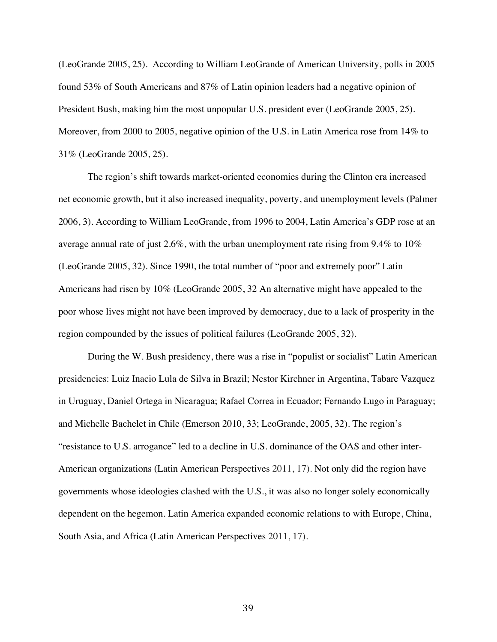(LeoGrande 2005, 25). According to William LeoGrande of American University, polls in 2005 found 53% of South Americans and 87% of Latin opinion leaders had a negative opinion of President Bush, making him the most unpopular U.S. president ever (LeoGrande 2005, 25). Moreover, from 2000 to 2005, negative opinion of the U.S. in Latin America rose from 14% to 31% (LeoGrande 2005, 25).

The region's shift towards market-oriented economies during the Clinton era increased net economic growth, but it also increased inequality, poverty, and unemployment levels (Palmer 2006, 3). According to William LeoGrande, from 1996 to 2004, Latin America's GDP rose at an average annual rate of just 2.6%, with the urban unemployment rate rising from 9.4% to 10% (LeoGrande 2005, 32). Since 1990, the total number of "poor and extremely poor" Latin Americans had risen by 10% (LeoGrande 2005, 32 An alternative might have appealed to the poor whose lives might not have been improved by democracy, due to a lack of prosperity in the region compounded by the issues of political failures (LeoGrande 2005, 32).

During the W. Bush presidency, there was a rise in "populist or socialist" Latin American presidencies: Luiz Inacio Lula de Silva in Brazil; Nestor Kirchner in Argentina, Tabare Vazquez in Uruguay, Daniel Ortega in Nicaragua; Rafael Correa in Ecuador; Fernando Lugo in Paraguay; and Michelle Bachelet in Chile (Emerson 2010, 33; LeoGrande, 2005, 32). The region's "resistance to U.S. arrogance" led to a decline in U.S. dominance of the OAS and other inter-American organizations (Latin American Perspectives 2011, 17). Not only did the region have governments whose ideologies clashed with the U.S., it was also no longer solely economically dependent on the hegemon. Latin America expanded economic relations to with Europe, China, South Asia, and Africa (Latin American Perspectives 2011, 17).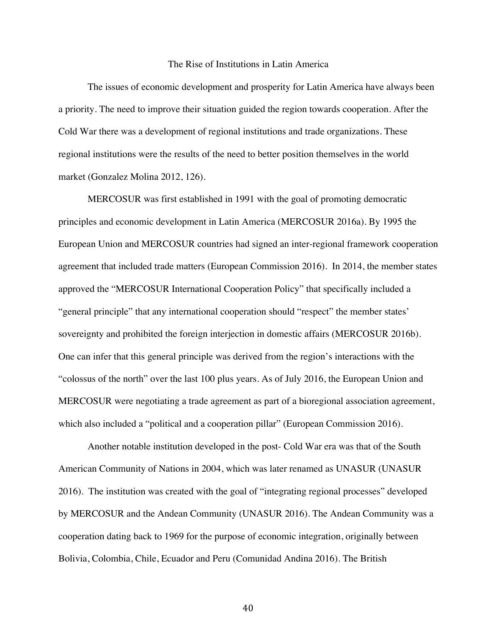#### The Rise of Institutions in Latin America

The issues of economic development and prosperity for Latin America have always been a priority. The need to improve their situation guided the region towards cooperation. After the Cold War there was a development of regional institutions and trade organizations. These regional institutions were the results of the need to better position themselves in the world market (Gonzalez Molina 2012, 126).

MERCOSUR was first established in 1991 with the goal of promoting democratic principles and economic development in Latin America (MERCOSUR 2016a). By 1995 the European Union and MERCOSUR countries had signed an inter-regional framework cooperation agreement that included trade matters (European Commission 2016). In 2014, the member states approved the "MERCOSUR International Cooperation Policy" that specifically included a "general principle" that any international cooperation should "respect" the member states' sovereignty and prohibited the foreign interjection in domestic affairs (MERCOSUR 2016b). One can infer that this general principle was derived from the region's interactions with the "colossus of the north" over the last 100 plus years. As of July 2016, the European Union and MERCOSUR were negotiating a trade agreement as part of a bioregional association agreement, which also included a "political and a cooperation pillar" (European Commission 2016).

Another notable institution developed in the post- Cold War era was that of the South American Community of Nations in 2004, which was later renamed as UNASUR (UNASUR 2016). The institution was created with the goal of "integrating regional processes" developed by MERCOSUR and the Andean Community (UNASUR 2016). The Andean Community was a cooperation dating back to 1969 for the purpose of economic integration, originally between Bolivia, Colombia, Chile, Ecuador and Peru (Comunidad Andina 2016). The British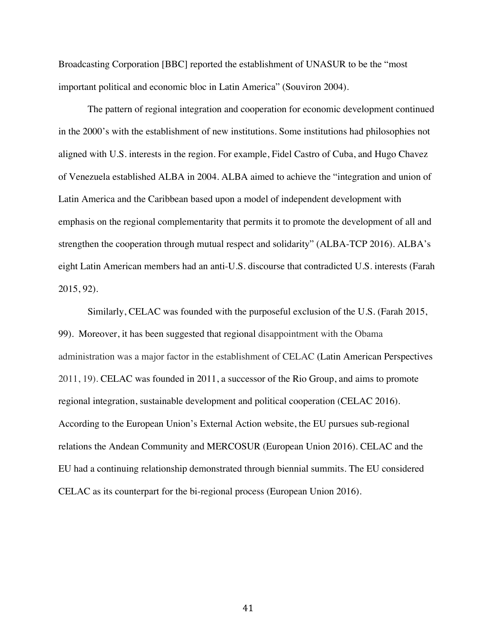Broadcasting Corporation [BBC] reported the establishment of UNASUR to be the "most important political and economic bloc in Latin America" (Souviron 2004).

The pattern of regional integration and cooperation for economic development continued in the 2000's with the establishment of new institutions. Some institutions had philosophies not aligned with U.S. interests in the region. For example, Fidel Castro of Cuba, and Hugo Chavez of Venezuela established ALBA in 2004. ALBA aimed to achieve the "integration and union of Latin America and the Caribbean based upon a model of independent development with emphasis on the regional complementarity that permits it to promote the development of all and strengthen the cooperation through mutual respect and solidarity" (ALBA-TCP 2016). ALBA's eight Latin American members had an anti-U.S. discourse that contradicted U.S. interests (Farah 2015, 92).

Similarly, CELAC was founded with the purposeful exclusion of the U.S. (Farah 2015, 99). Moreover, it has been suggested that regional disappointment with the Obama administration was a major factor in the establishment of CELAC (Latin American Perspectives 2011, 19). CELAC was founded in 2011, a successor of the Rio Group, and aims to promote regional integration, sustainable development and political cooperation (CELAC 2016). According to the European Union's External Action website, the EU pursues sub-regional relations the Andean Community and MERCOSUR (European Union 2016). CELAC and the EU had a continuing relationship demonstrated through biennial summits. The EU considered CELAC as its counterpart for the bi-regional process (European Union 2016).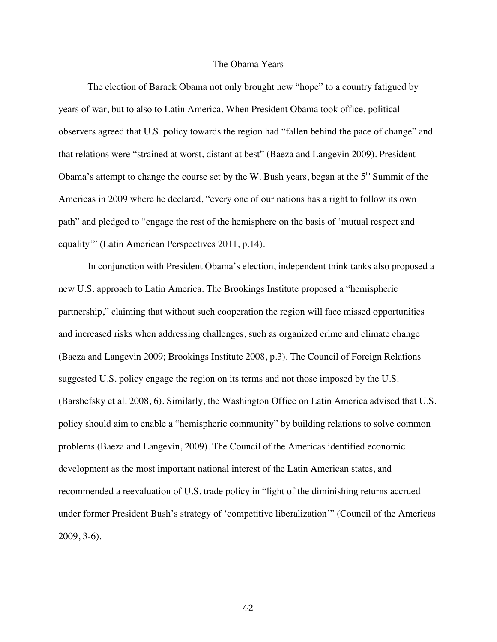# The Obama Years

The election of Barack Obama not only brought new "hope" to a country fatigued by years of war, but to also to Latin America. When President Obama took office, political observers agreed that U.S. policy towards the region had "fallen behind the pace of change" and that relations were "strained at worst, distant at best" (Baeza and Langevin 2009). President Obama's attempt to change the course set by the W. Bush years, began at the  $5<sup>th</sup>$  Summit of the Americas in 2009 where he declared, "every one of our nations has a right to follow its own path" and pledged to "engage the rest of the hemisphere on the basis of 'mutual respect and equality'" (Latin American Perspectives 2011, p.14).

In conjunction with President Obama's election, independent think tanks also proposed a new U.S. approach to Latin America. The Brookings Institute proposed a "hemispheric partnership," claiming that without such cooperation the region will face missed opportunities and increased risks when addressing challenges, such as organized crime and climate change (Baeza and Langevin 2009; Brookings Institute 2008, p.3). The Council of Foreign Relations suggested U.S. policy engage the region on its terms and not those imposed by the U.S. (Barshefsky et al. 2008, 6). Similarly, the Washington Office on Latin America advised that U.S. policy should aim to enable a "hemispheric community" by building relations to solve common problems (Baeza and Langevin, 2009). The Council of the Americas identified economic development as the most important national interest of the Latin American states, and recommended a reevaluation of U.S. trade policy in "light of the diminishing returns accrued under former President Bush's strategy of 'competitive liberalization'" (Council of the Americas 2009, 3-6).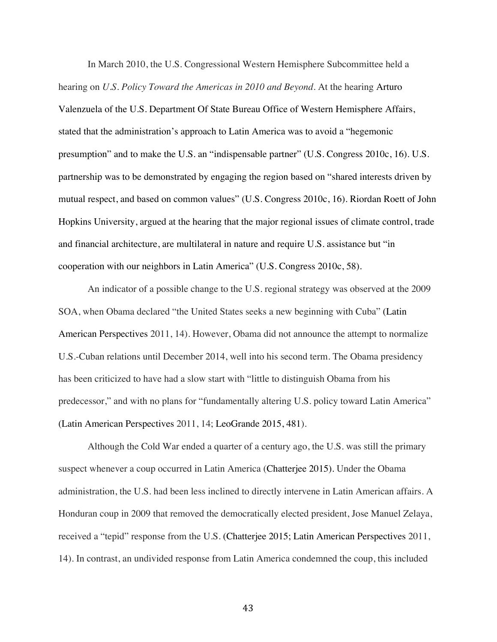In March 2010, the U.S. Congressional Western Hemisphere Subcommittee held a hearing on *U.S. Policy Toward the Americas in 2010 and Beyond*. At the hearing Arturo Valenzuela of the U.S. Department Of State Bureau Office of Western Hemisphere Affairs, stated that the administration's approach to Latin America was to avoid a "hegemonic presumption" and to make the U.S. an "indispensable partner" (U.S. Congress 2010c, 16). U.S. partnership was to be demonstrated by engaging the region based on "shared interests driven by mutual respect, and based on common values" (U.S. Congress 2010c, 16). Riordan Roett of John Hopkins University, argued at the hearing that the major regional issues of climate control, trade and financial architecture, are multilateral in nature and require U.S. assistance but "in cooperation with our neighbors in Latin America" (U.S. Congress 2010c, 58).

An indicator of a possible change to the U.S. regional strategy was observed at the 2009 SOA, when Obama declared "the United States seeks a new beginning with Cuba" (Latin American Perspectives 2011, 14). However, Obama did not announce the attempt to normalize U.S.-Cuban relations until December 2014, well into his second term. The Obama presidency has been criticized to have had a slow start with "little to distinguish Obama from his predecessor," and with no plans for "fundamentally altering U.S. policy toward Latin America" (Latin American Perspectives 2011, 14; LeoGrande 2015, 481).

Although the Cold War ended a quarter of a century ago, the U.S. was still the primary suspect whenever a coup occurred in Latin America (Chatterjee 2015). Under the Obama administration, the U.S. had been less inclined to directly intervene in Latin American affairs. A Honduran coup in 2009 that removed the democratically elected president, Jose Manuel Zelaya, received a "tepid" response from the U.S. (Chatterjee 2015; Latin American Perspectives 2011, 14). In contrast, an undivided response from Latin America condemned the coup, this included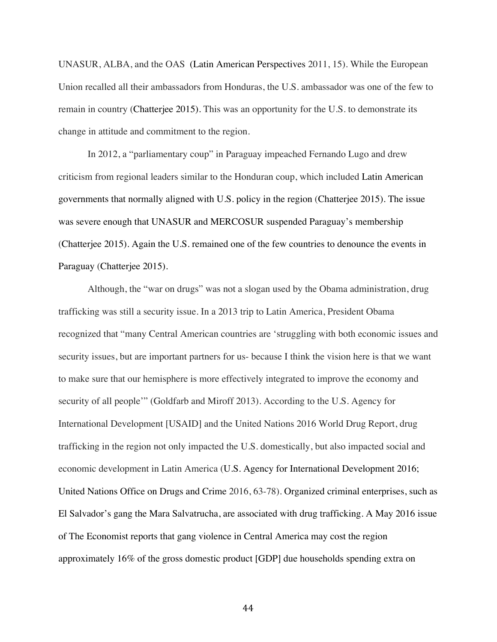UNASUR, ALBA, and the OAS (Latin American Perspectives 2011, 15). While the European Union recalled all their ambassadors from Honduras, the U.S. ambassador was one of the few to remain in country (Chatterjee 2015). This was an opportunity for the U.S. to demonstrate its change in attitude and commitment to the region.

In 2012, a "parliamentary coup" in Paraguay impeached Fernando Lugo and drew criticism from regional leaders similar to the Honduran coup, which included Latin American governments that normally aligned with U.S. policy in the region (Chatterjee 2015). The issue was severe enough that UNASUR and MERCOSUR suspended Paraguay's membership (Chatterjee 2015). Again the U.S. remained one of the few countries to denounce the events in Paraguay (Chatterjee 2015).

Although, the "war on drugs" was not a slogan used by the Obama administration, drug trafficking was still a security issue. In a 2013 trip to Latin America, President Obama recognized that "many Central American countries are 'struggling with both economic issues and security issues, but are important partners for us- because I think the vision here is that we want to make sure that our hemisphere is more effectively integrated to improve the economy and security of all people'" (Goldfarb and Miroff 2013). According to the U.S. Agency for International Development [USAID] and the United Nations 2016 World Drug Report, drug trafficking in the region not only impacted the U.S. domestically, but also impacted social and economic development in Latin America (U.S. Agency for International Development 2016; United Nations Office on Drugs and Crime 2016, 63-78). Organized criminal enterprises, such as El Salvador's gang the Mara Salvatrucha, are associated with drug trafficking. A May 2016 issue of The Economist reports that gang violence in Central America may cost the region approximately 16% of the gross domestic product [GDP] due households spending extra on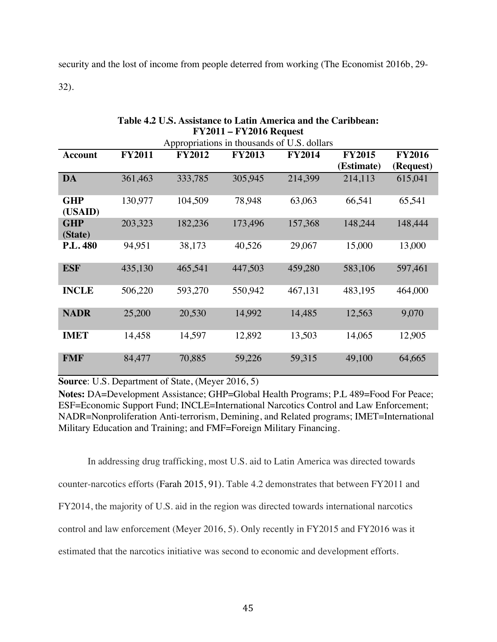security and the lost of income from people deterred from working (The Economist 2016b, 29- 32).

| <b>FY2011 – FY2016 Request</b> |               |                                             |               |               |               |               |
|--------------------------------|---------------|---------------------------------------------|---------------|---------------|---------------|---------------|
|                                |               | Appropriations in thousands of U.S. dollars |               |               |               |               |
| Account                        | <b>FY2011</b> | <b>FY2012</b>                               | <b>FY2013</b> | <b>FY2014</b> | <b>FY2015</b> | <b>FY2016</b> |
|                                |               |                                             |               |               | (Estimate)    | (Request)     |
| <b>DA</b>                      | 361,463       | 333,785                                     | 305,945       | 214,399       | 214,113       | 615,041       |
| <b>GHP</b>                     | 130,977       | 104,509                                     | 78,948        | 63,063        | 66,541        | 65,541        |
| (USAID)                        |               |                                             |               |               |               |               |
| <b>GHP</b>                     | 203,323       | 182,236                                     | 173,496       | 157,368       | 148,244       | 148,444       |
| (State)                        |               |                                             |               |               |               |               |
| <b>P.L. 480</b>                | 94,951        | 38,173                                      | 40,526        | 29,067        | 15,000        | 13,000        |
| <b>ESF</b>                     | 435,130       | 465,541                                     | 447,503       | 459,280       | 583,106       | 597,461       |
| <b>INCLE</b>                   | 506,220       | 593,270                                     | 550,942       | 467,131       | 483,195       | 464,000       |
| <b>NADR</b>                    | 25,200        | 20,530                                      | 14,992        | 14,485        | 12,563        | 9,070         |
| <b>IMET</b>                    | 14,458        | 14,597                                      | 12,892        | 13,503        | 14,065        | 12,905        |
| <b>FMF</b>                     | 84,477        | 70,885                                      | 59,226        | 59,315        | 49,100        | 64,665        |

**Table 4.2 U.S. Assistance to Latin America and the Caribbean: FY2011 – FY2016 Request**

**Source**: U.S. Department of State, (Meyer 2016, 5)

**Notes:** DA=Development Assistance; GHP=Global Health Programs; P.L 489=Food For Peace; ESF=Economic Support Fund; INCLE=International Narcotics Control and Law Enforcement; NADR=Nonproliferation Anti-terrorism, Demining, and Related programs; IMET=International Military Education and Training; and FMF=Foreign Military Financing.

In addressing drug trafficking, most U.S. aid to Latin America was directed towards counter-narcotics efforts (Farah 2015, 91). Table 4.2 demonstrates that between FY2011 and FY2014, the majority of U.S. aid in the region was directed towards international narcotics control and law enforcement (Meyer 2016, 5). Only recently in FY2015 and FY2016 was it estimated that the narcotics initiative was second to economic and development efforts.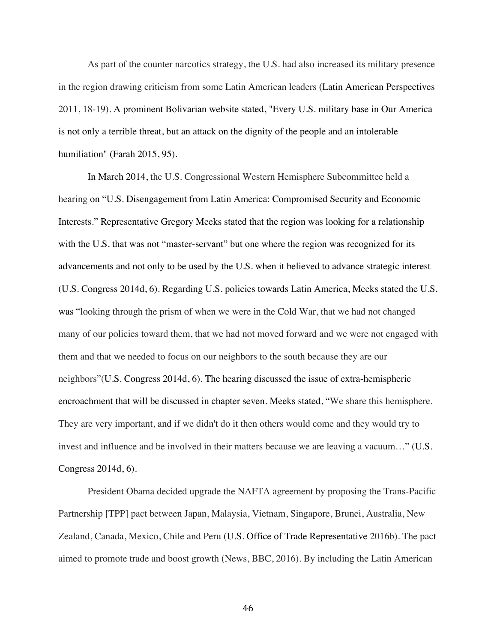As part of the counter narcotics strategy, the U.S. had also increased its military presence in the region drawing criticism from some Latin American leaders (Latin American Perspectives 2011, 18-19). A prominent Bolivarian website stated, "Every U.S. military base in Our America is not only a terrible threat, but an attack on the dignity of the people and an intolerable humiliation" (Farah 2015, 95).

In March 2014, the U.S. Congressional Western Hemisphere Subcommittee held a hearing on "U.S. Disengagement from Latin America: Compromised Security and Economic Interests." Representative Gregory Meeks stated that the region was looking for a relationship with the U.S. that was not "master-servant" but one where the region was recognized for its advancements and not only to be used by the U.S. when it believed to advance strategic interest (U.S. Congress 2014d, 6). Regarding U.S. policies towards Latin America, Meeks stated the U.S. was "looking through the prism of when we were in the Cold War, that we had not changed many of our policies toward them, that we had not moved forward and we were not engaged with them and that we needed to focus on our neighbors to the south because they are our neighbors"(U.S. Congress 2014d, 6). The hearing discussed the issue of extra-hemispheric encroachment that will be discussed in chapter seven. Meeks stated, "We share this hemisphere. They are very important, and if we didn't do it then others would come and they would try to invest and influence and be involved in their matters because we are leaving a vacuum…" (U.S. Congress 2014d, 6).

President Obama decided upgrade the NAFTA agreement by proposing the Trans-Pacific Partnership [TPP] pact between Japan, Malaysia, Vietnam, Singapore, Brunei, Australia, New Zealand, Canada, Mexico, Chile and Peru (U.S. Office of Trade Representative 2016b). The pact aimed to promote trade and boost growth (News, BBC, 2016). By including the Latin American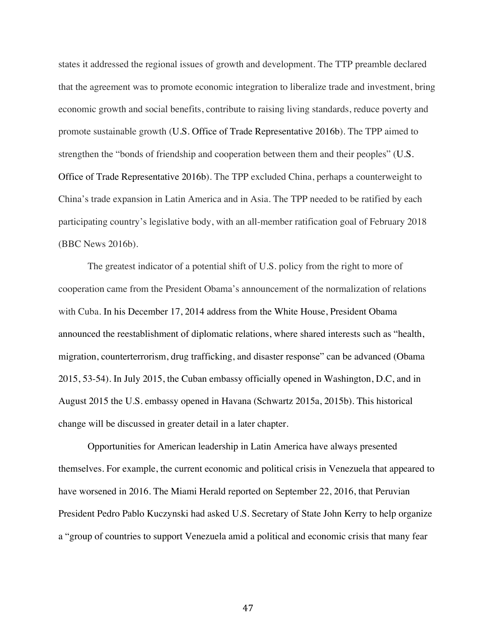states it addressed the regional issues of growth and development. The TTP preamble declared that the agreement was to promote economic integration to liberalize trade and investment, bring economic growth and social benefits, contribute to raising living standards, reduce poverty and promote sustainable growth (U.S. Office of Trade Representative 2016b). The TPP aimed to strengthen the "bonds of friendship and cooperation between them and their peoples" (U.S. Office of Trade Representative 2016b). The TPP excluded China, perhaps a counterweight to China's trade expansion in Latin America and in Asia. The TPP needed to be ratified by each participating country's legislative body, with an all-member ratification goal of February 2018 (BBC News 2016b).

The greatest indicator of a potential shift of U.S. policy from the right to more of cooperation came from the President Obama's announcement of the normalization of relations with Cuba. In his December 17, 2014 address from the White House, President Obama announced the reestablishment of diplomatic relations, where shared interests such as "health, migration, counterterrorism, drug trafficking, and disaster response" can be advanced (Obama 2015, 53-54). In July 2015, the Cuban embassy officially opened in Washington, D.C, and in August 2015 the U.S. embassy opened in Havana (Schwartz 2015a, 2015b). This historical change will be discussed in greater detail in a later chapter.

Opportunities for American leadership in Latin America have always presented themselves. For example, the current economic and political crisis in Venezuela that appeared to have worsened in 2016. The Miami Herald reported on September 22, 2016, that Peruvian President Pedro Pablo Kuczynski had asked U.S. Secretary of State John Kerry to help organize a "group of countries to support Venezuela amid a political and economic crisis that many fear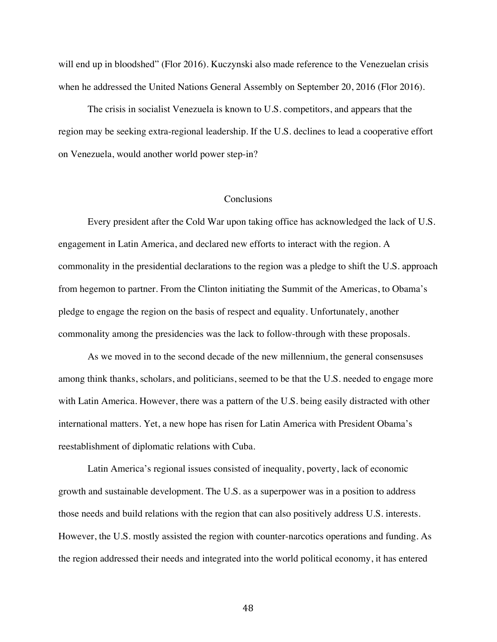will end up in bloodshed" (Flor 2016). Kuczynski also made reference to the Venezuelan crisis when he addressed the United Nations General Assembly on September 20, 2016 (Flor 2016).

The crisis in socialist Venezuela is known to U.S. competitors, and appears that the region may be seeking extra-regional leadership. If the U.S. declines to lead a cooperative effort on Venezuela, would another world power step-in?

### **Conclusions**

Every president after the Cold War upon taking office has acknowledged the lack of U.S. engagement in Latin America, and declared new efforts to interact with the region. A commonality in the presidential declarations to the region was a pledge to shift the U.S. approach from hegemon to partner. From the Clinton initiating the Summit of the Americas, to Obama's pledge to engage the region on the basis of respect and equality. Unfortunately, another commonality among the presidencies was the lack to follow-through with these proposals.

As we moved in to the second decade of the new millennium, the general consensuses among think thanks, scholars, and politicians, seemed to be that the U.S. needed to engage more with Latin America. However, there was a pattern of the U.S. being easily distracted with other international matters. Yet, a new hope has risen for Latin America with President Obama's reestablishment of diplomatic relations with Cuba.

Latin America's regional issues consisted of inequality, poverty, lack of economic growth and sustainable development. The U.S. as a superpower was in a position to address those needs and build relations with the region that can also positively address U.S. interests. However, the U.S. mostly assisted the region with counter-narcotics operations and funding. As the region addressed their needs and integrated into the world political economy, it has entered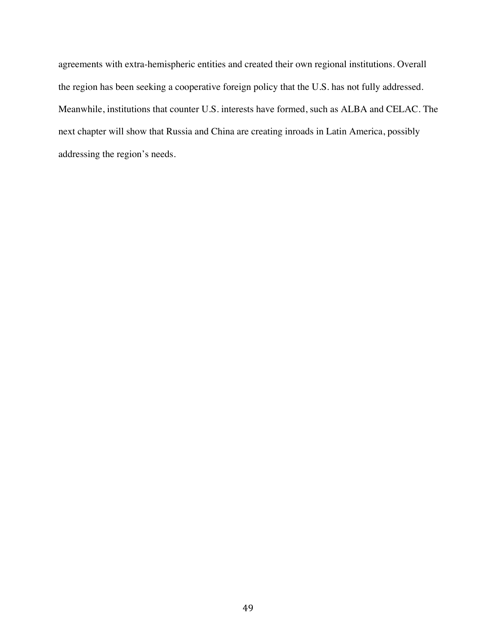agreements with extra-hemispheric entities and created their own regional institutions. Overall the region has been seeking a cooperative foreign policy that the U.S. has not fully addressed. Meanwhile, institutions that counter U.S. interests have formed, such as ALBA and CELAC. The next chapter will show that Russia and China are creating inroads in Latin America, possibly addressing the region's needs.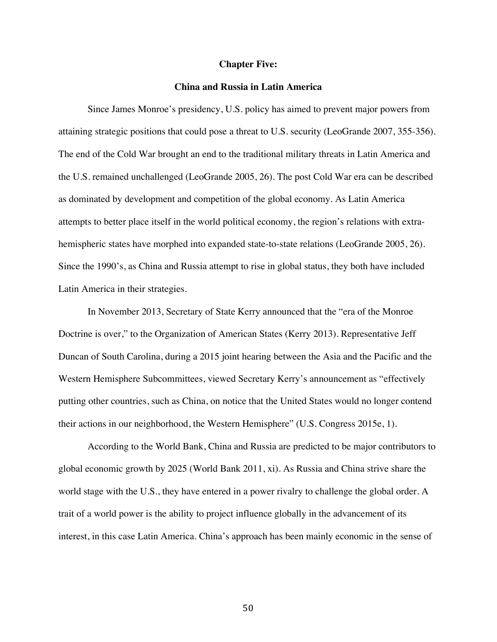#### **Chapter Five:**

## **China and Russia in Latin America**

Since James Monroe's presidency, U.S. policy has aimed to prevent major powers from attaining strategic positions that could pose a threat to U.S. security (LeoGrande 2007, 355-356). The end of the Cold War brought an end to the traditional military threats in Latin America and the U.S. remained unchallenged (LeoGrande 2005, 26). The post Cold War era can be described as dominated by development and competition of the global economy. As Latin America attempts to better place itself in the world political economy, the region's relations with extrahemispheric states have morphed into expanded state-to-state relations (LeoGrande 2005, 26). Since the 1990's, as China and Russia attempt to rise in global status, they both have included Latin America in their strategies.

In November 2013, Secretary of State Kerry announced that the "era of the Monroe Doctrine is over," to the Organization of American States (Kerry 2013). Representative Jeff Duncan of South Carolina, during a 2015 joint hearing between the Asia and the Pacific and the Western Hemisphere Subcommittees, viewed Secretary Kerry's announcement as "effectively putting other countries, such as China, on notice that the United States would no longer contend their actions in our neighborhood, the Western Hemisphere" (U.S. Congress 2015e, 1).

According to the World Bank, China and Russia are predicted to be major contributors to global economic growth by 2025 (World Bank 2011, xi). As Russia and China strive share the world stage with the U.S., they have entered in a power rivalry to challenge the global order. A trait of a world power is the ability to project influence globally in the advancement of its interest, in this case Latin America. China's approach has been mainly economic in the sense of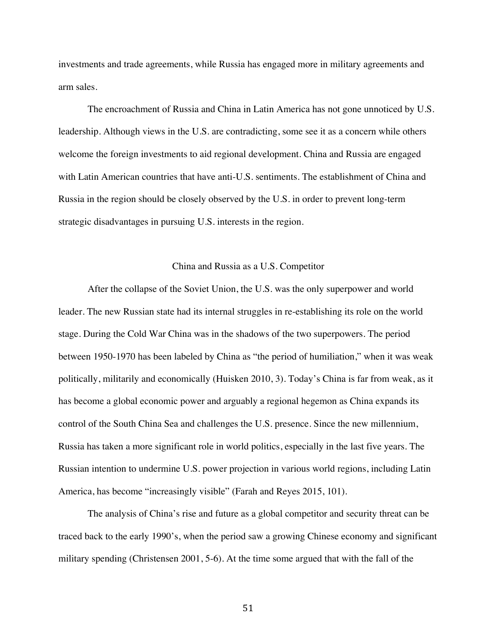investments and trade agreements, while Russia has engaged more in military agreements and arm sales.

The encroachment of Russia and China in Latin America has not gone unnoticed by U.S. leadership. Although views in the U.S. are contradicting, some see it as a concern while others welcome the foreign investments to aid regional development. China and Russia are engaged with Latin American countries that have anti-U.S. sentiments. The establishment of China and Russia in the region should be closely observed by the U.S. in order to prevent long-term strategic disadvantages in pursuing U.S. interests in the region.

# China and Russia as a U.S. Competitor

After the collapse of the Soviet Union, the U.S. was the only superpower and world leader. The new Russian state had its internal struggles in re-establishing its role on the world stage. During the Cold War China was in the shadows of the two superpowers. The period between 1950-1970 has been labeled by China as "the period of humiliation," when it was weak politically, militarily and economically (Huisken 2010, 3). Today's China is far from weak, as it has become a global economic power and arguably a regional hegemon as China expands its control of the South China Sea and challenges the U.S. presence. Since the new millennium, Russia has taken a more significant role in world politics, especially in the last five years. The Russian intention to undermine U.S. power projection in various world regions, including Latin America, has become "increasingly visible" (Farah and Reyes 2015, 101).

The analysis of China's rise and future as a global competitor and security threat can be traced back to the early 1990's, when the period saw a growing Chinese economy and significant military spending (Christensen 2001, 5-6). At the time some argued that with the fall of the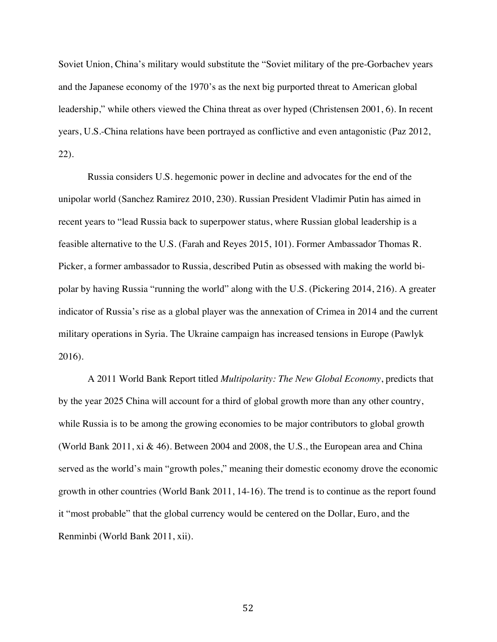Soviet Union, China's military would substitute the "Soviet military of the pre-Gorbachev years and the Japanese economy of the 1970's as the next big purported threat to American global leadership," while others viewed the China threat as over hyped (Christensen 2001, 6). In recent years, U.S.-China relations have been portrayed as conflictive and even antagonistic (Paz 2012, 22).

Russia considers U.S. hegemonic power in decline and advocates for the end of the unipolar world (Sanchez Ramirez 2010, 230). Russian President Vladimir Putin has aimed in recent years to "lead Russia back to superpower status, where Russian global leadership is a feasible alternative to the U.S. (Farah and Reyes 2015, 101). Former Ambassador Thomas R. Picker, a former ambassador to Russia, described Putin as obsessed with making the world bipolar by having Russia "running the world" along with the U.S. (Pickering 2014, 216). A greater indicator of Russia's rise as a global player was the annexation of Crimea in 2014 and the current military operations in Syria. The Ukraine campaign has increased tensions in Europe (Pawlyk 2016).

A 2011 World Bank Report titled *Multipolarity: The New Global Economy*, predicts that by the year 2025 China will account for a third of global growth more than any other country, while Russia is to be among the growing economies to be major contributors to global growth (World Bank 2011, xi & 46). Between 2004 and 2008, the U.S., the European area and China served as the world's main "growth poles," meaning their domestic economy drove the economic growth in other countries (World Bank 2011, 14-16). The trend is to continue as the report found it "most probable" that the global currency would be centered on the Dollar, Euro, and the Renminbi (World Bank 2011, xii).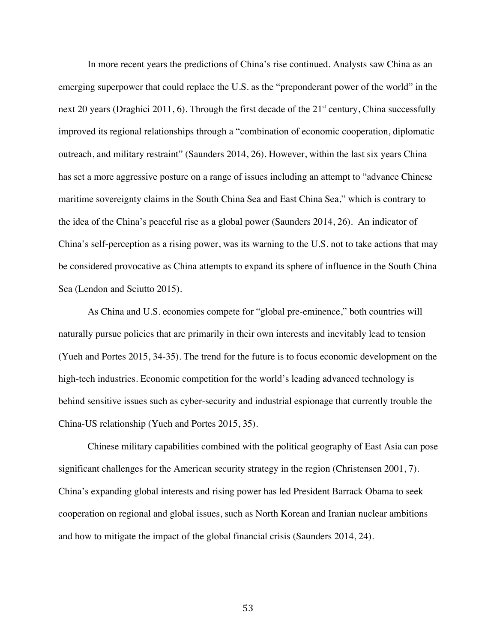In more recent years the predictions of China's rise continued. Analysts saw China as an emerging superpower that could replace the U.S. as the "preponderant power of the world" in the next 20 years (Draghici 2011, 6). Through the first decade of the 21<sup>st</sup> century, China successfully improved its regional relationships through a "combination of economic cooperation, diplomatic outreach, and military restraint" (Saunders 2014, 26). However, within the last six years China has set a more aggressive posture on a range of issues including an attempt to "advance Chinese maritime sovereignty claims in the South China Sea and East China Sea," which is contrary to the idea of the China's peaceful rise as a global power (Saunders 2014, 26). An indicator of China's self-perception as a rising power, was its warning to the U.S. not to take actions that may be considered provocative as China attempts to expand its sphere of influence in the South China Sea (Lendon and Sciutto 2015).

As China and U.S. economies compete for "global pre-eminence," both countries will naturally pursue policies that are primarily in their own interests and inevitably lead to tension (Yueh and Portes 2015, 34-35). The trend for the future is to focus economic development on the high-tech industries. Economic competition for the world's leading advanced technology is behind sensitive issues such as cyber-security and industrial espionage that currently trouble the China-US relationship (Yueh and Portes 2015, 35).

Chinese military capabilities combined with the political geography of East Asia can pose significant challenges for the American security strategy in the region (Christensen 2001, 7). China's expanding global interests and rising power has led President Barrack Obama to seek cooperation on regional and global issues, such as North Korean and Iranian nuclear ambitions and how to mitigate the impact of the global financial crisis (Saunders 2014, 24).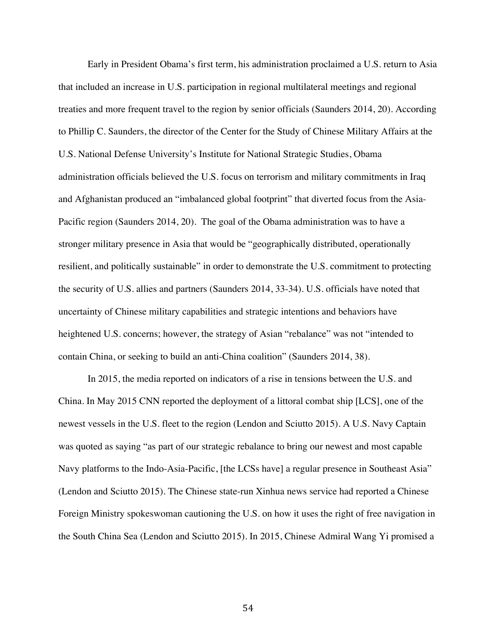Early in President Obama's first term, his administration proclaimed a U.S. return to Asia that included an increase in U.S. participation in regional multilateral meetings and regional treaties and more frequent travel to the region by senior officials (Saunders 2014, 20). According to Phillip C. Saunders, the director of the Center for the Study of Chinese Military Affairs at the U.S. National Defense University's Institute for National Strategic Studies, Obama administration officials believed the U.S. focus on terrorism and military commitments in Iraq and Afghanistan produced an "imbalanced global footprint" that diverted focus from the Asia-Pacific region (Saunders 2014, 20). The goal of the Obama administration was to have a stronger military presence in Asia that would be "geographically distributed, operationally resilient, and politically sustainable" in order to demonstrate the U.S. commitment to protecting the security of U.S. allies and partners (Saunders 2014, 33-34). U.S. officials have noted that uncertainty of Chinese military capabilities and strategic intentions and behaviors have heightened U.S. concerns; however, the strategy of Asian "rebalance" was not "intended to contain China, or seeking to build an anti-China coalition" (Saunders 2014, 38).

In 2015, the media reported on indicators of a rise in tensions between the U.S. and China. In May 2015 CNN reported the deployment of a littoral combat ship [LCS], one of the newest vessels in the U.S. fleet to the region (Lendon and Sciutto 2015). A U.S. Navy Captain was quoted as saying "as part of our strategic rebalance to bring our newest and most capable Navy platforms to the Indo-Asia-Pacific, [the LCSs have] a regular presence in Southeast Asia" (Lendon and Sciutto 2015). The Chinese state-run Xinhua news service had reported a Chinese Foreign Ministry spokeswoman cautioning the U.S. on how it uses the right of free navigation in the South China Sea (Lendon and Sciutto 2015). In 2015, Chinese Admiral Wang Yi promised a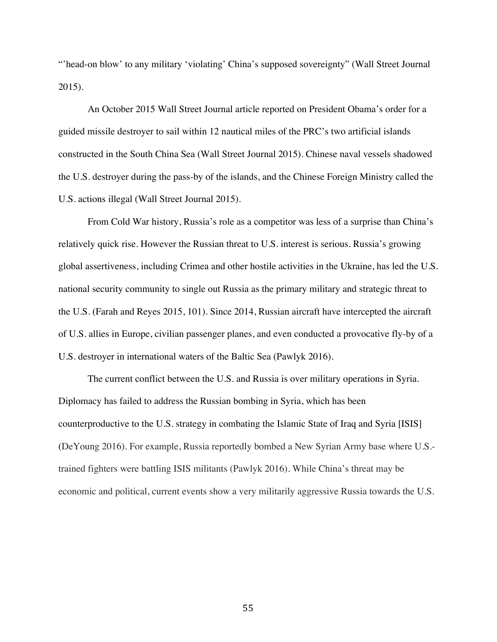"'head-on blow' to any military 'violating' China's supposed sovereignty" (Wall Street Journal 2015).

An October 2015 Wall Street Journal article reported on President Obama's order for a guided missile destroyer to sail within 12 nautical miles of the PRC's two artificial islands constructed in the South China Sea (Wall Street Journal 2015). Chinese naval vessels shadowed the U.S. destroyer during the pass-by of the islands, and the Chinese Foreign Ministry called the U.S. actions illegal (Wall Street Journal 2015).

From Cold War history, Russia's role as a competitor was less of a surprise than China's relatively quick rise. However the Russian threat to U.S. interest is serious. Russia's growing global assertiveness, including Crimea and other hostile activities in the Ukraine, has led the U.S. national security community to single out Russia as the primary military and strategic threat to the U.S. (Farah and Reyes 2015, 101). Since 2014, Russian aircraft have intercepted the aircraft of U.S. allies in Europe, civilian passenger planes, and even conducted a provocative fly-by of a U.S. destroyer in international waters of the Baltic Sea (Pawlyk 2016).

The current conflict between the U.S. and Russia is over military operations in Syria. Diplomacy has failed to address the Russian bombing in Syria, which has been counterproductive to the U.S. strategy in combating the Islamic State of Iraq and Syria [ISIS] (DeYoung 2016). For example, Russia reportedly bombed a New Syrian Army base where U.S. trained fighters were battling ISIS militants (Pawlyk 2016). While China's threat may be economic and political, current events show a very militarily aggressive Russia towards the U.S.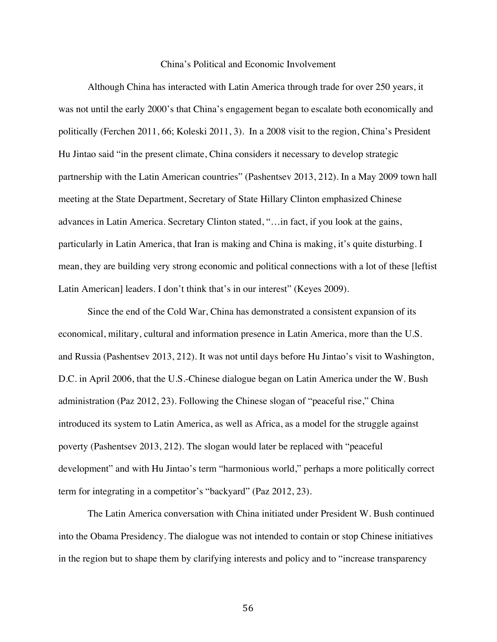### China's Political and Economic Involvement

Although China has interacted with Latin America through trade for over 250 years, it was not until the early 2000's that China's engagement began to escalate both economically and politically (Ferchen 2011, 66; Koleski 2011, 3). In a 2008 visit to the region, China's President Hu Jintao said "in the present climate, China considers it necessary to develop strategic partnership with the Latin American countries" (Pashentsev 2013, 212). In a May 2009 town hall meeting at the State Department, Secretary of State Hillary Clinton emphasized Chinese advances in Latin America. Secretary Clinton stated, "…in fact, if you look at the gains, particularly in Latin America, that Iran is making and China is making, it's quite disturbing. I mean, they are building very strong economic and political connections with a lot of these [leftist Latin American] leaders. I don't think that's in our interest" (Keyes 2009).

Since the end of the Cold War, China has demonstrated a consistent expansion of its economical, military, cultural and information presence in Latin America, more than the U.S. and Russia (Pashentsev 2013, 212). It was not until days before Hu Jintao's visit to Washington, D.C. in April 2006, that the U.S.-Chinese dialogue began on Latin America under the W. Bush administration (Paz 2012, 23). Following the Chinese slogan of "peaceful rise," China introduced its system to Latin America, as well as Africa, as a model for the struggle against poverty (Pashentsev 2013, 212). The slogan would later be replaced with "peaceful development" and with Hu Jintao's term "harmonious world," perhaps a more politically correct term for integrating in a competitor's "backyard" (Paz 2012, 23).

The Latin America conversation with China initiated under President W. Bush continued into the Obama Presidency. The dialogue was not intended to contain or stop Chinese initiatives in the region but to shape them by clarifying interests and policy and to "increase transparency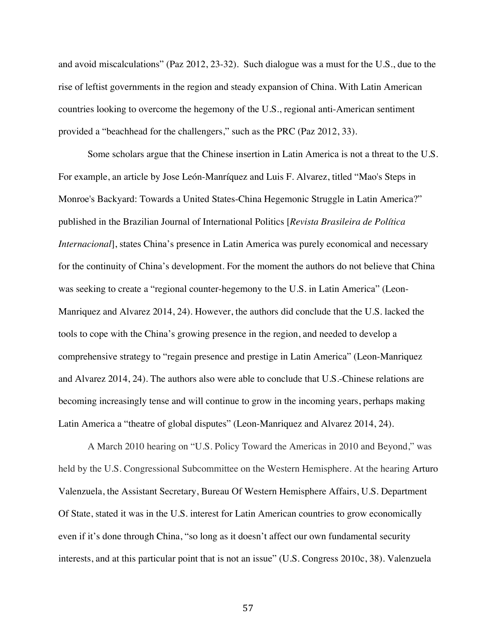and avoid miscalculations" (Paz 2012, 23-32). Such dialogue was a must for the U.S., due to the rise of leftist governments in the region and steady expansion of China. With Latin American countries looking to overcome the hegemony of the U.S., regional anti-American sentiment provided a "beachhead for the challengers," such as the PRC (Paz 2012, 33).

Some scholars argue that the Chinese insertion in Latin America is not a threat to the U.S. For example, an article by Jose León-Manríquez and Luis F. Alvarez, titled "Mao's Steps in Monroe's Backyard: Towards a United States-China Hegemonic Struggle in Latin America?" published in the Brazilian Journal of International Politics [*Revista Brasileira de Política Internacional*], states China's presence in Latin America was purely economical and necessary for the continuity of China's development. For the moment the authors do not believe that China was seeking to create a "regional counter-hegemony to the U.S. in Latin America" (Leon-Manriquez and Alvarez 2014, 24). However, the authors did conclude that the U.S. lacked the tools to cope with the China's growing presence in the region, and needed to develop a comprehensive strategy to "regain presence and prestige in Latin America" (Leon-Manriquez and Alvarez 2014, 24). The authors also were able to conclude that U.S.-Chinese relations are becoming increasingly tense and will continue to grow in the incoming years, perhaps making Latin America a "theatre of global disputes" (Leon-Manriquez and Alvarez 2014, 24).

A March 2010 hearing on "U.S. Policy Toward the Americas in 2010 and Beyond," was held by the U.S. Congressional Subcommittee on the Western Hemisphere. At the hearing Arturo Valenzuela, the Assistant Secretary, Bureau Of Western Hemisphere Affairs, U.S. Department Of State, stated it was in the U.S. interest for Latin American countries to grow economically even if it's done through China, "so long as it doesn't affect our own fundamental security interests, and at this particular point that is not an issue" (U.S. Congress 2010c, 38). Valenzuela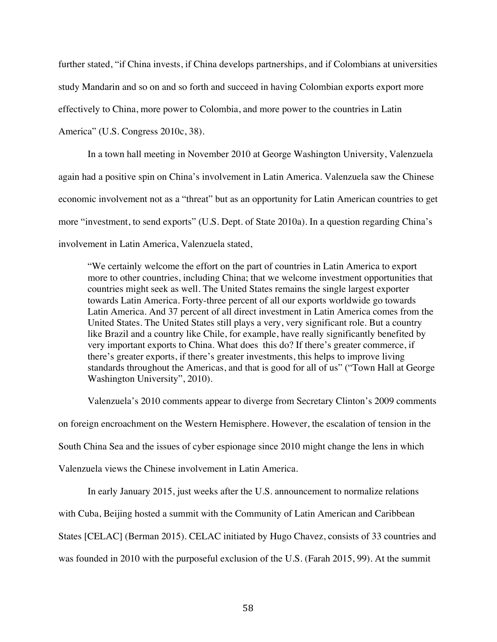further stated, "if China invests, if China develops partnerships, and if Colombians at universities study Mandarin and so on and so forth and succeed in having Colombian exports export more effectively to China, more power to Colombia, and more power to the countries in Latin America" (U.S. Congress 2010c, 38).

In a town hall meeting in November 2010 at George Washington University, Valenzuela again had a positive spin on China's involvement in Latin America. Valenzuela saw the Chinese economic involvement not as a "threat" but as an opportunity for Latin American countries to get more "investment, to send exports" (U.S. Dept. of State 2010a). In a question regarding China's involvement in Latin America, Valenzuela stated,

"We certainly welcome the effort on the part of countries in Latin America to export more to other countries, including China; that we welcome investment opportunities that countries might seek as well. The United States remains the single largest exporter towards Latin America. Forty-three percent of all our exports worldwide go towards Latin America. And 37 percent of all direct investment in Latin America comes from the United States. The United States still plays a very, very significant role. But a country like Brazil and a country like Chile, for example, have really significantly benefited by very important exports to China. What does this do? If there's greater commerce, if there's greater exports, if there's greater investments, this helps to improve living standards throughout the Americas, and that is good for all of us" ("Town Hall at George Washington University", 2010).

Valenzuela's 2010 comments appear to diverge from Secretary Clinton's 2009 comments on foreign encroachment on the Western Hemisphere. However, the escalation of tension in the South China Sea and the issues of cyber espionage since 2010 might change the lens in which Valenzuela views the Chinese involvement in Latin America.

In early January 2015, just weeks after the U.S. announcement to normalize relations

with Cuba, Beijing hosted a summit with the Community of Latin American and Caribbean

States [CELAC] (Berman 2015). CELAC initiated by Hugo Chavez, consists of 33 countries and

was founded in 2010 with the purposeful exclusion of the U.S. (Farah 2015, 99). At the summit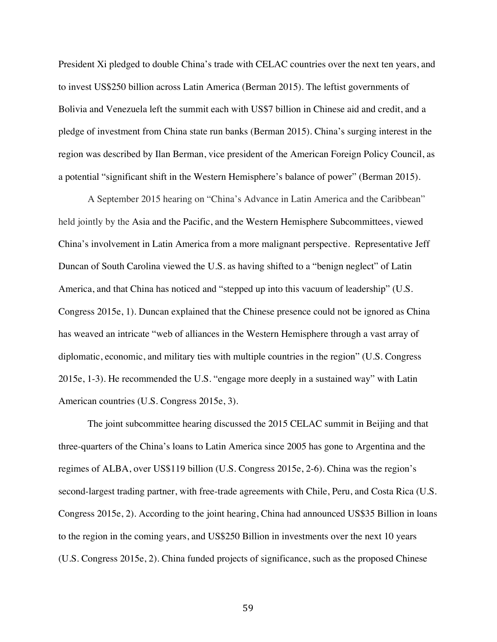President Xi pledged to double China's trade with CELAC countries over the next ten years, and to invest US\$250 billion across Latin America (Berman 2015). The leftist governments of Bolivia and Venezuela left the summit each with US\$7 billion in Chinese aid and credit, and a pledge of investment from China state run banks (Berman 2015). China's surging interest in the region was described by Ilan Berman, vice president of the American Foreign Policy Council, as a potential "significant shift in the Western Hemisphere's balance of power" (Berman 2015).

A September 2015 hearing on "China's Advance in Latin America and the Caribbean" held jointly by the Asia and the Pacific, and the Western Hemisphere Subcommittees, viewed China's involvement in Latin America from a more malignant perspective. Representative Jeff Duncan of South Carolina viewed the U.S. as having shifted to a "benign neglect" of Latin America, and that China has noticed and "stepped up into this vacuum of leadership" (U.S. Congress 2015e, 1). Duncan explained that the Chinese presence could not be ignored as China has weaved an intricate "web of alliances in the Western Hemisphere through a vast array of diplomatic, economic, and military ties with multiple countries in the region" (U.S. Congress 2015e, 1-3). He recommended the U.S. "engage more deeply in a sustained way" with Latin American countries (U.S. Congress 2015e, 3).

The joint subcommittee hearing discussed the 2015 CELAC summit in Beijing and that three-quarters of the China's loans to Latin America since 2005 has gone to Argentina and the regimes of ALBA, over US\$119 billion (U.S. Congress 2015e, 2-6). China was the region's second-largest trading partner, with free-trade agreements with Chile, Peru, and Costa Rica (U.S. Congress 2015e, 2). According to the joint hearing, China had announced US\$35 Billion in loans to the region in the coming years, and US\$250 Billion in investments over the next 10 years (U.S. Congress 2015e, 2). China funded projects of significance, such as the proposed Chinese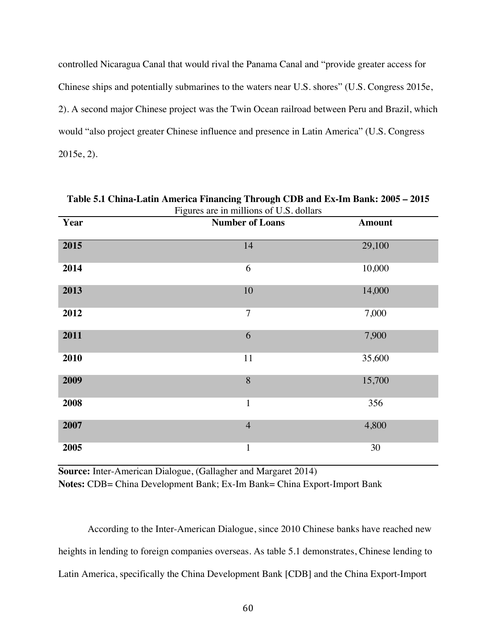controlled Nicaragua Canal that would rival the Panama Canal and "provide greater access for Chinese ships and potentially submarines to the waters near U.S. shores" (U.S. Congress 2015e, 2). A second major Chinese project was the Twin Ocean railroad between Peru and Brazil, which would "also project greater Chinese influence and presence in Latin America" (U.S. Congress 2015e, 2).

| Figures are in millions of U.S. dollars |                        |               |  |  |  |  |
|-----------------------------------------|------------------------|---------------|--|--|--|--|
| Year                                    | <b>Number of Loans</b> | <b>Amount</b> |  |  |  |  |
| 2015                                    | 14                     | 29,100        |  |  |  |  |
| 2014                                    | 6                      | 10,000        |  |  |  |  |
| 2013                                    | 10                     | 14,000        |  |  |  |  |
| 2012                                    | $\overline{7}$         | 7,000         |  |  |  |  |
| 2011                                    | 6                      | 7,900         |  |  |  |  |
| 2010                                    | 11                     | 35,600        |  |  |  |  |
| 2009                                    | 8                      | 15,700        |  |  |  |  |
| 2008                                    | $\mathbf{1}$           | 356           |  |  |  |  |
| 2007                                    | $\overline{4}$         | 4,800         |  |  |  |  |
| 2005                                    | $\mathbf{1}$           | 30            |  |  |  |  |

**Table 5.1 China-Latin America Financing Through CDB and Ex-Im Bank: 2005 – 2015**

**Source:** Inter-American Dialogue, (Gallagher and Margaret 2014) **Notes:** CDB= China Development Bank; Ex-Im Bank= China Export-Import Bank

According to the Inter-American Dialogue, since 2010 Chinese banks have reached new heights in lending to foreign companies overseas. As table 5.1 demonstrates, Chinese lending to Latin America, specifically the China Development Bank [CDB] and the China Export-Import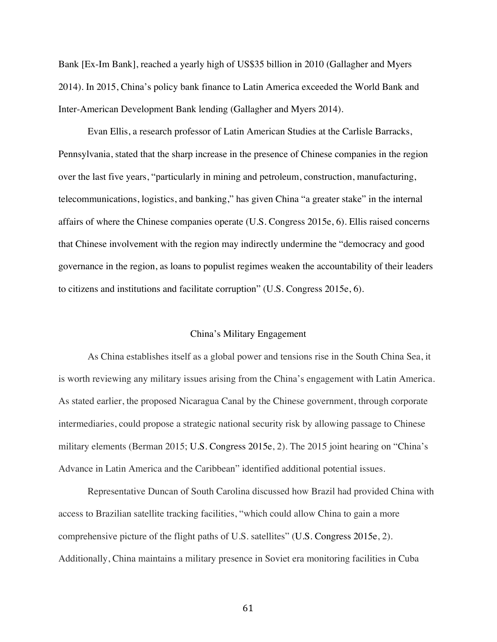Bank [Ex-Im Bank], reached a yearly high of US\$35 billion in 2010 (Gallagher and Myers 2014). In 2015, China's policy bank finance to Latin America exceeded the World Bank and Inter-American Development Bank lending (Gallagher and Myers 2014).

Evan Ellis, a research professor of Latin American Studies at the Carlisle Barracks, Pennsylvania, stated that the sharp increase in the presence of Chinese companies in the region over the last five years, "particularly in mining and petroleum, construction, manufacturing, telecommunications, logistics, and banking," has given China "a greater stake" in the internal affairs of where the Chinese companies operate (U.S. Congress 2015e, 6). Ellis raised concerns that Chinese involvement with the region may indirectly undermine the "democracy and good governance in the region, as loans to populist regimes weaken the accountability of their leaders to citizens and institutions and facilitate corruption" (U.S. Congress 2015e, 6).

# China's Military Engagement

As China establishes itself as a global power and tensions rise in the South China Sea, it is worth reviewing any military issues arising from the China's engagement with Latin America. As stated earlier, the proposed Nicaragua Canal by the Chinese government, through corporate intermediaries, could propose a strategic national security risk by allowing passage to Chinese military elements (Berman 2015; U.S. Congress 2015e, 2). The 2015 joint hearing on "China's Advance in Latin America and the Caribbean" identified additional potential issues.

Representative Duncan of South Carolina discussed how Brazil had provided China with access to Brazilian satellite tracking facilities, "which could allow China to gain a more comprehensive picture of the flight paths of U.S. satellites" (U.S. Congress 2015e, 2). Additionally, China maintains a military presence in Soviet era monitoring facilities in Cuba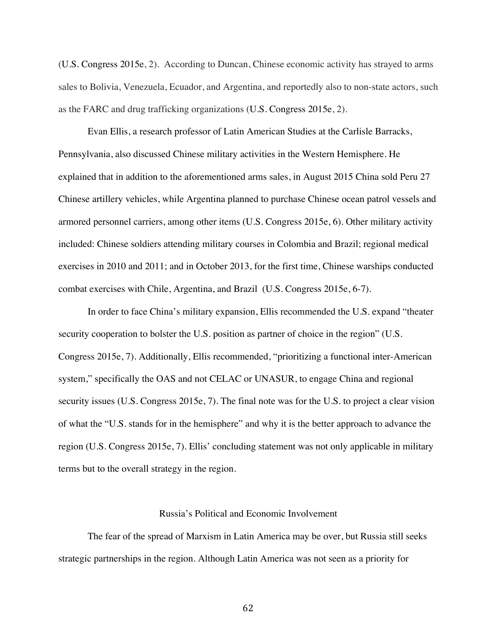(U.S. Congress 2015e, 2). According to Duncan, Chinese economic activity has strayed to arms sales to Bolivia, Venezuela, Ecuador, and Argentina, and reportedly also to non-state actors, such as the FARC and drug trafficking organizations (U.S. Congress 2015e, 2).

Evan Ellis, a research professor of Latin American Studies at the Carlisle Barracks, Pennsylvania, also discussed Chinese military activities in the Western Hemisphere. He explained that in addition to the aforementioned arms sales, in August 2015 China sold Peru 27 Chinese artillery vehicles, while Argentina planned to purchase Chinese ocean patrol vessels and armored personnel carriers, among other items (U.S. Congress 2015e, 6). Other military activity included: Chinese soldiers attending military courses in Colombia and Brazil; regional medical exercises in 2010 and 2011; and in October 2013, for the first time, Chinese warships conducted combat exercises with Chile, Argentina, and Brazil (U.S. Congress 2015e, 6-7).

In order to face China's military expansion, Ellis recommended the U.S. expand "theater security cooperation to bolster the U.S. position as partner of choice in the region" (U.S. Congress 2015e, 7). Additionally, Ellis recommended, "prioritizing a functional inter-American system," specifically the OAS and not CELAC or UNASUR, to engage China and regional security issues (U.S. Congress 2015e, 7). The final note was for the U.S. to project a clear vision of what the "U.S. stands for in the hemisphere" and why it is the better approach to advance the region (U.S. Congress 2015e, 7). Ellis' concluding statement was not only applicable in military terms but to the overall strategy in the region.

# Russia's Political and Economic Involvement

The fear of the spread of Marxism in Latin America may be over, but Russia still seeks strategic partnerships in the region. Although Latin America was not seen as a priority for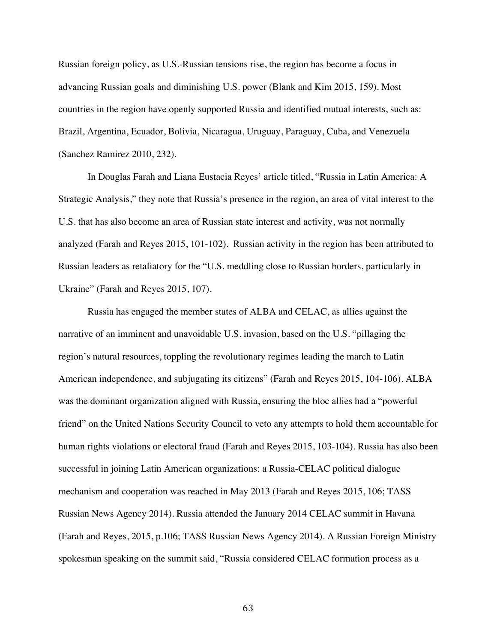Russian foreign policy, as U.S.-Russian tensions rise, the region has become a focus in advancing Russian goals and diminishing U.S. power (Blank and Kim 2015, 159). Most countries in the region have openly supported Russia and identified mutual interests, such as: Brazil, Argentina, Ecuador, Bolivia, Nicaragua, Uruguay, Paraguay, Cuba, and Venezuela (Sanchez Ramirez 2010, 232).

In Douglas Farah and Liana Eustacia Reyes' article titled, "Russia in Latin America: A Strategic Analysis," they note that Russia's presence in the region, an area of vital interest to the U.S. that has also become an area of Russian state interest and activity, was not normally analyzed (Farah and Reyes 2015, 101-102). Russian activity in the region has been attributed to Russian leaders as retaliatory for the "U.S. meddling close to Russian borders, particularly in Ukraine" (Farah and Reyes 2015, 107).

Russia has engaged the member states of ALBA and CELAC, as allies against the narrative of an imminent and unavoidable U.S. invasion, based on the U.S. "pillaging the region's natural resources, toppling the revolutionary regimes leading the march to Latin American independence, and subjugating its citizens" (Farah and Reyes 2015, 104-106). ALBA was the dominant organization aligned with Russia, ensuring the bloc allies had a "powerful friend" on the United Nations Security Council to veto any attempts to hold them accountable for human rights violations or electoral fraud (Farah and Reyes 2015, 103-104). Russia has also been successful in joining Latin American organizations: a Russia-CELAC political dialogue mechanism and cooperation was reached in May 2013 (Farah and Reyes 2015, 106; TASS Russian News Agency 2014). Russia attended the January 2014 CELAC summit in Havana (Farah and Reyes, 2015, p.106; TASS Russian News Agency 2014). A Russian Foreign Ministry spokesman speaking on the summit said, "Russia considered CELAC formation process as a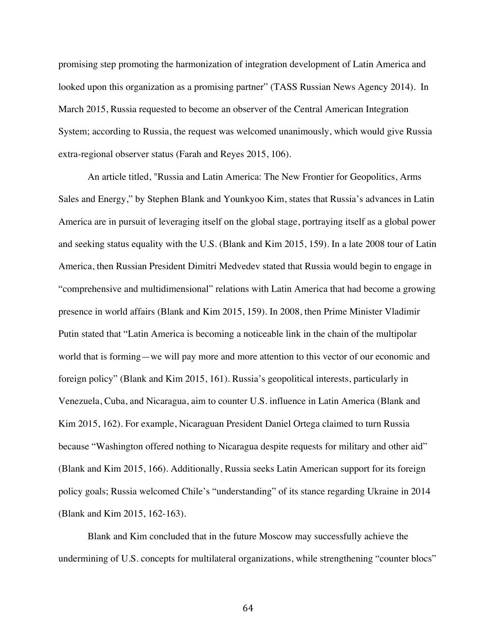promising step promoting the harmonization of integration development of Latin America and looked upon this organization as a promising partner" (TASS Russian News Agency 2014). In March 2015, Russia requested to become an observer of the Central American Integration System; according to Russia, the request was welcomed unanimously, which would give Russia extra-regional observer status (Farah and Reyes 2015, 106).

An article titled, "Russia and Latin America: The New Frontier for Geopolitics, Arms Sales and Energy," by Stephen Blank and Younkyoo Kim, states that Russia's advances in Latin America are in pursuit of leveraging itself on the global stage, portraying itself as a global power and seeking status equality with the U.S. (Blank and Kim 2015, 159). In a late 2008 tour of Latin America, then Russian President Dimitri Medvedev stated that Russia would begin to engage in "comprehensive and multidimensional" relations with Latin America that had become a growing presence in world affairs (Blank and Kim 2015, 159). In 2008, then Prime Minister Vladimir Putin stated that "Latin America is becoming a noticeable link in the chain of the multipolar world that is forming—we will pay more and more attention to this vector of our economic and foreign policy" (Blank and Kim 2015, 161). Russia's geopolitical interests, particularly in Venezuela, Cuba, and Nicaragua, aim to counter U.S. influence in Latin America (Blank and Kim 2015, 162). For example, Nicaraguan President Daniel Ortega claimed to turn Russia because "Washington offered nothing to Nicaragua despite requests for military and other aid" (Blank and Kim 2015, 166). Additionally, Russia seeks Latin American support for its foreign policy goals; Russia welcomed Chile's "understanding" of its stance regarding Ukraine in 2014 (Blank and Kim 2015, 162-163).

Blank and Kim concluded that in the future Moscow may successfully achieve the undermining of U.S. concepts for multilateral organizations, while strengthening "counter blocs"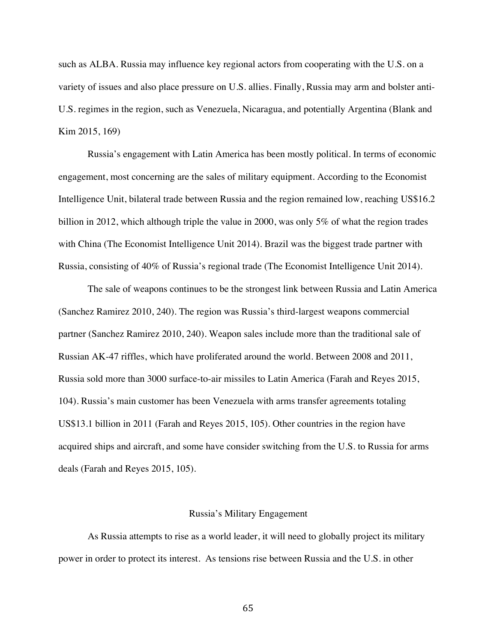such as ALBA. Russia may influence key regional actors from cooperating with the U.S. on a variety of issues and also place pressure on U.S. allies. Finally, Russia may arm and bolster anti-U.S. regimes in the region, such as Venezuela, Nicaragua, and potentially Argentina (Blank and Kim 2015, 169)

Russia's engagement with Latin America has been mostly political. In terms of economic engagement, most concerning are the sales of military equipment. According to the Economist Intelligence Unit, bilateral trade between Russia and the region remained low, reaching US\$16.2 billion in 2012, which although triple the value in 2000, was only 5% of what the region trades with China (The Economist Intelligence Unit 2014). Brazil was the biggest trade partner with Russia, consisting of 40% of Russia's regional trade (The Economist Intelligence Unit 2014).

The sale of weapons continues to be the strongest link between Russia and Latin America (Sanchez Ramirez 2010, 240). The region was Russia's third-largest weapons commercial partner (Sanchez Ramirez 2010, 240). Weapon sales include more than the traditional sale of Russian AK-47 riffles, which have proliferated around the world. Between 2008 and 2011, Russia sold more than 3000 surface-to-air missiles to Latin America (Farah and Reyes 2015, 104). Russia's main customer has been Venezuela with arms transfer agreements totaling US\$13.1 billion in 2011 (Farah and Reyes 2015, 105). Other countries in the region have acquired ships and aircraft, and some have consider switching from the U.S. to Russia for arms deals (Farah and Reyes 2015, 105).

#### Russia's Military Engagement

As Russia attempts to rise as a world leader, it will need to globally project its military power in order to protect its interest. As tensions rise between Russia and the U.S. in other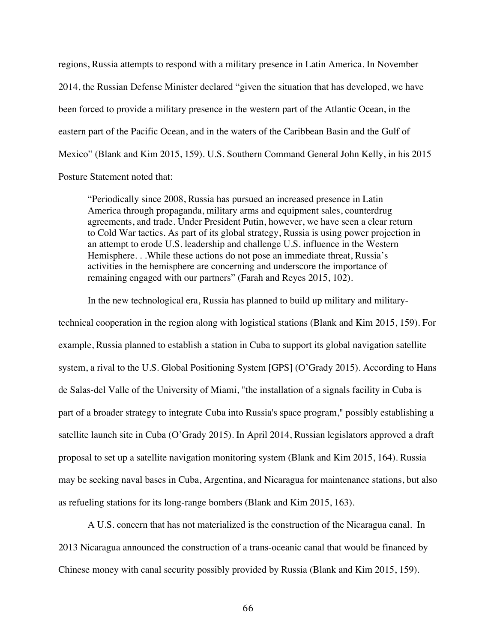regions, Russia attempts to respond with a military presence in Latin America. In November 2014, the Russian Defense Minister declared "given the situation that has developed, we have been forced to provide a military presence in the western part of the Atlantic Ocean, in the eastern part of the Pacific Ocean, and in the waters of the Caribbean Basin and the Gulf of Mexico" (Blank and Kim 2015, 159). U.S. Southern Command General John Kelly, in his 2015 Posture Statement noted that:

"Periodically since 2008, Russia has pursued an increased presence in Latin America through propaganda, military arms and equipment sales, counterdrug agreements, and trade. Under President Putin, however, we have seen a clear return to Cold War tactics. As part of its global strategy, Russia is using power projection in an attempt to erode U.S. leadership and challenge U.S. influence in the Western Hemisphere. . .While these actions do not pose an immediate threat, Russia's activities in the hemisphere are concerning and underscore the importance of remaining engaged with our partners" (Farah and Reyes 2015, 102).

In the new technological era, Russia has planned to build up military and militarytechnical cooperation in the region along with logistical stations (Blank and Kim 2015, 159). For example, Russia planned to establish a station in Cuba to support its global navigation satellite system, a rival to the U.S. Global Positioning System [GPS] (O'Grady 2015). According to Hans de Salas-del Valle of the University of Miami, "the installation of a signals facility in Cuba is part of a broader strategy to integrate Cuba into Russia's space program," possibly establishing a satellite launch site in Cuba (O'Grady 2015). In April 2014, Russian legislators approved a draft proposal to set up a satellite navigation monitoring system (Blank and Kim 2015, 164). Russia may be seeking naval bases in Cuba, Argentina, and Nicaragua for maintenance stations, but also as refueling stations for its long-range bombers (Blank and Kim 2015, 163).

A U.S. concern that has not materialized is the construction of the Nicaragua canal. In 2013 Nicaragua announced the construction of a trans-oceanic canal that would be financed by Chinese money with canal security possibly provided by Russia (Blank and Kim 2015, 159).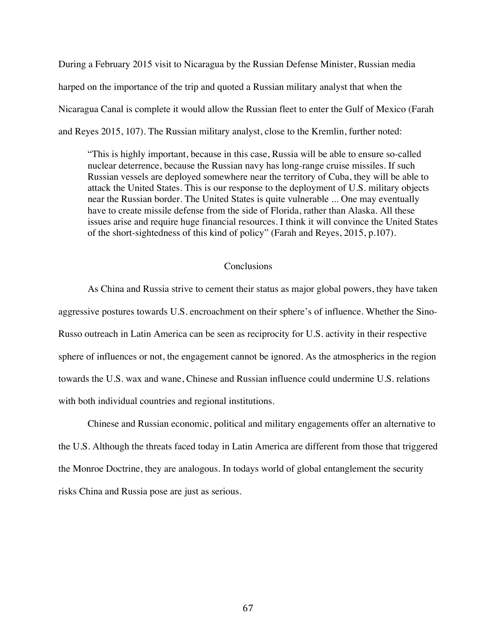During a February 2015 visit to Nicaragua by the Russian Defense Minister, Russian media harped on the importance of the trip and quoted a Russian military analyst that when the Nicaragua Canal is complete it would allow the Russian fleet to enter the Gulf of Mexico (Farah and Reyes 2015, 107). The Russian military analyst, close to the Kremlin, further noted:

"This is highly important, because in this case, Russia will be able to ensure so-called nuclear deterrence, because the Russian navy has long-range cruise missiles. If such Russian vessels are deployed somewhere near the territory of Cuba, they will be able to attack the United States. This is our response to the deployment of U.S. military objects near the Russian border. The United States is quite vulnerable ... One may eventually have to create missile defense from the side of Florida, rather than Alaska. All these issues arise and require huge financial resources. I think it will convince the United States of the short-sightedness of this kind of policy" (Farah and Reyes, 2015, p.107).

## **Conclusions**

As China and Russia strive to cement their status as major global powers, they have taken aggressive postures towards U.S. encroachment on their sphere's of influence. Whether the Sino-Russo outreach in Latin America can be seen as reciprocity for U.S. activity in their respective sphere of influences or not, the engagement cannot be ignored. As the atmospherics in the region towards the U.S. wax and wane, Chinese and Russian influence could undermine U.S. relations with both individual countries and regional institutions.

Chinese and Russian economic, political and military engagements offer an alternative to the U.S. Although the threats faced today in Latin America are different from those that triggered the Monroe Doctrine, they are analogous. In todays world of global entanglement the security risks China and Russia pose are just as serious.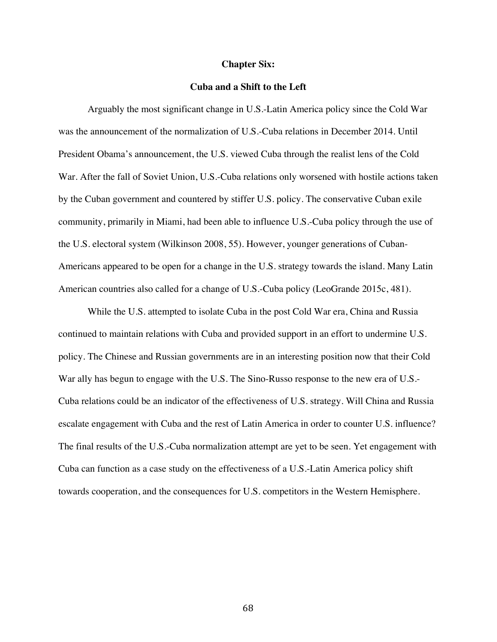#### **Chapter Six:**

## **Cuba and a Shift to the Left**

Arguably the most significant change in U.S.-Latin America policy since the Cold War was the announcement of the normalization of U.S.-Cuba relations in December 2014. Until President Obama's announcement, the U.S. viewed Cuba through the realist lens of the Cold War. After the fall of Soviet Union, U.S.-Cuba relations only worsened with hostile actions taken by the Cuban government and countered by stiffer U.S. policy. The conservative Cuban exile community, primarily in Miami, had been able to influence U.S.-Cuba policy through the use of the U.S. electoral system (Wilkinson 2008, 55). However, younger generations of Cuban-Americans appeared to be open for a change in the U.S. strategy towards the island. Many Latin American countries also called for a change of U.S.-Cuba policy (LeoGrande 2015c, 481).

While the U.S. attempted to isolate Cuba in the post Cold War era, China and Russia continued to maintain relations with Cuba and provided support in an effort to undermine U.S. policy. The Chinese and Russian governments are in an interesting position now that their Cold War ally has begun to engage with the U.S. The Sino-Russo response to the new era of U.S.- Cuba relations could be an indicator of the effectiveness of U.S. strategy. Will China and Russia escalate engagement with Cuba and the rest of Latin America in order to counter U.S. influence? The final results of the U.S.-Cuba normalization attempt are yet to be seen. Yet engagement with Cuba can function as a case study on the effectiveness of a U.S.-Latin America policy shift towards cooperation, and the consequences for U.S. competitors in the Western Hemisphere.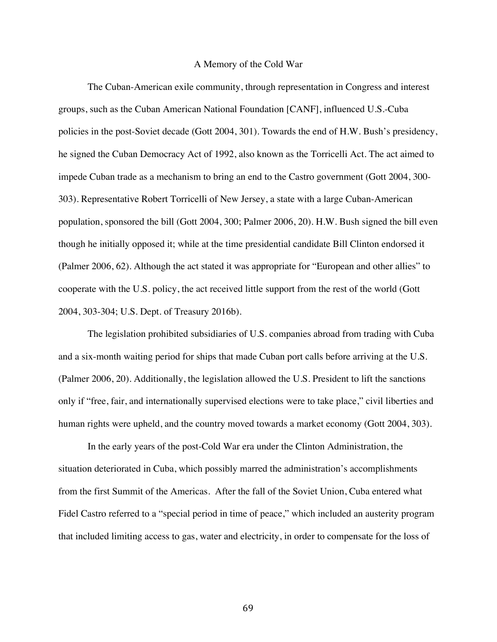### A Memory of the Cold War

The Cuban-American exile community, through representation in Congress and interest groups, such as the Cuban American National Foundation [CANF], influenced U.S.-Cuba policies in the post-Soviet decade (Gott 2004, 301). Towards the end of H.W. Bush's presidency, he signed the Cuban Democracy Act of 1992, also known as the Torricelli Act. The act aimed to impede Cuban trade as a mechanism to bring an end to the Castro government (Gott 2004, 300- 303). Representative Robert Torricelli of New Jersey, a state with a large Cuban-American population, sponsored the bill (Gott 2004, 300; Palmer 2006, 20). H.W. Bush signed the bill even though he initially opposed it; while at the time presidential candidate Bill Clinton endorsed it (Palmer 2006, 62). Although the act stated it was appropriate for "European and other allies" to cooperate with the U.S. policy, the act received little support from the rest of the world (Gott 2004, 303-304; U.S. Dept. of Treasury 2016b).

The legislation prohibited subsidiaries of U.S. companies abroad from trading with Cuba and a six-month waiting period for ships that made Cuban port calls before arriving at the U.S. (Palmer 2006, 20). Additionally, the legislation allowed the U.S. President to lift the sanctions only if "free, fair, and internationally supervised elections were to take place," civil liberties and human rights were upheld, and the country moved towards a market economy (Gott 2004, 303).

In the early years of the post-Cold War era under the Clinton Administration, the situation deteriorated in Cuba, which possibly marred the administration's accomplishments from the first Summit of the Americas. After the fall of the Soviet Union, Cuba entered what Fidel Castro referred to a "special period in time of peace," which included an austerity program that included limiting access to gas, water and electricity, in order to compensate for the loss of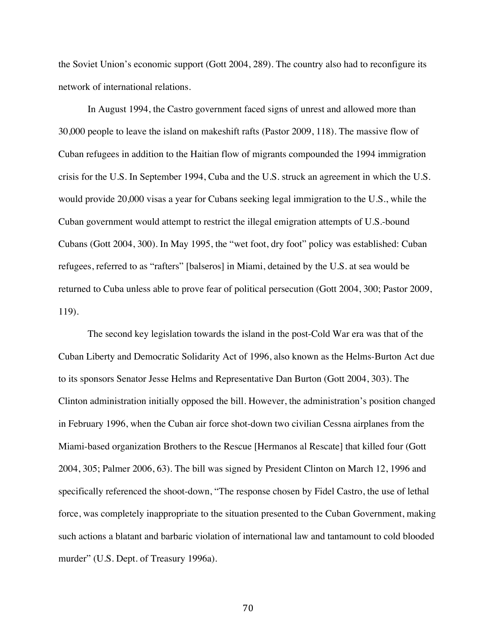the Soviet Union's economic support (Gott 2004, 289). The country also had to reconfigure its network of international relations.

In August 1994, the Castro government faced signs of unrest and allowed more than 30,000 people to leave the island on makeshift rafts (Pastor 2009, 118). The massive flow of Cuban refugees in addition to the Haitian flow of migrants compounded the 1994 immigration crisis for the U.S. In September 1994, Cuba and the U.S. struck an agreement in which the U.S. would provide 20,000 visas a year for Cubans seeking legal immigration to the U.S., while the Cuban government would attempt to restrict the illegal emigration attempts of U.S.-bound Cubans (Gott 2004, 300). In May 1995, the "wet foot, dry foot" policy was established: Cuban refugees, referred to as "rafters" [balseros] in Miami, detained by the U.S. at sea would be returned to Cuba unless able to prove fear of political persecution (Gott 2004, 300; Pastor 2009, 119).

The second key legislation towards the island in the post-Cold War era was that of the Cuban Liberty and Democratic Solidarity Act of 1996, also known as the Helms-Burton Act due to its sponsors Senator Jesse Helms and Representative Dan Burton (Gott 2004, 303). The Clinton administration initially opposed the bill. However, the administration's position changed in February 1996, when the Cuban air force shot-down two civilian Cessna airplanes from the Miami-based organization Brothers to the Rescue [Hermanos al Rescate] that killed four (Gott 2004, 305; Palmer 2006, 63). The bill was signed by President Clinton on March 12, 1996 and specifically referenced the shoot-down, "The response chosen by Fidel Castro, the use of lethal force, was completely inappropriate to the situation presented to the Cuban Government, making such actions a blatant and barbaric violation of international law and tantamount to cold blooded murder" (U.S. Dept. of Treasury 1996a).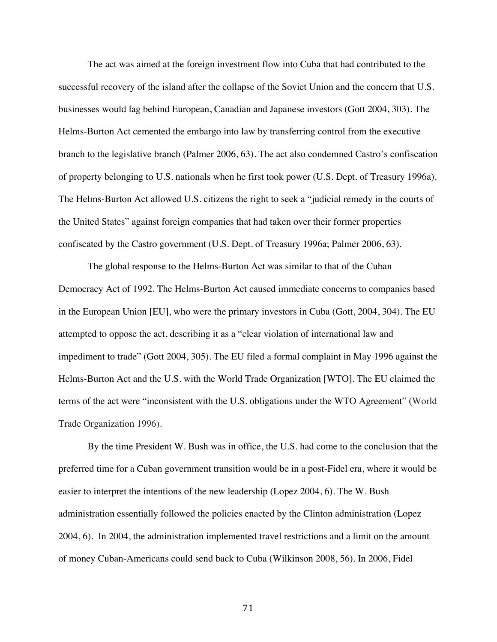The act was aimed at the foreign investment flow into Cuba that had contributed to the successful recovery of the island after the collapse of the Soviet Union and the concern that U.S. businesses would lag behind European, Canadian and Japanese investors (Gott 2004, 303). The Helms-Burton Act cemented the embargo into law by transferring control from the executive branch to the legislative branch (Palmer 2006, 63). The act also condemned Castro's confiscation of property belonging to U.S. nationals when he first took power (U.S. Dept. of Treasury 1996a). The Helms-Burton Act allowed U.S. citizens the right to seek a "judicial remedy in the courts of the United States" against foreign companies that had taken over their former properties confiscated by the Castro government (U.S. Dept. of Treasury 1996a; Palmer 2006, 63).

The global response to the Helms-Burton Act was similar to that of the Cuban Democracy Act of 1992. The Helms-Burton Act caused immediate concerns to companies based in the European Union [EU], who were the primary investors in Cuba (Gott, 2004, 304). The EU attempted to oppose the act, describing it as a "clear violation of international law and impediment to trade" (Gott 2004, 305). The EU filed a formal complaint in May 1996 against the Helms-Burton Act and the U.S. with the World Trade Organization [WTO]. The EU claimed the terms of the act were "inconsistent with the U.S. obligations under the WTO Agreement" (World Trade Organization 1996).

By the time President W. Bush was in office, the U.S. had come to the conclusion that the preferred time for a Cuban government transition would be in a post-Fidel era, where it would be easier to interpret the intentions of the new leadership (Lopez 2004, 6). The W. Bush administration essentially followed the policies enacted by the Clinton administration (Lopez 2004, 6). In 2004, the administration implemented travel restrictions and a limit on the amount of money Cuban-Americans could send back to Cuba (Wilkinson 2008, 56). In 2006, Fidel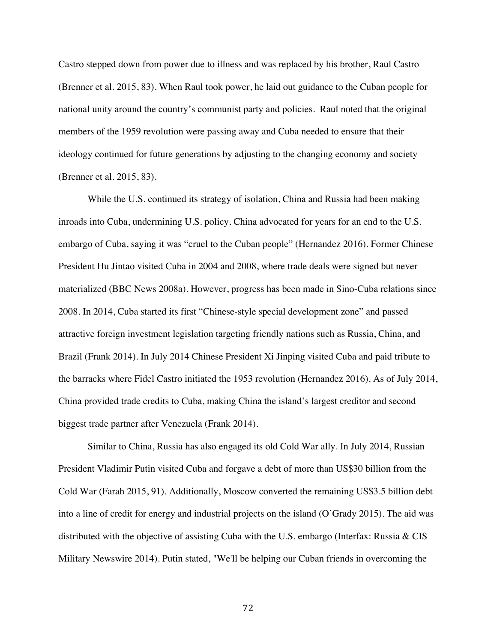Castro stepped down from power due to illness and was replaced by his brother, Raul Castro (Brenner et al. 2015, 83). When Raul took power, he laid out guidance to the Cuban people for national unity around the country's communist party and policies. Raul noted that the original members of the 1959 revolution were passing away and Cuba needed to ensure that their ideology continued for future generations by adjusting to the changing economy and society (Brenner et al. 2015, 83).

While the U.S. continued its strategy of isolation, China and Russia had been making inroads into Cuba, undermining U.S. policy. China advocated for years for an end to the U.S. embargo of Cuba, saying it was "cruel to the Cuban people" (Hernandez 2016). Former Chinese President Hu Jintao visited Cuba in 2004 and 2008, where trade deals were signed but never materialized (BBC News 2008a). However, progress has been made in Sino-Cuba relations since 2008. In 2014, Cuba started its first "Chinese-style special development zone" and passed attractive foreign investment legislation targeting friendly nations such as Russia, China, and Brazil (Frank 2014). In July 2014 Chinese President Xi Jinping visited Cuba and paid tribute to the barracks where Fidel Castro initiated the 1953 revolution (Hernandez 2016). As of July 2014, China provided trade credits to Cuba, making China the island's largest creditor and second biggest trade partner after Venezuela (Frank 2014).

Similar to China, Russia has also engaged its old Cold War ally. In July 2014, Russian President Vladimir Putin visited Cuba and forgave a debt of more than US\$30 billion from the Cold War (Farah 2015, 91). Additionally, Moscow converted the remaining US\$3.5 billion debt into a line of credit for energy and industrial projects on the island (O'Grady 2015). The aid was distributed with the objective of assisting Cuba with the U.S. embargo (Interfax: Russia & CIS Military Newswire 2014). Putin stated, "We'll be helping our Cuban friends in overcoming the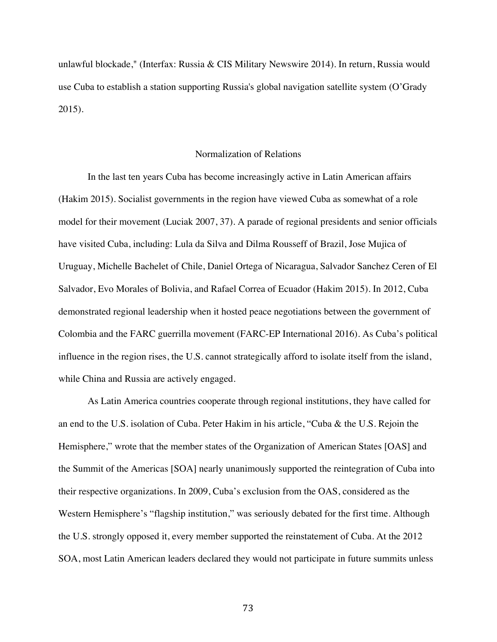unlawful blockade," (Interfax: Russia & CIS Military Newswire 2014). In return, Russia would use Cuba to establish a station supporting Russia's global navigation satellite system (O'Grady 2015).

## Normalization of Relations

In the last ten years Cuba has become increasingly active in Latin American affairs (Hakim 2015). Socialist governments in the region have viewed Cuba as somewhat of a role model for their movement (Luciak 2007, 37). A parade of regional presidents and senior officials have visited Cuba, including: Lula da Silva and Dilma Rousseff of Brazil, Jose Mujica of Uruguay, Michelle Bachelet of Chile, Daniel Ortega of Nicaragua, Salvador Sanchez Ceren of El Salvador, Evo Morales of Bolivia, and Rafael Correa of Ecuador (Hakim 2015). In 2012, Cuba demonstrated regional leadership when it hosted peace negotiations between the government of Colombia and the FARC guerrilla movement (FARC-EP International 2016). As Cuba's political influence in the region rises, the U.S. cannot strategically afford to isolate itself from the island, while China and Russia are actively engaged.

As Latin America countries cooperate through regional institutions, they have called for an end to the U.S. isolation of Cuba. Peter Hakim in his article, "Cuba & the U.S. Rejoin the Hemisphere," wrote that the member states of the Organization of American States [OAS] and the Summit of the Americas [SOA] nearly unanimously supported the reintegration of Cuba into their respective organizations. In 2009, Cuba's exclusion from the OAS, considered as the Western Hemisphere's "flagship institution," was seriously debated for the first time. Although the U.S. strongly opposed it, every member supported the reinstatement of Cuba. At the 2012 SOA, most Latin American leaders declared they would not participate in future summits unless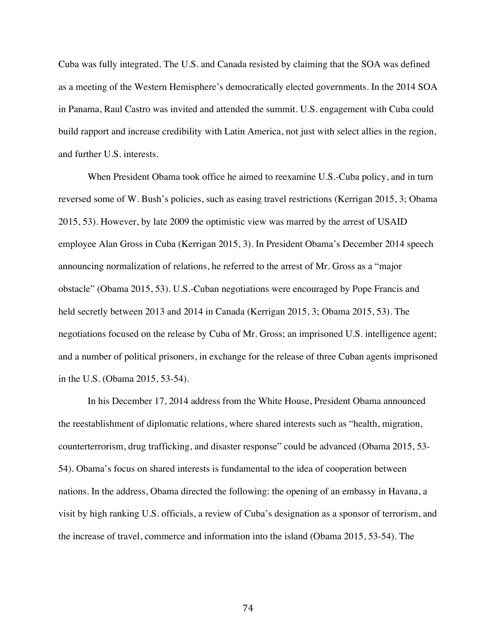Cuba was fully integrated. The U.S. and Canada resisted by claiming that the SOA was defined as a meeting of the Western Hemisphere's democratically elected governments. In the 2014 SOA in Panama, Raul Castro was invited and attended the summit. U.S. engagement with Cuba could build rapport and increase credibility with Latin America, not just with select allies in the region, and further U.S. interests.

When President Obama took office he aimed to reexamine U.S.-Cuba policy, and in turn reversed some of W. Bush's policies, such as easing travel restrictions (Kerrigan 2015, 3; Obama 2015, 53). However, by late 2009 the optimistic view was marred by the arrest of USAID employee Alan Gross in Cuba (Kerrigan 2015, 3). In President Obama's December 2014 speech announcing normalization of relations, he referred to the arrest of Mr. Gross as a "major obstacle" (Obama 2015, 53). U.S.-Cuban negotiations were encouraged by Pope Francis and held secretly between 2013 and 2014 in Canada (Kerrigan 2015, 3; Obama 2015, 53). The negotiations focused on the release by Cuba of Mr. Gross; an imprisoned U.S. intelligence agent; and a number of political prisoners, in exchange for the release of three Cuban agents imprisoned in the U.S. (Obama 2015, 53-54).

In his December 17, 2014 address from the White House, President Obama announced the reestablishment of diplomatic relations, where shared interests such as "health, migration, counterterrorism, drug trafficking, and disaster response" could be advanced (Obama 2015, 53- 54). Obama's focus on shared interests is fundamental to the idea of cooperation between nations. In the address, Obama directed the following: the opening of an embassy in Havana, a visit by high ranking U.S. officials, a review of Cuba's designation as a sponsor of terrorism, and the increase of travel, commerce and information into the island (Obama 2015, 53-54). The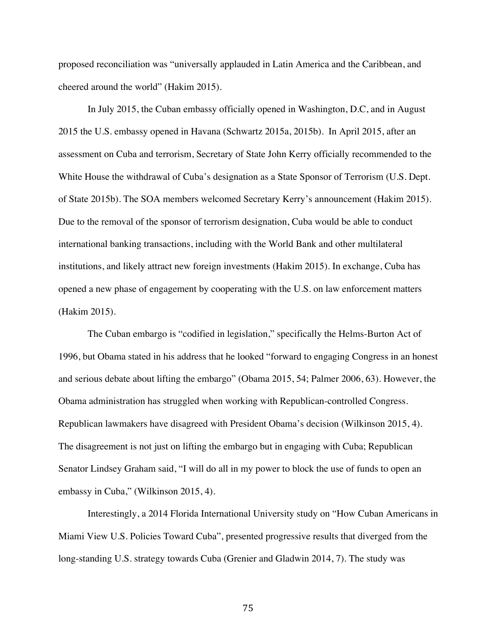proposed reconciliation was "universally applauded in Latin America and the Caribbean, and cheered around the world" (Hakim 2015).

In July 2015, the Cuban embassy officially opened in Washington, D.C, and in August 2015 the U.S. embassy opened in Havana (Schwartz 2015a, 2015b). In April 2015, after an assessment on Cuba and terrorism, Secretary of State John Kerry officially recommended to the White House the withdrawal of Cuba's designation as a State Sponsor of Terrorism (U.S. Dept. of State 2015b). The SOA members welcomed Secretary Kerry's announcement (Hakim 2015). Due to the removal of the sponsor of terrorism designation, Cuba would be able to conduct international banking transactions, including with the World Bank and other multilateral institutions, and likely attract new foreign investments (Hakim 2015). In exchange, Cuba has opened a new phase of engagement by cooperating with the U.S. on law enforcement matters (Hakim 2015).

The Cuban embargo is "codified in legislation," specifically the Helms-Burton Act of 1996, but Obama stated in his address that he looked "forward to engaging Congress in an honest and serious debate about lifting the embargo" (Obama 2015, 54; Palmer 2006, 63). However, the Obama administration has struggled when working with Republican-controlled Congress. Republican lawmakers have disagreed with President Obama's decision (Wilkinson 2015, 4). The disagreement is not just on lifting the embargo but in engaging with Cuba; Republican Senator Lindsey Graham said, "I will do all in my power to block the use of funds to open an embassy in Cuba," (Wilkinson 2015, 4).

Interestingly, a 2014 Florida International University study on "How Cuban Americans in Miami View U.S. Policies Toward Cuba", presented progressive results that diverged from the long-standing U.S. strategy towards Cuba (Grenier and Gladwin 2014, 7). The study was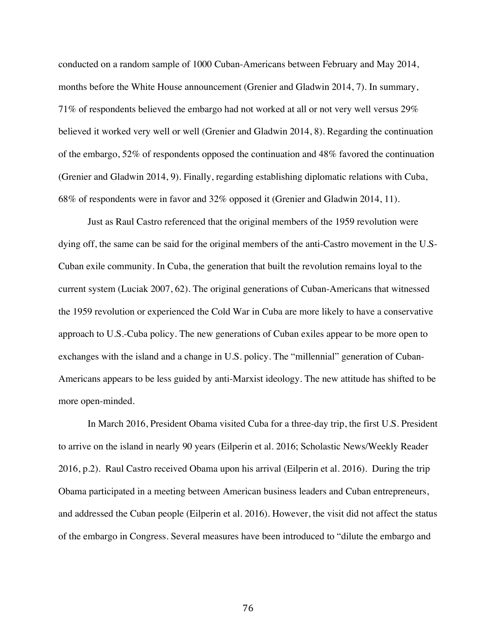conducted on a random sample of 1000 Cuban-Americans between February and May 2014, months before the White House announcement (Grenier and Gladwin 2014, 7). In summary, 71% of respondents believed the embargo had not worked at all or not very well versus 29% believed it worked very well or well (Grenier and Gladwin 2014, 8). Regarding the continuation of the embargo, 52% of respondents opposed the continuation and 48% favored the continuation (Grenier and Gladwin 2014, 9). Finally, regarding establishing diplomatic relations with Cuba, 68% of respondents were in favor and 32% opposed it (Grenier and Gladwin 2014, 11).

Just as Raul Castro referenced that the original members of the 1959 revolution were dying off, the same can be said for the original members of the anti-Castro movement in the U.S-Cuban exile community. In Cuba, the generation that built the revolution remains loyal to the current system (Luciak 2007, 62). The original generations of Cuban-Americans that witnessed the 1959 revolution or experienced the Cold War in Cuba are more likely to have a conservative approach to U.S.-Cuba policy. The new generations of Cuban exiles appear to be more open to exchanges with the island and a change in U.S. policy. The "millennial" generation of Cuban-Americans appears to be less guided by anti-Marxist ideology. The new attitude has shifted to be more open-minded.

In March 2016, President Obama visited Cuba for a three-day trip, the first U.S. President to arrive on the island in nearly 90 years (Eilperin et al. 2016; Scholastic News/Weekly Reader 2016, p.2). Raul Castro received Obama upon his arrival (Eilperin et al. 2016). During the trip Obama participated in a meeting between American business leaders and Cuban entrepreneurs, and addressed the Cuban people (Eilperin et al. 2016). However, the visit did not affect the status of the embargo in Congress. Several measures have been introduced to "dilute the embargo and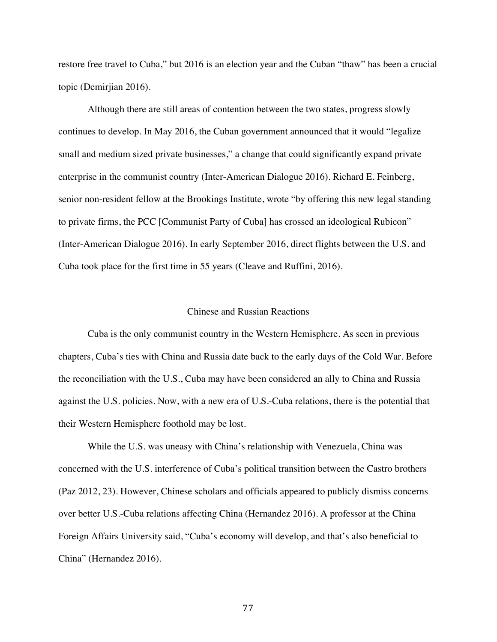restore free travel to Cuba," but 2016 is an election year and the Cuban "thaw" has been a crucial topic (Demirjian 2016).

Although there are still areas of contention between the two states, progress slowly continues to develop. In May 2016, the Cuban government announced that it would "legalize small and medium sized private businesses," a change that could significantly expand private enterprise in the communist country (Inter-American Dialogue 2016). Richard E. Feinberg, senior non-resident fellow at the Brookings Institute, wrote "by offering this new legal standing to private firms, the PCC [Communist Party of Cuba] has crossed an ideological Rubicon" (Inter-American Dialogue 2016). In early September 2016, direct flights between the U.S. and Cuba took place for the first time in 55 years (Cleave and Ruffini, 2016).

# Chinese and Russian Reactions

Cuba is the only communist country in the Western Hemisphere. As seen in previous chapters, Cuba's ties with China and Russia date back to the early days of the Cold War. Before the reconciliation with the U.S., Cuba may have been considered an ally to China and Russia against the U.S. policies. Now, with a new era of U.S.-Cuba relations, there is the potential that their Western Hemisphere foothold may be lost.

While the U.S. was uneasy with China's relationship with Venezuela, China was concerned with the U.S. interference of Cuba's political transition between the Castro brothers (Paz 2012, 23). However, Chinese scholars and officials appeared to publicly dismiss concerns over better U.S.-Cuba relations affecting China (Hernandez 2016). A professor at the China Foreign Affairs University said, "Cuba's economy will develop, and that's also beneficial to China" (Hernandez 2016).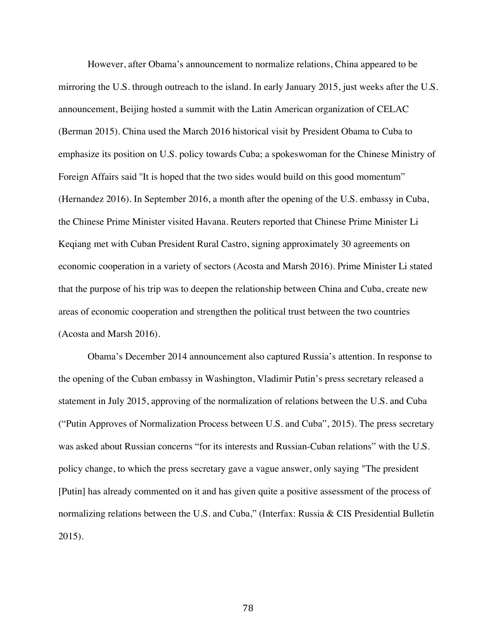However, after Obama's announcement to normalize relations, China appeared to be mirroring the U.S. through outreach to the island. In early January 2015, just weeks after the U.S. announcement, Beijing hosted a summit with the Latin American organization of CELAC (Berman 2015). China used the March 2016 historical visit by President Obama to Cuba to emphasize its position on U.S. policy towards Cuba; a spokeswoman for the Chinese Ministry of Foreign Affairs said ''It is hoped that the two sides would build on this good momentum" (Hernandez 2016). In September 2016, a month after the opening of the U.S. embassy in Cuba, the Chinese Prime Minister visited Havana. Reuters reported that Chinese Prime Minister Li Keqiang met with Cuban President Rural Castro, signing approximately 30 agreements on economic cooperation in a variety of sectors (Acosta and Marsh 2016). Prime Minister Li stated that the purpose of his trip was to deepen the relationship between China and Cuba, create new areas of economic cooperation and strengthen the political trust between the two countries (Acosta and Marsh 2016).

Obama's December 2014 announcement also captured Russia's attention. In response to the opening of the Cuban embassy in Washington, Vladimir Putin's press secretary released a statement in July 2015, approving of the normalization of relations between the U.S. and Cuba ("Putin Approves of Normalization Process between U.S. and Cuba", 2015). The press secretary was asked about Russian concerns "for its interests and Russian-Cuban relations" with the U.S. policy change, to which the press secretary gave a vague answer, only saying "The president [Putin] has already commented on it and has given quite a positive assessment of the process of normalizing relations between the U.S. and Cuba," (Interfax: Russia & CIS Presidential Bulletin 2015).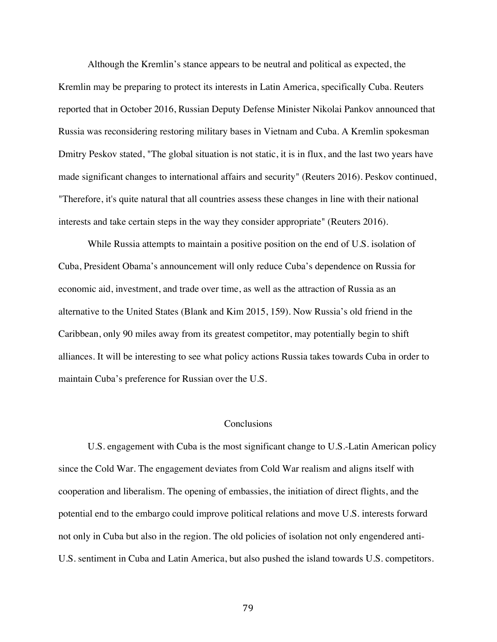Although the Kremlin's stance appears to be neutral and political as expected, the Kremlin may be preparing to protect its interests in Latin America, specifically Cuba. Reuters reported that in October 2016, Russian Deputy Defense Minister Nikolai Pankov announced that Russia was reconsidering restoring military bases in Vietnam and Cuba. A Kremlin spokesman Dmitry Peskov stated, "The global situation is not static, it is in flux, and the last two years have made significant changes to international affairs and security" (Reuters 2016). Peskov continued, "Therefore, it's quite natural that all countries assess these changes in line with their national interests and take certain steps in the way they consider appropriate" (Reuters 2016).

While Russia attempts to maintain a positive position on the end of U.S. isolation of Cuba, President Obama's announcement will only reduce Cuba's dependence on Russia for economic aid, investment, and trade over time, as well as the attraction of Russia as an alternative to the United States (Blank and Kim 2015, 159). Now Russia's old friend in the Caribbean, only 90 miles away from its greatest competitor, may potentially begin to shift alliances. It will be interesting to see what policy actions Russia takes towards Cuba in order to maintain Cuba's preference for Russian over the U.S.

# **Conclusions**

U.S. engagement with Cuba is the most significant change to U.S.-Latin American policy since the Cold War. The engagement deviates from Cold War realism and aligns itself with cooperation and liberalism. The opening of embassies, the initiation of direct flights, and the potential end to the embargo could improve political relations and move U.S. interests forward not only in Cuba but also in the region. The old policies of isolation not only engendered anti-U.S. sentiment in Cuba and Latin America, but also pushed the island towards U.S. competitors.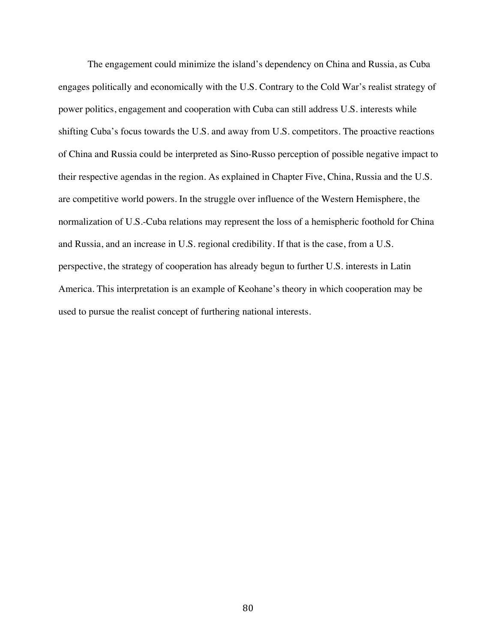The engagement could minimize the island's dependency on China and Russia, as Cuba engages politically and economically with the U.S. Contrary to the Cold War's realist strategy of power politics, engagement and cooperation with Cuba can still address U.S. interests while shifting Cuba's focus towards the U.S. and away from U.S. competitors. The proactive reactions of China and Russia could be interpreted as Sino-Russo perception of possible negative impact to their respective agendas in the region. As explained in Chapter Five, China, Russia and the U.S. are competitive world powers. In the struggle over influence of the Western Hemisphere, the normalization of U.S.-Cuba relations may represent the loss of a hemispheric foothold for China and Russia, and an increase in U.S. regional credibility. If that is the case, from a U.S. perspective, the strategy of cooperation has already begun to further U.S. interests in Latin America. This interpretation is an example of Keohane's theory in which cooperation may be used to pursue the realist concept of furthering national interests.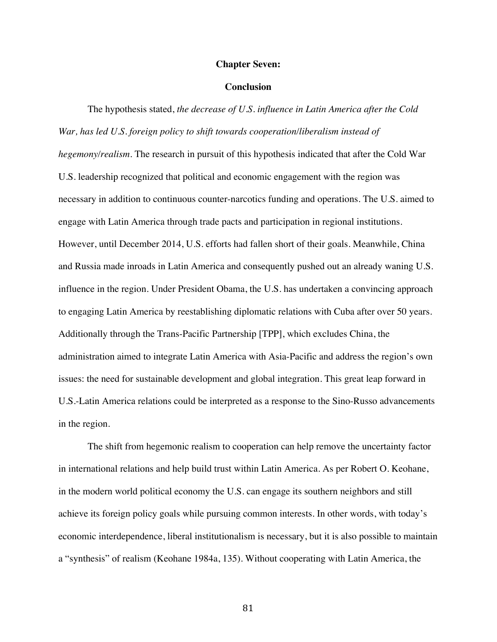### **Chapter Seven:**

## **Conclusion**

The hypothesis stated, *the decrease of U.S. influence in Latin America after the Cold War, has led U.S. foreign policy to shift towards cooperation/liberalism instead of hegemony/realism*. The research in pursuit of this hypothesis indicated that after the Cold War U.S. leadership recognized that political and economic engagement with the region was necessary in addition to continuous counter-narcotics funding and operations. The U.S. aimed to engage with Latin America through trade pacts and participation in regional institutions. However, until December 2014, U.S. efforts had fallen short of their goals. Meanwhile, China and Russia made inroads in Latin America and consequently pushed out an already waning U.S. influence in the region. Under President Obama, the U.S. has undertaken a convincing approach to engaging Latin America by reestablishing diplomatic relations with Cuba after over 50 years. Additionally through the Trans-Pacific Partnership [TPP], which excludes China, the administration aimed to integrate Latin America with Asia-Pacific and address the region's own issues: the need for sustainable development and global integration. This great leap forward in U.S.-Latin America relations could be interpreted as a response to the Sino-Russo advancements in the region.

The shift from hegemonic realism to cooperation can help remove the uncertainty factor in international relations and help build trust within Latin America. As per Robert O. Keohane, in the modern world political economy the U.S. can engage its southern neighbors and still achieve its foreign policy goals while pursuing common interests. In other words, with today's economic interdependence, liberal institutionalism is necessary, but it is also possible to maintain a "synthesis" of realism (Keohane 1984a, 135). Without cooperating with Latin America, the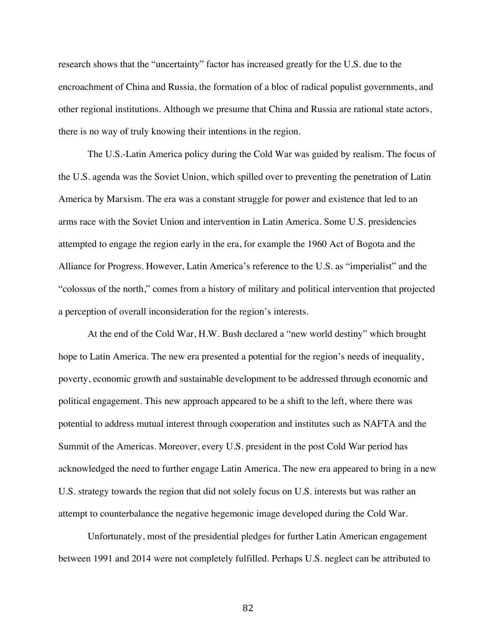research shows that the "uncertainty" factor has increased greatly for the U.S. due to the encroachment of China and Russia, the formation of a bloc of radical populist governments, and other regional institutions. Although we presume that China and Russia are rational state actors, there is no way of truly knowing their intentions in the region.

The U.S.-Latin America policy during the Cold War was guided by realism. The focus of the U.S. agenda was the Soviet Union, which spilled over to preventing the penetration of Latin America by Marxism. The era was a constant struggle for power and existence that led to an arms race with the Soviet Union and intervention in Latin America. Some U.S. presidencies attempted to engage the region early in the era, for example the 1960 Act of Bogota and the Alliance for Progress. However, Latin America's reference to the U.S. as "imperialist" and the "colossus of the north," comes from a history of military and political intervention that projected a perception of overall inconsideration for the region's interests.

At the end of the Cold War, H.W. Bush declared a "new world destiny" which brought hope to Latin America. The new era presented a potential for the region's needs of inequality, poverty, economic growth and sustainable development to be addressed through economic and political engagement. This new approach appeared to be a shift to the left, where there was potential to address mutual interest through cooperation and institutes such as NAFTA and the Summit of the Americas. Moreover, every U.S. president in the post Cold War period has acknowledged the need to further engage Latin America. The new era appeared to bring in a new U.S. strategy towards the region that did not solely focus on U.S. interests but was rather an attempt to counterbalance the negative hegemonic image developed during the Cold War.

Unfortunately, most of the presidential pledges for further Latin American engagement between 1991 and 2014 were not completely fulfilled. Perhaps U.S. neglect can be attributed to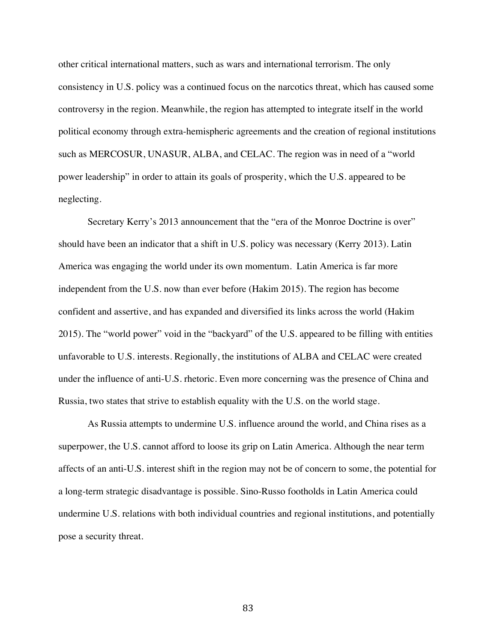other critical international matters, such as wars and international terrorism. The only consistency in U.S. policy was a continued focus on the narcotics threat, which has caused some controversy in the region. Meanwhile, the region has attempted to integrate itself in the world political economy through extra-hemispheric agreements and the creation of regional institutions such as MERCOSUR, UNASUR, ALBA, and CELAC. The region was in need of a "world power leadership" in order to attain its goals of prosperity, which the U.S. appeared to be neglecting.

Secretary Kerry's 2013 announcement that the "era of the Monroe Doctrine is over" should have been an indicator that a shift in U.S. policy was necessary (Kerry 2013). Latin America was engaging the world under its own momentum. Latin America is far more independent from the U.S. now than ever before (Hakim 2015). The region has become confident and assertive, and has expanded and diversified its links across the world (Hakim 2015). The "world power" void in the "backyard" of the U.S. appeared to be filling with entities unfavorable to U.S. interests. Regionally, the institutions of ALBA and CELAC were created under the influence of anti-U.S. rhetoric. Even more concerning was the presence of China and Russia, two states that strive to establish equality with the U.S. on the world stage.

As Russia attempts to undermine U.S. influence around the world, and China rises as a superpower, the U.S. cannot afford to loose its grip on Latin America. Although the near term affects of an anti-U.S. interest shift in the region may not be of concern to some, the potential for a long-term strategic disadvantage is possible. Sino-Russo footholds in Latin America could undermine U.S. relations with both individual countries and regional institutions, and potentially pose a security threat.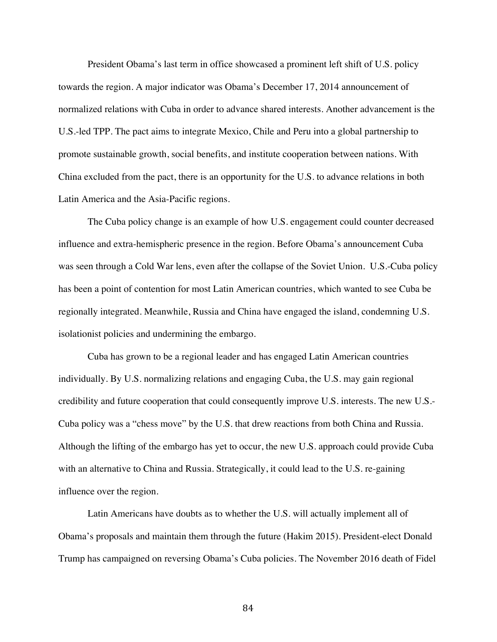President Obama's last term in office showcased a prominent left shift of U.S. policy towards the region. A major indicator was Obama's December 17, 2014 announcement of normalized relations with Cuba in order to advance shared interests. Another advancement is the U.S.-led TPP. The pact aims to integrate Mexico, Chile and Peru into a global partnership to promote sustainable growth, social benefits, and institute cooperation between nations. With China excluded from the pact, there is an opportunity for the U.S. to advance relations in both Latin America and the Asia-Pacific regions.

The Cuba policy change is an example of how U.S. engagement could counter decreased influence and extra-hemispheric presence in the region. Before Obama's announcement Cuba was seen through a Cold War lens, even after the collapse of the Soviet Union. U.S.-Cuba policy has been a point of contention for most Latin American countries, which wanted to see Cuba be regionally integrated. Meanwhile, Russia and China have engaged the island, condemning U.S. isolationist policies and undermining the embargo.

Cuba has grown to be a regional leader and has engaged Latin American countries individually. By U.S. normalizing relations and engaging Cuba, the U.S. may gain regional credibility and future cooperation that could consequently improve U.S. interests. The new U.S.- Cuba policy was a "chess move" by the U.S. that drew reactions from both China and Russia. Although the lifting of the embargo has yet to occur, the new U.S. approach could provide Cuba with an alternative to China and Russia. Strategically, it could lead to the U.S. re-gaining influence over the region.

Latin Americans have doubts as to whether the U.S. will actually implement all of Obama's proposals and maintain them through the future (Hakim 2015). President-elect Donald Trump has campaigned on reversing Obama's Cuba policies. The November 2016 death of Fidel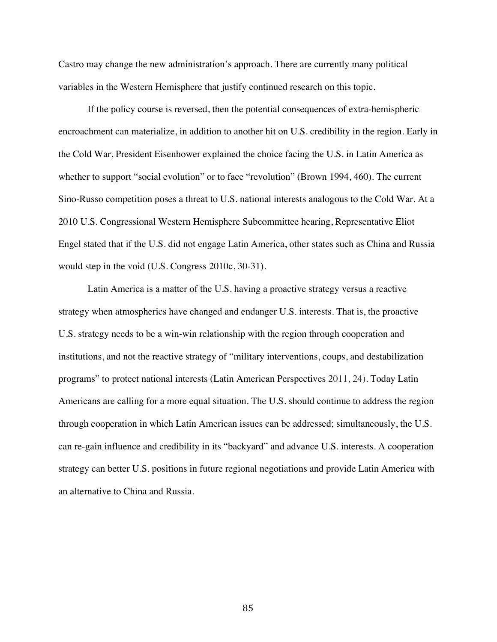Castro may change the new administration's approach. There are currently many political variables in the Western Hemisphere that justify continued research on this topic.

If the policy course is reversed, then the potential consequences of extra-hemispheric encroachment can materialize, in addition to another hit on U.S. credibility in the region. Early in the Cold War, President Eisenhower explained the choice facing the U.S. in Latin America as whether to support "social evolution" or to face "revolution" (Brown 1994, 460). The current Sino-Russo competition poses a threat to U.S. national interests analogous to the Cold War. At a 2010 U.S. Congressional Western Hemisphere Subcommittee hearing, Representative Eliot Engel stated that if the U.S. did not engage Latin America, other states such as China and Russia would step in the void (U.S. Congress 2010c, 30-31).

Latin America is a matter of the U.S. having a proactive strategy versus a reactive strategy when atmospherics have changed and endanger U.S. interests. That is, the proactive U.S. strategy needs to be a win-win relationship with the region through cooperation and institutions, and not the reactive strategy of "military interventions, coups, and destabilization programs" to protect national interests (Latin American Perspectives 2011, 24). Today Latin Americans are calling for a more equal situation. The U.S. should continue to address the region through cooperation in which Latin American issues can be addressed; simultaneously, the U.S. can re-gain influence and credibility in its "backyard" and advance U.S. interests. A cooperation strategy can better U.S. positions in future regional negotiations and provide Latin America with an alternative to China and Russia.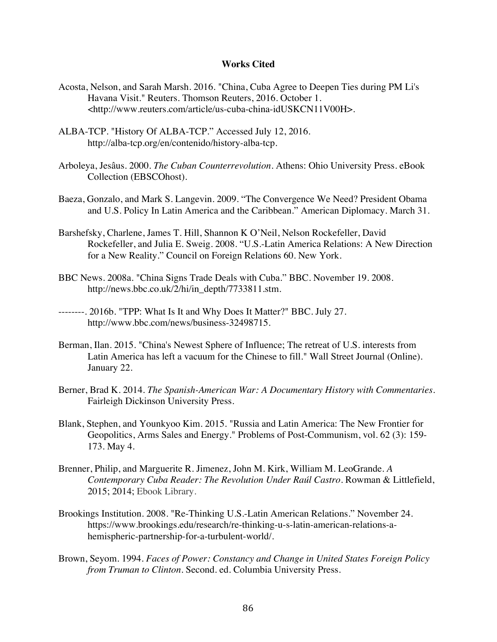## **Works Cited**

- Acosta, Nelson, and Sarah Marsh. 2016. "China, Cuba Agree to Deepen Ties during PM Li's Havana Visit." Reuters. Thomson Reuters, 2016. October 1. <http://www.reuters.com/article/us-cuba-china-idUSKCN11V00H>.
- ALBA-TCP. "History Of ALBA-TCP." Accessed July 12, 2016. http://alba-tcp.org/en/contenido/history-alba-tcp.
- Arboleya, Jesâus. 2000. *The Cuban Counterrevolution*. Athens: Ohio University Press. eBook Collection (EBSCOhost).
- Baeza, Gonzalo, and Mark S. Langevin. 2009. "The Convergence We Need? President Obama and U.S. Policy In Latin America and the Caribbean." American Diplomacy. March 31.
- Barshefsky, Charlene, James T. Hill, Shannon K O'Neil, Nelson Rockefeller, David Rockefeller, and Julia E. Sweig. 2008. "U.S.-Latin America Relations: A New Direction for a New Reality." Council on Foreign Relations 60. New York.
- BBC News. 2008a. "China Signs Trade Deals with Cuba." BBC. November 19. 2008. http://news.bbc.co.uk/2/hi/in\_depth/7733811.stm.
- --------. 2016b. "TPP: What Is It and Why Does It Matter?" BBC. July 27. http://www.bbc.com/news/business-32498715.
- Berman, Ilan. 2015. "China's Newest Sphere of Influence; The retreat of U.S. interests from Latin America has left a vacuum for the Chinese to fill." Wall Street Journal (Online). January 22.
- Berner, Brad K. 2014. *The Spanish-American War: A Documentary History with Commentaries*. Fairleigh Dickinson University Press.
- Blank, Stephen, and Younkyoo Kim. 2015. "Russia and Latin America: The New Frontier for Geopolitics, Arms Sales and Energy." Problems of Post-Communism, vol. 62 (3): 159- 173. May 4.
- Brenner, Philip, and Marguerite R. Jimenez, John M. Kirk, William M. LeoGrande. *A Contemporary Cuba Reader: The Revolution Under Raúl Castro*. Rowman & Littlefield, 2015; 2014; Ebook Library.
- Brookings Institution. 2008. "Re-Thinking U.S.-Latin American Relations." November 24. https://www.brookings.edu/research/re-thinking-u-s-latin-american-relations-ahemispheric-partnership-for-a-turbulent-world/.
- Brown, Seyom. 1994. *Faces of Power: Constancy and Change in United States Foreign Policy from Truman to Clinton*. Second. ed. Columbia University Press.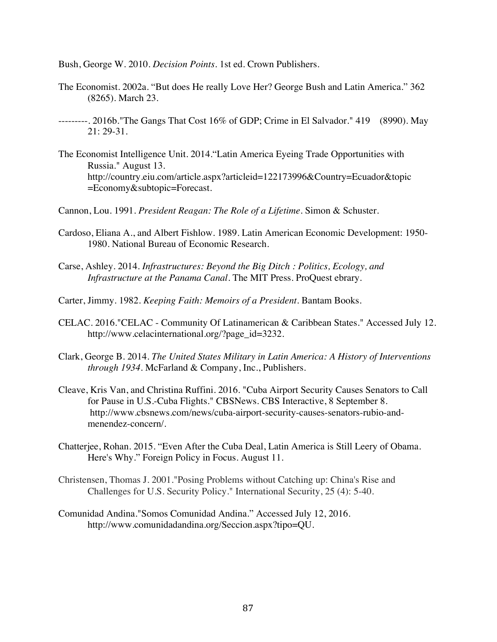Bush, George W. 2010. *Decision Points*. 1st ed. Crown Publishers.

- The Economist. 2002a. "But does He really Love Her? George Bush and Latin America." 362 (8265). March 23.
- ---------. 2016b."The Gangs That Cost 16% of GDP; Crime in El Salvador." 419 (8990). May 21: 29-31.
- The Economist Intelligence Unit. 2014."Latin America Eyeing Trade Opportunities with Russia." August 13. http://country.eiu.com/article.aspx?articleid=122173996&Country=Ecuador&topic =Economy&subtopic=Forecast.
- Cannon, Lou. 1991. *President Reagan: The Role of a Lifetime*. Simon & Schuster.
- Cardoso, Eliana A., and Albert Fishlow. 1989. Latin American Economic Development: 1950- 1980. National Bureau of Economic Research.
- Carse, Ashley. 2014. *Infrastructures: Beyond the Big Ditch : Politics, Ecology, and Infrastructure at the Panama Canal*. The MIT Press. ProQuest ebrary.
- Carter, Jimmy. 1982. *Keeping Faith: Memoirs of a President*. Bantam Books.
- CELAC. 2016."CELAC Community Of Latinamerican & Caribbean States." Accessed July 12. http://www.celacinternational.org/?page\_id=3232.
- Clark, George B. 2014. *The United States Military in Latin America: A History of Interventions through 1934*. McFarland & Company, Inc., Publishers.
- Cleave, Kris Van, and Christina Ruffini. 2016. "Cuba Airport Security Causes Senators to Call for Pause in U.S.-Cuba Flights." CBSNews. CBS Interactive, 8 September 8. http://www.cbsnews.com/news/cuba-airport-security-causes-senators-rubio-andmenendez-concern/.
- Chatterjee, Rohan. 2015. "Even After the Cuba Deal, Latin America is Still Leery of Obama. Here's Why." Foreign Policy in Focus. August 11.
- Christensen, Thomas J. 2001."Posing Problems without Catching up: China's Rise and Challenges for U.S. Security Policy." International Security, 25 (4): 5-40.
- Comunidad Andina."Somos Comunidad Andina." Accessed July 12, 2016. http://www.comunidadandina.org/Seccion.aspx?tipo=QU.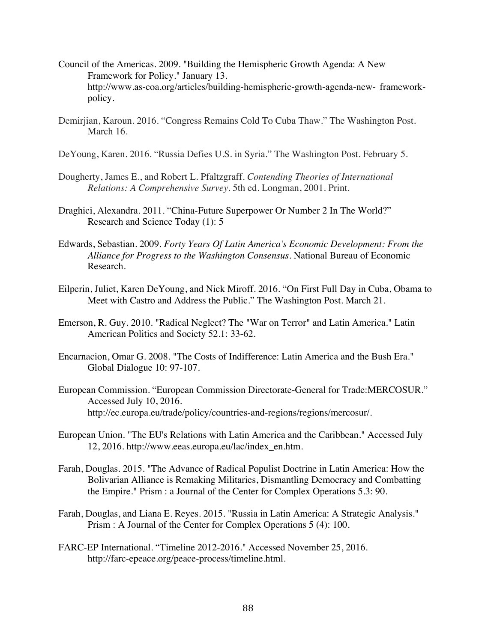- Council of the Americas. 2009. "Building the Hemispheric Growth Agenda: A New Framework for Policy." January 13. http://www.as-coa.org/articles/building-hemispheric-growth-agenda-new- frameworkpolicy.
- Demirjian, Karoun. 2016. "Congress Remains Cold To Cuba Thaw." The Washington Post. March 16.
- DeYoung, Karen. 2016. "Russia Defies U.S. in Syria." The Washington Post. February 5.
- Dougherty, James E., and Robert L. Pfaltzgraff. *Contending Theories of International Relations: A Comprehensive Survey*. 5th ed. Longman, 2001. Print.
- Draghici, Alexandra. 2011. "China-Future Superpower Or Number 2 In The World?" Research and Science Today (1): 5
- Edwards, Sebastian. 2009. *Forty Years Of Latin America's Economic Development: From the Alliance for Progress to the Washington Consensus.* National Bureau of Economic Research.
- Eilperin, Juliet, Karen DeYoung, and Nick Miroff. 2016. "On First Full Day in Cuba, Obama to Meet with Castro and Address the Public." The Washington Post. March 21.
- Emerson, R. Guy. 2010. "Radical Neglect? The "War on Terror" and Latin America." Latin American Politics and Society 52.1: 33-62.
- Encarnacion, Omar G. 2008. "The Costs of Indifference: Latin America and the Bush Era." Global Dialogue 10: 97-107.
- European Commission. "European Commission Directorate-General for Trade:MERCOSUR." Accessed July 10, 2016. http://ec.europa.eu/trade/policy/countries-and-regions/regions/mercosur/.
- European Union. "The EU's Relations with Latin America and the Caribbean." Accessed July 12, 2016. http://www.eeas.europa.eu/lac/index\_en.htm.
- Farah, Douglas. 2015. "The Advance of Radical Populist Doctrine in Latin America: How the Bolivarian Alliance is Remaking Militaries, Dismantling Democracy and Combatting the Empire." Prism : a Journal of the Center for Complex Operations 5.3: 90.
- Farah, Douglas, and Liana E. Reyes. 2015. "Russia in Latin America: A Strategic Analysis." Prism : A Journal of the Center for Complex Operations 5 (4): 100.
- FARC-EP International. "Timeline 2012-2016." Accessed November 25, 2016. http://farc-epeace.org/peace-process/timeline.html.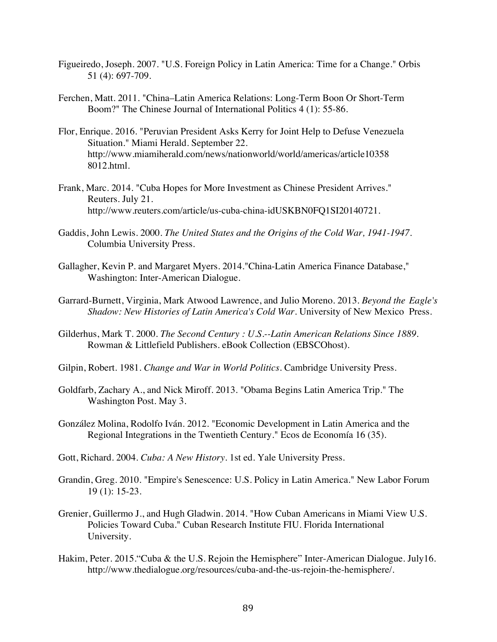- Figueiredo, Joseph. 2007. "U.S. Foreign Policy in Latin America: Time for a Change." Orbis 51 (4): 697-709.
- Ferchen, Matt. 2011. "China–Latin America Relations: Long-Term Boon Or Short-Term Boom?" The Chinese Journal of International Politics 4 (1): 55-86.
- Flor, Enrique. 2016. "Peruvian President Asks Kerry for Joint Help to Defuse Venezuela Situation." Miami Herald. September 22. http://www.miamiherald.com/news/nationworld/world/americas/article10358 8012.html.
- Frank, Marc. 2014. "Cuba Hopes for More Investment as Chinese President Arrives." Reuters. July 21. http://www.reuters.com/article/us-cuba-china-idUSKBN0FQ1SI20140721.
- Gaddis, John Lewis. 2000. *The United States and the Origins of the Cold War, 1941-1947*. Columbia University Press.
- Gallagher, Kevin P. and Margaret Myers. 2014."China-Latin America Finance Database," Washington: Inter-American Dialogue.
- Garrard-Burnett, Virginia, Mark Atwood Lawrence, and Julio Moreno. 2013. *Beyond the Eagle's Shadow: New Histories of Latin America's Cold War.* University of New Mexico Press.
- Gilderhus, Mark T. 2000. *The Second Century : U.S.--Latin American Relations Since 1889.* Rowman & Littlefield Publishers. eBook Collection (EBSCOhost).
- Gilpin, Robert. 1981. *Change and War in World Politics*. Cambridge University Press.
- Goldfarb, Zachary A., and Nick Miroff. 2013. "Obama Begins Latin America Trip." The Washington Post. May 3.
- González Molina, Rodolfo Iván. 2012. "Economic Development in Latin America and the Regional Integrations in the Twentieth Century." Ecos de Economía 16 (35).
- Gott, Richard. 2004. *Cuba: A New History*. 1st ed. Yale University Press.
- Grandin, Greg. 2010. "Empire's Senescence: U.S. Policy in Latin America." New Labor Forum 19 (1): 15-23.
- Grenier, Guillermo J., and Hugh Gladwin. 2014. "How Cuban Americans in Miami View U.S. Policies Toward Cuba." Cuban Research Institute FIU. Florida International University.
- Hakim, Peter. 2015."Cuba & the U.S. Rejoin the Hemisphere" Inter-American Dialogue. July16. http://www.thedialogue.org/resources/cuba-and-the-us-rejoin-the-hemisphere/.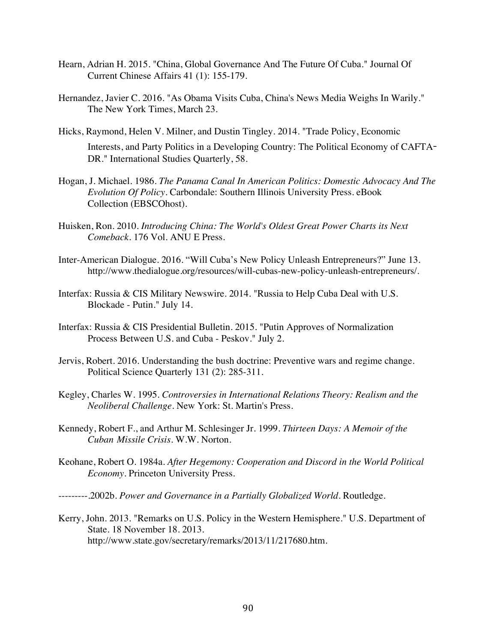- Hearn, Adrian H. 2015. "China, Global Governance And The Future Of Cuba." Journal Of Current Chinese Affairs 41 (1): 155-179.
- Hernandez, Javier C. 2016. "As Obama Visits Cuba, China's News Media Weighs In Warily." The New York Times, March 23.
- Hicks, Raymond, Helen V. Milner, and Dustin Tingley. 2014. "Trade Policy, Economic Interests, and Party Politics in a Developing Country: The Political Economy of CAFTA**-**DR." International Studies Quarterly, 58.
- Hogan, J. Michael. 1986. *The Panama Canal In American Politics: Domestic Advocacy And The Evolution Of Policy.* Carbondale: Southern Illinois University Press. eBook Collection (EBSCOhost).
- Huisken, Ron. 2010. *Introducing China: The World's Oldest Great Power Charts its Next Comeback.* 176 Vol. ANU E Press.
- Inter-American Dialogue. 2016. "Will Cuba's New Policy Unleash Entrepreneurs?" June 13. http://www.thedialogue.org/resources/will-cubas-new-policy-unleash-entrepreneurs/.
- Interfax: Russia & CIS Military Newswire. 2014. "Russia to Help Cuba Deal with U.S. Blockade - Putin." July 14.
- Interfax: Russia & CIS Presidential Bulletin. 2015. "Putin Approves of Normalization Process Between U.S. and Cuba - Peskov." July 2.
- Jervis, Robert. 2016. Understanding the bush doctrine: Preventive wars and regime change. Political Science Quarterly 131 (2): 285-311.
- Kegley, Charles W. 1995. *Controversies in International Relations Theory: Realism and the Neoliberal Challenge.* New York: St. Martin's Press.
- Kennedy, Robert F., and Arthur M. Schlesinger Jr. 1999. *Thirteen Days: A Memoir of the Cuban Missile Crisis.* W.W. Norton.
- Keohane, Robert O. 1984a. *After Hegemony: Cooperation and Discord in the World Political Economy*. Princeton University Press.
- ---------.2002b. *Power and Governance in a Partially Globalized World*. Routledge.
- Kerry, John. 2013. "Remarks on U.S. Policy in the Western Hemisphere." U.S. Department of State. 18 November 18. 2013. http://www.state.gov/secretary/remarks/2013/11/217680.htm.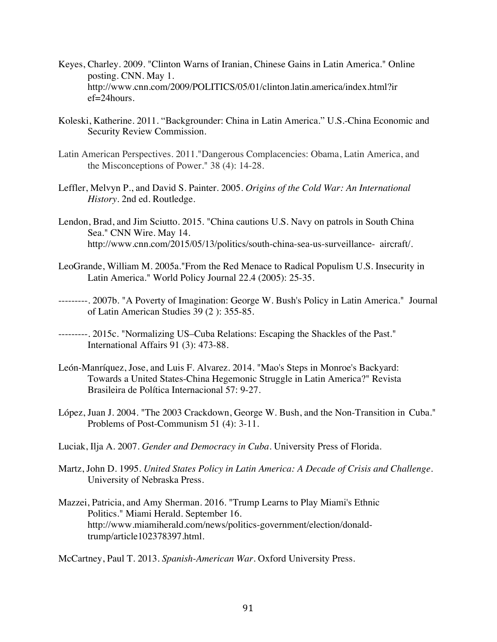- Keyes, Charley. 2009. "Clinton Warns of Iranian, Chinese Gains in Latin America." Online posting. CNN. May 1. http://www.cnn.com/2009/POLITICS/05/01/clinton.latin.america/index.html?ir ef=24hours.
- Koleski, Katherine. 2011. "Backgrounder: China in Latin America." U.S.-China Economic and Security Review Commission.
- Latin American Perspectives. 2011."Dangerous Complacencies: Obama, Latin America, and the Misconceptions of Power." 38 (4): 14-28.
- Leffler, Melvyn P., and David S. Painter. 2005. *Origins of the Cold War: An International History.* 2nd ed. Routledge.
- Lendon, Brad, and Jim Sciutto. 2015. "China cautions U.S. Navy on patrols in South China Sea." CNN Wire. May 14. http://www.cnn.com/2015/05/13/politics/south-china-sea-us-surveillance- aircraft/.
- LeoGrande, William M. 2005a."From the Red Menace to Radical Populism U.S. Insecurity in Latin America." World Policy Journal 22.4 (2005): 25-35.
- ---------. 2007b. "A Poverty of Imagination: George W. Bush's Policy in Latin America." Journal of Latin American Studies 39 (2 ): 355-85.
- ---------. 2015c. "Normalizing US–Cuba Relations: Escaping the Shackles of the Past." International Affairs 91 (3): 473-88.
- León-Manríquez, Jose, and Luis F. Alvarez. 2014. "Mao's Steps in Monroe's Backyard: Towards a United States-China Hegemonic Struggle in Latin America?" Revista Brasileira de Política Internacional 57: 9-27.
- López, Juan J. 2004. "The 2003 Crackdown, George W. Bush, and the Non-Transition in Cuba." Problems of Post-Communism 51 (4): 3-11.
- Luciak, Ilja A. 2007. *Gender and Democracy in Cuba*. University Press of Florida.
- Martz, John D. 1995. *United States Policy in Latin America: A Decade of Crisis and Challenge*. University of Nebraska Press.
- Mazzei, Patricia, and Amy Sherman. 2016. "Trump Learns to Play Miami's Ethnic Politics." Miami Herald. September 16. http://www.miamiherald.com/news/politics-government/election/donaldtrump/article102378397.html.

McCartney, Paul T. 2013. *Spanish-American War*. Oxford University Press.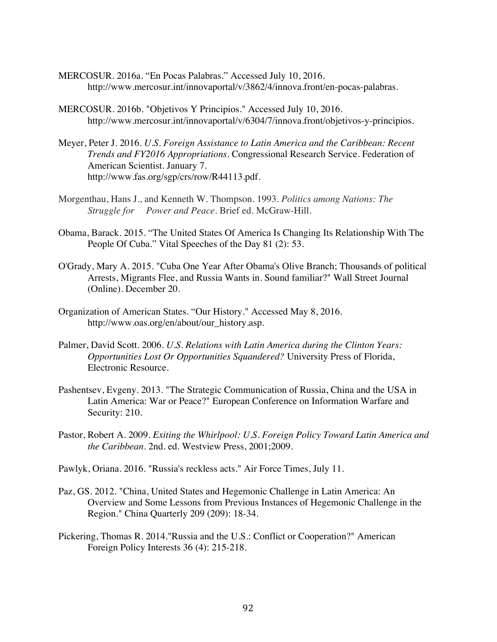- MERCOSUR. 2016a. "En Pocas Palabras." Accessed July 10, 2016. http://www.mercosur.int/innovaportal/v/3862/4/innova.front/en-pocas-palabras.
- MERCOSUR. 2016b. "Objetivos Y Principios." Accessed July 10, 2016. http://www.mercosur.int/innovaportal/v/6304/7/innova.front/objetivos-y-principios.
- Meyer, Peter J. 2016. *U.S. Foreign Assistance to Latin America and the Caribbean: Recent Trends and FY2016 Appropriations*. Congressional Research Service. Federation of American Scientist. January 7. http://www.fas.org/sgp/crs/row/R44113.pdf.
- Morgenthau, Hans J., and Kenneth W. Thompson. 1993. *Politics among Nations: The Struggle for Power and Peace*. Brief ed. McGraw-Hill.
- Obama, Barack. 2015. "The United States Of America Is Changing Its Relationship With The People Of Cuba." Vital Speeches of the Day 81 (2): 53.
- O'Grady, Mary A. 2015. "Cuba One Year After Obama's Olive Branch; Thousands of political Arrests, Migrants Flee, and Russia Wants in. Sound familiar?" Wall Street Journal (Online). December 20.
- Organization of American States. "Our History." Accessed May 8, 2016. http://www.oas.org/en/about/our\_history.asp.
- Palmer, David Scott. 2006. *U.S. Relations with Latin America during the Clinton Years: Opportunities Lost Or Opportunities Squandered?* University Press of Florida, Electronic Resource.
- Pashentsev, Evgeny. 2013. "The Strategic Communication of Russia, China and the USA in Latin America: War or Peace?" European Conference on Information Warfare and Security: 210.
- Pastor, Robert A. 2009. *Exiting the Whirlpool: U.S. Foreign Policy Toward Latin America and the Caribbean*. 2nd. ed. Westview Press, 2001;2009.
- Pawlyk, Oriana. 2016. "Russia's reckless acts." Air Force Times, July 11.
- Paz, GS. 2012. "China, United States and Hegemonic Challenge in Latin America: An Overview and Some Lessons from Previous Instances of Hegemonic Challenge in the Region." China Quarterly 209 (209): 18-34.
- Pickering, Thomas R. 2014."Russia and the U.S.: Conflict or Cooperation?" American Foreign Policy Interests 36 (4): 215-218.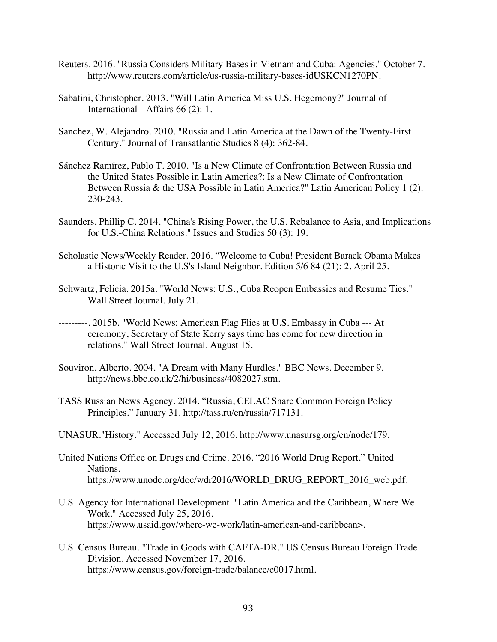- Reuters. 2016. "Russia Considers Military Bases in Vietnam and Cuba: Agencies." October 7. http://www.reuters.com/article/us-russia-military-bases-idUSKCN1270PN.
- Sabatini, Christopher. 2013. "Will Latin America Miss U.S. Hegemony?" Journal of International Affairs 66 (2): 1.
- Sanchez, W. Alejandro. 2010. "Russia and Latin America at the Dawn of the Twenty-First Century." Journal of Transatlantic Studies 8 (4): 362-84.
- Sánchez Ramírez, Pablo T. 2010. "Is a New Climate of Confrontation Between Russia and the United States Possible in Latin America?: Is a New Climate of Confrontation Between Russia & the USA Possible in Latin America?" Latin American Policy 1 (2): 230-243.
- Saunders, Phillip C. 2014. "China's Rising Power, the U.S. Rebalance to Asia, and Implications for U.S.-China Relations." Issues and Studies 50 (3): 19.
- Scholastic News/Weekly Reader. 2016. "Welcome to Cuba! President Barack Obama Makes a Historic Visit to the U.S's Island Neighbor. Edition 5/6 84 (21): 2. April 25.
- Schwartz, Felicia. 2015a. "World News: U.S., Cuba Reopen Embassies and Resume Ties." Wall Street Journal. July 21.
- ---------. 2015b. "World News: American Flag Flies at U.S. Embassy in Cuba --- At ceremony, Secretary of State Kerry says time has come for new direction in relations." Wall Street Journal. August 15.
- Souviron, Alberto. 2004. "A Dream with Many Hurdles." BBC News. December 9. http://news.bbc.co.uk/2/hi/business/4082027.stm.
- TASS Russian News Agency. 2014. "Russia, CELAC Share Common Foreign Policy Principles." January 31. http://tass.ru/en/russia/717131.
- UNASUR."History." Accessed July 12, 2016. http://www.unasursg.org/en/node/179.
- United Nations Office on Drugs and Crime. 2016. "2016 World Drug Report." United Nations. https://www.unodc.org/doc/wdr2016/WORLD\_DRUG\_REPORT\_2016\_web.pdf.
- U.S. Agency for International Development. "Latin America and the Caribbean, Where We Work." Accessed July 25, 2016. https://www.usaid.gov/where-we-work/latin-american-and-caribbean>.
- U.S. Census Bureau. "Trade in Goods with CAFTA-DR." US Census Bureau Foreign Trade Division. Accessed November 17, 2016. https://www.census.gov/foreign-trade/balance/c0017.html.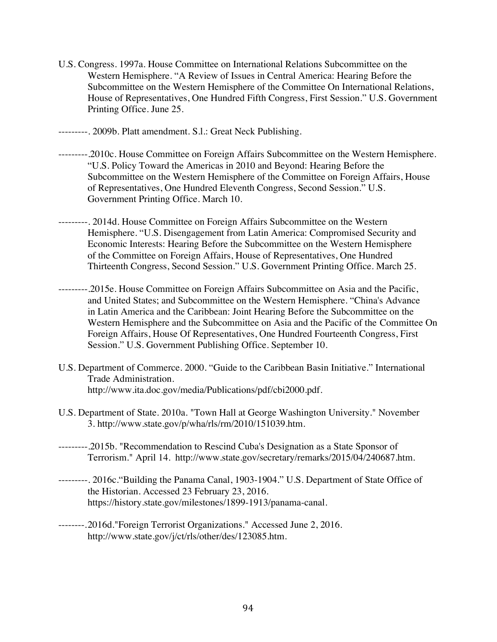- U.S. Congress. 1997a. House Committee on International Relations Subcommittee on the Western Hemisphere. "A Review of Issues in Central America: Hearing Before the Subcommittee on the Western Hemisphere of the Committee On International Relations, House of Representatives, One Hundred Fifth Congress, First Session." U.S. Government Printing Office. June 25.
- ---------. 2009b. Platt amendment. S.l.: Great Neck Publishing.
- ---------.2010c. House Committee on Foreign Affairs Subcommittee on the Western Hemisphere. "U.S. Policy Toward the Americas in 2010 and Beyond: Hearing Before the Subcommittee on the Western Hemisphere of the Committee on Foreign Affairs, House of Representatives, One Hundred Eleventh Congress, Second Session." U.S. Government Printing Office. March 10.
- ---------. 2014d. House Committee on Foreign Affairs Subcommittee on the Western Hemisphere. "U.S. Disengagement from Latin America: Compromised Security and Economic Interests: Hearing Before the Subcommittee on the Western Hemisphere of the Committee on Foreign Affairs, House of Representatives, One Hundred Thirteenth Congress, Second Session." U.S. Government Printing Office. March 25.
- -.2015e. House Committee on Foreign Affairs Subcommittee on Asia and the Pacific, and United States; and Subcommittee on the Western Hemisphere. "China's Advance in Latin America and the Caribbean: Joint Hearing Before the Subcommittee on the Western Hemisphere and the Subcommittee on Asia and the Pacific of the Committee On Foreign Affairs, House Of Representatives, One Hundred Fourteenth Congress, First Session." U.S. Government Publishing Office. September 10.
- U.S. Department of Commerce. 2000. "Guide to the Caribbean Basin Initiative." International Trade Administration. http://www.ita.doc.gov/media/Publications/pdf/cbi2000.pdf.
- U.S. Department of State. 2010a. "Town Hall at George Washington University." November 3. http://www.state.gov/p/wha/rls/rm/2010/151039.htm.
- ---------.2015b. "Recommendation to Rescind Cuba's Designation as a State Sponsor of Terrorism." April 14. http://www.state.gov/secretary/remarks/2015/04/240687.htm.
- ---------. 2016c."Building the Panama Canal, 1903-1904." U.S. Department of State Office of the Historian. Accessed 23 February 23, 2016. https://history.state.gov/milestones/1899-1913/panama-canal.
- --------.2016d."Foreign Terrorist Organizations." Accessed June 2, 2016. http://www.state.gov/j/ct/rls/other/des/123085.htm.